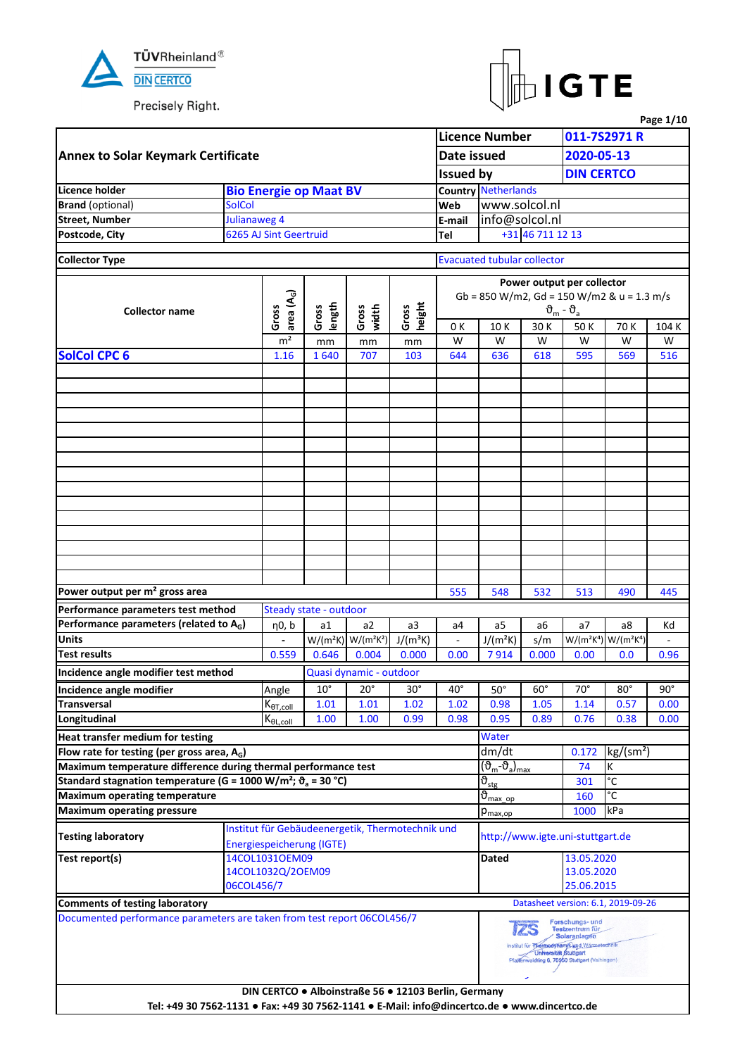



|                                                                                                |               |                               |                        |                           |                                                      |                  |                                                  |                                                  |                                                                                                                                         |                                                                       | Page 1/10  |
|------------------------------------------------------------------------------------------------|---------------|-------------------------------|------------------------|---------------------------|------------------------------------------------------|------------------|--------------------------------------------------|--------------------------------------------------|-----------------------------------------------------------------------------------------------------------------------------------------|-----------------------------------------------------------------------|------------|
|                                                                                                |               |                               |                        |                           |                                                      |                  | <b>Licence Number</b>                            |                                                  |                                                                                                                                         | 011-7S2971 R                                                          |            |
| <b>Annex to Solar Keymark Certificate</b>                                                      |               |                               |                        |                           |                                                      | Date issued      |                                                  |                                                  | 2020-05-13                                                                                                                              |                                                                       |            |
|                                                                                                |               |                               |                        |                           |                                                      | <b>Issued by</b> |                                                  |                                                  | <b>DIN CERTCO</b>                                                                                                                       |                                                                       |            |
| Licence holder                                                                                 |               | <b>Bio Energie op Maat BV</b> |                        |                           |                                                      |                  | <b>Country Netherlands</b>                       |                                                  |                                                                                                                                         |                                                                       |            |
| <b>Brand</b> (optional)                                                                        | <b>SolCol</b> |                               |                        |                           |                                                      | Web              | www.solcol.nl                                    |                                                  |                                                                                                                                         |                                                                       |            |
| <b>Street, Number</b>                                                                          | Julianaweg 4  |                               |                        |                           |                                                      | E-mail           | info@solcol.nl                                   |                                                  |                                                                                                                                         |                                                                       |            |
| Postcode, City                                                                                 |               | 6265 AJ Sint Geertruid        |                        |                           |                                                      | Tel              |                                                  | +31 46 711 12 13                                 |                                                                                                                                         |                                                                       |            |
|                                                                                                |               |                               |                        |                           |                                                      |                  |                                                  |                                                  |                                                                                                                                         |                                                                       |            |
| <b>Collector Type</b>                                                                          |               |                               |                        |                           |                                                      |                  | <b>Evacuated tubular collector</b>               |                                                  |                                                                                                                                         |                                                                       |            |
|                                                                                                |               |                               |                        |                           |                                                      |                  |                                                  |                                                  | Power output per collector                                                                                                              |                                                                       |            |
|                                                                                                |               | area $(A_G)$                  |                        |                           |                                                      |                  | Gb = 850 W/m2, Gd = 150 W/m2 & u = 1.3 m/s       |                                                  |                                                                                                                                         |                                                                       |            |
| <b>Collector name</b>                                                                          |               | Gross                         | length<br>Gross        | Gross<br>width            | height<br>Gross                                      |                  |                                                  |                                                  | $\vartheta_{\rm m}$ - $\vartheta_{\rm a}$                                                                                               |                                                                       |            |
|                                                                                                |               |                               |                        |                           |                                                      | 0 K              | 10K                                              | 30 K                                             | 50K                                                                                                                                     | 70 K                                                                  | 104 K      |
|                                                                                                |               | m <sup>2</sup>                | mm                     | mm                        | mm                                                   | W                | W                                                | W                                                | W                                                                                                                                       | W                                                                     | W          |
| <b>SolCol CPC 6</b>                                                                            |               | 1.16                          | 1640                   | 707                       | 103                                                  | 644              | 636                                              | 618                                              | 595                                                                                                                                     | 569                                                                   | 516        |
|                                                                                                |               |                               |                        |                           |                                                      |                  |                                                  |                                                  |                                                                                                                                         |                                                                       |            |
|                                                                                                |               |                               |                        |                           |                                                      |                  |                                                  |                                                  |                                                                                                                                         |                                                                       |            |
|                                                                                                |               |                               |                        |                           |                                                      |                  |                                                  |                                                  |                                                                                                                                         |                                                                       |            |
|                                                                                                |               |                               |                        |                           |                                                      |                  |                                                  |                                                  |                                                                                                                                         |                                                                       |            |
|                                                                                                |               |                               |                        |                           |                                                      |                  |                                                  |                                                  |                                                                                                                                         |                                                                       |            |
|                                                                                                |               |                               |                        |                           |                                                      |                  |                                                  |                                                  |                                                                                                                                         |                                                                       |            |
|                                                                                                |               |                               |                        |                           |                                                      |                  |                                                  |                                                  |                                                                                                                                         |                                                                       |            |
|                                                                                                |               |                               |                        |                           |                                                      |                  |                                                  |                                                  |                                                                                                                                         |                                                                       |            |
|                                                                                                |               |                               |                        |                           |                                                      |                  |                                                  |                                                  |                                                                                                                                         |                                                                       |            |
|                                                                                                |               |                               |                        |                           |                                                      |                  |                                                  |                                                  |                                                                                                                                         |                                                                       |            |
|                                                                                                |               |                               |                        |                           |                                                      |                  |                                                  |                                                  |                                                                                                                                         |                                                                       |            |
|                                                                                                |               |                               |                        |                           |                                                      |                  |                                                  |                                                  |                                                                                                                                         |                                                                       |            |
|                                                                                                |               |                               |                        |                           |                                                      |                  |                                                  |                                                  |                                                                                                                                         |                                                                       |            |
|                                                                                                |               |                               |                        |                           |                                                      |                  |                                                  |                                                  |                                                                                                                                         |                                                                       |            |
|                                                                                                |               |                               |                        |                           |                                                      |                  |                                                  |                                                  |                                                                                                                                         |                                                                       |            |
| Power output per m <sup>2</sup> gross area                                                     |               |                               |                        |                           |                                                      | 555              | 548                                              | 532                                              | 513                                                                                                                                     | 490                                                                   | 445        |
| Performance parameters test method                                                             |               |                               | Steady state - outdoor |                           |                                                      |                  |                                                  |                                                  |                                                                                                                                         |                                                                       |            |
| Performance parameters (related to A <sub>G</sub> )                                            |               | η0, b                         | a1                     | a2                        | a3                                                   | a4               | a5                                               | a6                                               | a <sub>7</sub>                                                                                                                          | а8                                                                    | Κd         |
| <b>Units</b>                                                                                   |               |                               |                        | $W/(m^2K)$ W/( $m^2K^2$ ) | $J/(m^3K)$                                           | $\blacksquare$   | $J/(m^2K)$                                       | s/m                                              |                                                                                                                                         | W/(m <sup>2</sup> K <sup>4</sup> ) W/(m <sup>2</sup> K <sup>4</sup> ) |            |
| <b>Test results</b>                                                                            |               | 0.559                         | 0.646                  | 0.004                     | 0.000                                                | 0.00             | 7914                                             | 0.000                                            | 0.00                                                                                                                                    | 0.0                                                                   | 0.96       |
| Incidence angle modifier test method                                                           |               |                               |                        | Quasi dynamic - outdoor   |                                                      |                  |                                                  |                                                  |                                                                                                                                         |                                                                       |            |
| Incidence angle modifier                                                                       |               | Angle                         | $10^{\circ}$           | $20^{\circ}$              | $30^\circ$                                           | $40^{\circ}$     | $50^\circ$                                       | $60^\circ$                                       | $70^\circ$                                                                                                                              | $80^\circ$                                                            | $90^\circ$ |
| <b>Transversal</b>                                                                             |               | $K_{\theta T, coll}$          | 1.01                   | 1.01                      | 1.02                                                 | 1.02             | 0.98                                             | 1.05                                             | 1.14                                                                                                                                    | 0.57                                                                  | 0.00       |
| Longitudinal                                                                                   |               | $K_{\theta L, coll}$          | 1.00                   | 1.00                      | 0.99                                                 | 0.98             | 0.95                                             | 0.89                                             | 0.76                                                                                                                                    | 0.38                                                                  | 0.00       |
| Heat transfer medium for testing                                                               |               |                               |                        |                           |                                                      |                  | Water                                            |                                                  |                                                                                                                                         |                                                                       |            |
| Flow rate for testing (per gross area, $A_G$ )                                                 |               |                               |                        |                           |                                                      |                  | dm/dt                                            |                                                  | 0.172                                                                                                                                   | kg/(sm <sup>2</sup> )                                                 |            |
| Maximum temperature difference during thermal performance test                                 |               |                               |                        |                           |                                                      |                  | (ზ <sub>m</sub> -ზ <sub>a</sub> ) <sub>max</sub> |                                                  | 74                                                                                                                                      | К                                                                     |            |
| Standard stagnation temperature (G = 1000 W/m <sup>2</sup> ; $\vartheta$ <sub>a</sub> = 30 °C) |               |                               |                        |                           |                                                      |                  | $\vartheta_{\text{stg}}$                         |                                                  | 301                                                                                                                                     | $\overline{c}$                                                        |            |
| <b>Maximum operating temperature</b>                                                           |               |                               |                        |                           |                                                      |                  | $\vartheta_{\text{max op}}$                      |                                                  | 160                                                                                                                                     | °C                                                                    |            |
| <b>Maximum operating pressure</b>                                                              |               |                               |                        |                           |                                                      |                  | $p_{\text{max,op}}$                              |                                                  | 1000                                                                                                                                    | kPa                                                                   |            |
|                                                                                                |               |                               |                        |                           | Institut für Gebäudeenergetik, Thermotechnik und     |                  |                                                  |                                                  |                                                                                                                                         |                                                                       |            |
| <b>Testing laboratory</b>                                                                      |               | Energiespeicherung (IGTE)     |                        |                           |                                                      |                  |                                                  |                                                  | http://www.igte.uni-stuttgart.de                                                                                                        |                                                                       |            |
| Test report(s)                                                                                 |               | 14COL1031OEM09                |                        |                           |                                                      |                  | Dated                                            |                                                  | 13.05.2020                                                                                                                              |                                                                       |            |
|                                                                                                |               | 14COL1032Q/2OEM09             |                        |                           |                                                      |                  |                                                  |                                                  | 13.05.2020                                                                                                                              |                                                                       |            |
|                                                                                                | 06COL456/7    |                               |                        |                           |                                                      |                  |                                                  |                                                  | 25.06.2015                                                                                                                              |                                                                       |            |
| <b>Comments of testing laboratory</b>                                                          |               |                               |                        |                           |                                                      |                  |                                                  |                                                  |                                                                                                                                         | Datasheet version: 6.1, 2019-09-26                                    |            |
| Documented performance parameters are taken from test report 06COL456/7                        |               |                               |                        |                           |                                                      |                  |                                                  |                                                  | Forschungs- und                                                                                                                         |                                                                       |            |
|                                                                                                |               |                               |                        |                           |                                                      |                  |                                                  | <i>125</i><br><b>Universität Stuttgart</b><br>ام | Testzentrum für<br><b>Solaranlagen</b><br>Institut für Thermodynamik und Wärmstechnik<br>Pfattenwaldring 6, 70550 Stuttgart (Vaihingen) |                                                                       |            |
| Tel: +49 30 7562-1131 · Fax: +49 30 7562-1141 · E-Mail: info@dincertco.de · www.dincertco.de   |               |                               |                        |                           | DIN CERTCO . Alboinstraße 56 . 12103 Berlin, Germany |                  |                                                  |                                                  |                                                                                                                                         |                                                                       |            |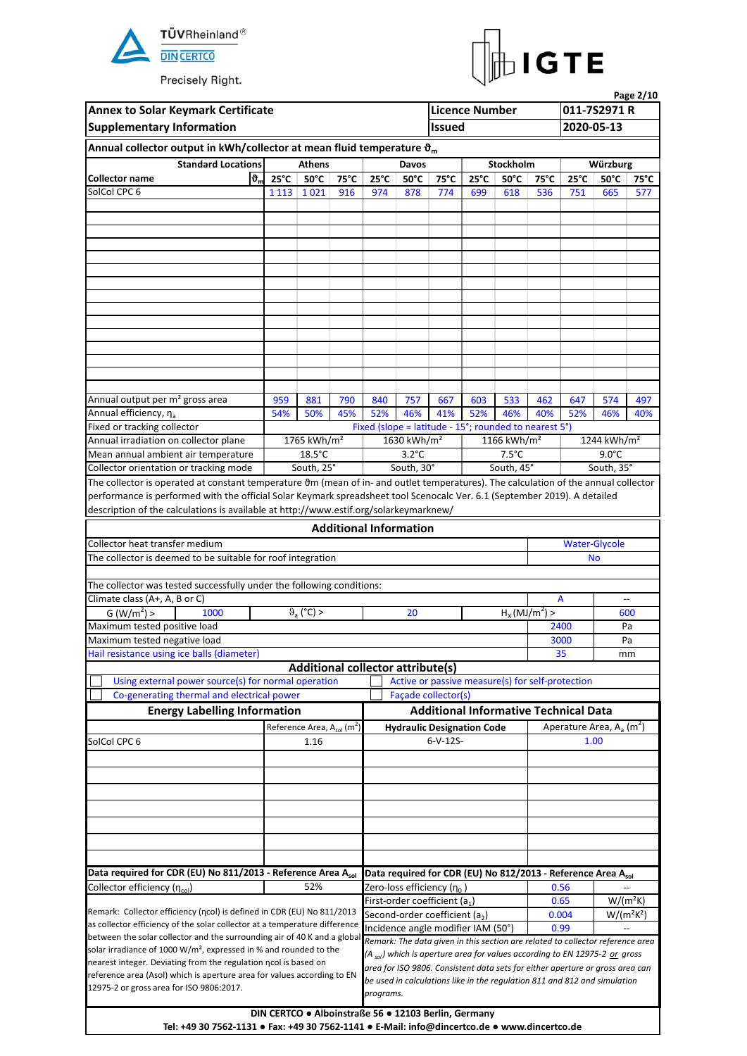



| Page 2/10<br><b>Annex to Solar Keymark Certificate</b><br><b>Licence Number</b><br>011-7S2971 R<br>2020-05-13<br><b>Supplementary Information</b><br><b>Issued</b><br>Annual collector output in kWh/collector at mean fluid temperature $\mathfrak{d}_{m}$<br><b>Standard Locations</b><br><b>Athens</b><br>Stockholm<br>Davos<br>Würzburg<br><b>Collector name</b><br>$\boldsymbol{\vartheta}_{\sf m}$<br>$25^{\circ}$ C<br>$50^{\circ}$ C<br>$75^{\circ}$ C<br>$25^{\circ}$ C<br>$50^{\circ}$ C<br>$25^{\circ}$ C<br>$50^{\circ}$ C<br>$50^{\circ}$ C<br>75°C<br>75°C<br>$25^{\circ}$ C<br>SolCol CPC 6<br>1 1 1 3   1 0 2 1<br>916<br>974<br>878<br>774<br>699<br>618<br>536<br>665<br>751<br>Annual output per m <sup>2</sup> gross area<br>959<br>881<br>790<br>840<br>757<br>667<br>603<br>533<br>462<br>647<br>574<br>Annual efficiency, na<br>54%<br>50%<br>45%<br>52%<br>46%<br>41%<br>52%<br>46%<br>40%<br>52%<br>46%<br>Fixed or tracking collector<br>Fixed (slope = latitude - 15°; rounded to nearest 5°)<br>1765 kWh/m <sup>2</sup><br>Annual irradiation on collector plane<br>1630 kWh/m <sup>2</sup><br>1244 kWh/m <sup>2</sup><br>1166 kWh/ $m2$<br>$18.5^{\circ}$ C<br>$3.2^{\circ}$ C<br>$7.5^{\circ}$ C<br>$9.0^{\circ}$ C<br>Mean annual ambient air temperature<br>South, 30°<br>South, 45°<br>South, 25°<br>South, 35°<br>Collector orientation or tracking mode<br>The collector is operated at constant temperature $\vartheta$ m (mean of in- and outlet temperatures). The calculation of the annual collector<br>performance is performed with the official Solar Keymark spreadsheet tool Scenocalc Ver. 6.1 (September 2019). A detailed<br>description of the calculations is available at http://www.estif.org/solarkeymarknew/<br><b>Additional Information</b><br>Collector heat transfer medium<br><b>Water-Glycole</b><br>The collector is deemed to be suitable for roof integration<br><b>No</b><br>The collector was tested successfully under the following conditions:<br>Climate class (A+, A, B or C)<br>A<br>$\overline{\phantom{a}}$<br>$\vartheta$ (°C) ><br>$H_X(\overline{MJ/m^2}) >$<br>G (W/m <sup>2</sup> ) ><br>1000<br>20<br>600<br>Maximum tested positive load<br>2400<br>Pa<br>Maximum tested negative load<br>3000<br>Pa<br>Hail resistance using ice balls (diameter)<br>35<br>mm<br>Additional collector attribute(s)<br>Using external power source(s) for normal operation<br>Active or passive measure(s) for self-protection<br>Façade collector(s)<br>Co-generating thermal and electrical power<br><b>Additional Informative Technical Data</b><br><b>Energy Labelling Information</b><br>Reference Area, $A_{sol}$ (m <sup>2</sup> )<br>Aperature Area, $A_a$ (m <sup>2</sup> )<br><b>Hydraulic Designation Code</b><br>$6-V-12S-$<br>SolCol CPC 6<br>1.16<br>1.00 |                                                                                                                                                                                                                                                                                                                                                                                                                                                                                                             |     |  |           |  |                                                                               | 75°C |                                                     |      |                                                                                        |     |
|-----------------------------------------------------------------------------------------------------------------------------------------------------------------------------------------------------------------------------------------------------------------------------------------------------------------------------------------------------------------------------------------------------------------------------------------------------------------------------------------------------------------------------------------------------------------------------------------------------------------------------------------------------------------------------------------------------------------------------------------------------------------------------------------------------------------------------------------------------------------------------------------------------------------------------------------------------------------------------------------------------------------------------------------------------------------------------------------------------------------------------------------------------------------------------------------------------------------------------------------------------------------------------------------------------------------------------------------------------------------------------------------------------------------------------------------------------------------------------------------------------------------------------------------------------------------------------------------------------------------------------------------------------------------------------------------------------------------------------------------------------------------------------------------------------------------------------------------------------------------------------------------------------------------------------------------------------------------------------------------------------------------------------------------------------------------------------------------------------------------------------------------------------------------------------------------------------------------------------------------------------------------------------------------------------------------------------------------------------------------------------------------------------------------------------------------------------------------------------------------------------------------------------------------------------------------------------------------------------------------------------------------------------------------------------------------------------------------------------------------------------------------------------------------------------------------------------------------|-------------------------------------------------------------------------------------------------------------------------------------------------------------------------------------------------------------------------------------------------------------------------------------------------------------------------------------------------------------------------------------------------------------------------------------------------------------------------------------------------------------|-----|--|-----------|--|-------------------------------------------------------------------------------|------|-----------------------------------------------------|------|----------------------------------------------------------------------------------------|-----|
| Data required for CDR (EU) No 811/2013 - Reference Area Asol<br>Data required for CDR (EU) No 812/2013 - Reference Area Asol<br>52%<br>Zero-loss efficiency (n <sub>0</sub> )                                                                                                                                                                                                                                                                                                                                                                                                                                                                                                                                                                                                                                                                                                                                                                                                                                                                                                                                                                                                                                                                                                                                                                                                                                                                                                                                                                                                                                                                                                                                                                                                                                                                                                                                                                                                                                                                                                                                                                                                                                                                                                                                                                                                                                                                                                                                                                                                                                                                                                                                                                                                                                                           |                                                                                                                                                                                                                                                                                                                                                                                                                                                                                                             | 577 |  |           |  |                                                                               |      |                                                     |      |                                                                                        |     |
|                                                                                                                                                                                                                                                                                                                                                                                                                                                                                                                                                                                                                                                                                                                                                                                                                                                                                                                                                                                                                                                                                                                                                                                                                                                                                                                                                                                                                                                                                                                                                                                                                                                                                                                                                                                                                                                                                                                                                                                                                                                                                                                                                                                                                                                                                                                                                                                                                                                                                                                                                                                                                                                                                                                                                                                                                                         |                                                                                                                                                                                                                                                                                                                                                                                                                                                                                                             |     |  |           |  |                                                                               |      | 0.56<br>$W/(m^2K)$<br>0.65<br>$W/(m^2K^2)$<br>0.004 |      |                                                                                        |     |
|                                                                                                                                                                                                                                                                                                                                                                                                                                                                                                                                                                                                                                                                                                                                                                                                                                                                                                                                                                                                                                                                                                                                                                                                                                                                                                                                                                                                                                                                                                                                                                                                                                                                                                                                                                                                                                                                                                                                                                                                                                                                                                                                                                                                                                                                                                                                                                                                                                                                                                                                                                                                                                                                                                                                                                                                                                         |                                                                                                                                                                                                                                                                                                                                                                                                                                                                                                             |     |  |           |  |                                                                               |      |                                                     |      |                                                                                        |     |
|                                                                                                                                                                                                                                                                                                                                                                                                                                                                                                                                                                                                                                                                                                                                                                                                                                                                                                                                                                                                                                                                                                                                                                                                                                                                                                                                                                                                                                                                                                                                                                                                                                                                                                                                                                                                                                                                                                                                                                                                                                                                                                                                                                                                                                                                                                                                                                                                                                                                                                                                                                                                                                                                                                                                                                                                                                         |                                                                                                                                                                                                                                                                                                                                                                                                                                                                                                             |     |  |           |  |                                                                               |      |                                                     |      |                                                                                        |     |
|                                                                                                                                                                                                                                                                                                                                                                                                                                                                                                                                                                                                                                                                                                                                                                                                                                                                                                                                                                                                                                                                                                                                                                                                                                                                                                                                                                                                                                                                                                                                                                                                                                                                                                                                                                                                                                                                                                                                                                                                                                                                                                                                                                                                                                                                                                                                                                                                                                                                                                                                                                                                                                                                                                                                                                                                                                         |                                                                                                                                                                                                                                                                                                                                                                                                                                                                                                             |     |  |           |  |                                                                               |      |                                                     |      |                                                                                        |     |
|                                                                                                                                                                                                                                                                                                                                                                                                                                                                                                                                                                                                                                                                                                                                                                                                                                                                                                                                                                                                                                                                                                                                                                                                                                                                                                                                                                                                                                                                                                                                                                                                                                                                                                                                                                                                                                                                                                                                                                                                                                                                                                                                                                                                                                                                                                                                                                                                                                                                                                                                                                                                                                                                                                                                                                                                                                         |                                                                                                                                                                                                                                                                                                                                                                                                                                                                                                             |     |  |           |  |                                                                               |      |                                                     |      |                                                                                        |     |
|                                                                                                                                                                                                                                                                                                                                                                                                                                                                                                                                                                                                                                                                                                                                                                                                                                                                                                                                                                                                                                                                                                                                                                                                                                                                                                                                                                                                                                                                                                                                                                                                                                                                                                                                                                                                                                                                                                                                                                                                                                                                                                                                                                                                                                                                                                                                                                                                                                                                                                                                                                                                                                                                                                                                                                                                                                         |                                                                                                                                                                                                                                                                                                                                                                                                                                                                                                             |     |  |           |  |                                                                               |      |                                                     |      |                                                                                        |     |
|                                                                                                                                                                                                                                                                                                                                                                                                                                                                                                                                                                                                                                                                                                                                                                                                                                                                                                                                                                                                                                                                                                                                                                                                                                                                                                                                                                                                                                                                                                                                                                                                                                                                                                                                                                                                                                                                                                                                                                                                                                                                                                                                                                                                                                                                                                                                                                                                                                                                                                                                                                                                                                                                                                                                                                                                                                         |                                                                                                                                                                                                                                                                                                                                                                                                                                                                                                             |     |  |           |  |                                                                               |      |                                                     |      |                                                                                        |     |
|                                                                                                                                                                                                                                                                                                                                                                                                                                                                                                                                                                                                                                                                                                                                                                                                                                                                                                                                                                                                                                                                                                                                                                                                                                                                                                                                                                                                                                                                                                                                                                                                                                                                                                                                                                                                                                                                                                                                                                                                                                                                                                                                                                                                                                                                                                                                                                                                                                                                                                                                                                                                                                                                                                                                                                                                                                         |                                                                                                                                                                                                                                                                                                                                                                                                                                                                                                             |     |  |           |  |                                                                               |      |                                                     |      |                                                                                        |     |
|                                                                                                                                                                                                                                                                                                                                                                                                                                                                                                                                                                                                                                                                                                                                                                                                                                                                                                                                                                                                                                                                                                                                                                                                                                                                                                                                                                                                                                                                                                                                                                                                                                                                                                                                                                                                                                                                                                                                                                                                                                                                                                                                                                                                                                                                                                                                                                                                                                                                                                                                                                                                                                                                                                                                                                                                                                         |                                                                                                                                                                                                                                                                                                                                                                                                                                                                                                             |     |  |           |  |                                                                               |      |                                                     |      |                                                                                        |     |
|                                                                                                                                                                                                                                                                                                                                                                                                                                                                                                                                                                                                                                                                                                                                                                                                                                                                                                                                                                                                                                                                                                                                                                                                                                                                                                                                                                                                                                                                                                                                                                                                                                                                                                                                                                                                                                                                                                                                                                                                                                                                                                                                                                                                                                                                                                                                                                                                                                                                                                                                                                                                                                                                                                                                                                                                                                         |                                                                                                                                                                                                                                                                                                                                                                                                                                                                                                             |     |  |           |  |                                                                               |      |                                                     |      |                                                                                        |     |
|                                                                                                                                                                                                                                                                                                                                                                                                                                                                                                                                                                                                                                                                                                                                                                                                                                                                                                                                                                                                                                                                                                                                                                                                                                                                                                                                                                                                                                                                                                                                                                                                                                                                                                                                                                                                                                                                                                                                                                                                                                                                                                                                                                                                                                                                                                                                                                                                                                                                                                                                                                                                                                                                                                                                                                                                                                         |                                                                                                                                                                                                                                                                                                                                                                                                                                                                                                             |     |  |           |  |                                                                               |      |                                                     |      |                                                                                        |     |
|                                                                                                                                                                                                                                                                                                                                                                                                                                                                                                                                                                                                                                                                                                                                                                                                                                                                                                                                                                                                                                                                                                                                                                                                                                                                                                                                                                                                                                                                                                                                                                                                                                                                                                                                                                                                                                                                                                                                                                                                                                                                                                                                                                                                                                                                                                                                                                                                                                                                                                                                                                                                                                                                                                                                                                                                                                         |                                                                                                                                                                                                                                                                                                                                                                                                                                                                                                             |     |  |           |  |                                                                               |      |                                                     |      |                                                                                        |     |
|                                                                                                                                                                                                                                                                                                                                                                                                                                                                                                                                                                                                                                                                                                                                                                                                                                                                                                                                                                                                                                                                                                                                                                                                                                                                                                                                                                                                                                                                                                                                                                                                                                                                                                                                                                                                                                                                                                                                                                                                                                                                                                                                                                                                                                                                                                                                                                                                                                                                                                                                                                                                                                                                                                                                                                                                                                         |                                                                                                                                                                                                                                                                                                                                                                                                                                                                                                             |     |  |           |  |                                                                               |      |                                                     |      |                                                                                        |     |
|                                                                                                                                                                                                                                                                                                                                                                                                                                                                                                                                                                                                                                                                                                                                                                                                                                                                                                                                                                                                                                                                                                                                                                                                                                                                                                                                                                                                                                                                                                                                                                                                                                                                                                                                                                                                                                                                                                                                                                                                                                                                                                                                                                                                                                                                                                                                                                                                                                                                                                                                                                                                                                                                                                                                                                                                                                         |                                                                                                                                                                                                                                                                                                                                                                                                                                                                                                             |     |  |           |  |                                                                               |      |                                                     |      |                                                                                        | 497 |
|                                                                                                                                                                                                                                                                                                                                                                                                                                                                                                                                                                                                                                                                                                                                                                                                                                                                                                                                                                                                                                                                                                                                                                                                                                                                                                                                                                                                                                                                                                                                                                                                                                                                                                                                                                                                                                                                                                                                                                                                                                                                                                                                                                                                                                                                                                                                                                                                                                                                                                                                                                                                                                                                                                                                                                                                                                         |                                                                                                                                                                                                                                                                                                                                                                                                                                                                                                             |     |  |           |  |                                                                               |      |                                                     |      |                                                                                        | 40% |
|                                                                                                                                                                                                                                                                                                                                                                                                                                                                                                                                                                                                                                                                                                                                                                                                                                                                                                                                                                                                                                                                                                                                                                                                                                                                                                                                                                                                                                                                                                                                                                                                                                                                                                                                                                                                                                                                                                                                                                                                                                                                                                                                                                                                                                                                                                                                                                                                                                                                                                                                                                                                                                                                                                                                                                                                                                         | Collector efficiency (n <sub>col</sub> )<br>Remark: Collector efficiency (ncol) is defined in CDR (EU) No 811/2013<br>as collector efficiency of the solar collector at a temperature difference<br>between the solar collector and the surrounding air of 40 K and a global<br>solar irradiance of 1000 W/m <sup>2</sup> , expressed in % and rounded to the<br>nearest integer. Deviating from the regulation ncol is based on<br>reference area (Asol) which is aperture area for values according to EN |     |  |           |  |                                                                               |      |                                                     |      |                                                                                        |     |
|                                                                                                                                                                                                                                                                                                                                                                                                                                                                                                                                                                                                                                                                                                                                                                                                                                                                                                                                                                                                                                                                                                                                                                                                                                                                                                                                                                                                                                                                                                                                                                                                                                                                                                                                                                                                                                                                                                                                                                                                                                                                                                                                                                                                                                                                                                                                                                                                                                                                                                                                                                                                                                                                                                                                                                                                                                         |                                                                                                                                                                                                                                                                                                                                                                                                                                                                                                             |     |  |           |  |                                                                               |      |                                                     |      |                                                                                        |     |
|                                                                                                                                                                                                                                                                                                                                                                                                                                                                                                                                                                                                                                                                                                                                                                                                                                                                                                                                                                                                                                                                                                                                                                                                                                                                                                                                                                                                                                                                                                                                                                                                                                                                                                                                                                                                                                                                                                                                                                                                                                                                                                                                                                                                                                                                                                                                                                                                                                                                                                                                                                                                                                                                                                                                                                                                                                         |                                                                                                                                                                                                                                                                                                                                                                                                                                                                                                             |     |  |           |  |                                                                               |      |                                                     |      |                                                                                        |     |
|                                                                                                                                                                                                                                                                                                                                                                                                                                                                                                                                                                                                                                                                                                                                                                                                                                                                                                                                                                                                                                                                                                                                                                                                                                                                                                                                                                                                                                                                                                                                                                                                                                                                                                                                                                                                                                                                                                                                                                                                                                                                                                                                                                                                                                                                                                                                                                                                                                                                                                                                                                                                                                                                                                                                                                                                                                         |                                                                                                                                                                                                                                                                                                                                                                                                                                                                                                             |     |  |           |  |                                                                               |      |                                                     |      |                                                                                        |     |
|                                                                                                                                                                                                                                                                                                                                                                                                                                                                                                                                                                                                                                                                                                                                                                                                                                                                                                                                                                                                                                                                                                                                                                                                                                                                                                                                                                                                                                                                                                                                                                                                                                                                                                                                                                                                                                                                                                                                                                                                                                                                                                                                                                                                                                                                                                                                                                                                                                                                                                                                                                                                                                                                                                                                                                                                                                         |                                                                                                                                                                                                                                                                                                                                                                                                                                                                                                             |     |  |           |  |                                                                               |      |                                                     |      |                                                                                        |     |
|                                                                                                                                                                                                                                                                                                                                                                                                                                                                                                                                                                                                                                                                                                                                                                                                                                                                                                                                                                                                                                                                                                                                                                                                                                                                                                                                                                                                                                                                                                                                                                                                                                                                                                                                                                                                                                                                                                                                                                                                                                                                                                                                                                                                                                                                                                                                                                                                                                                                                                                                                                                                                                                                                                                                                                                                                                         |                                                                                                                                                                                                                                                                                                                                                                                                                                                                                                             |     |  |           |  |                                                                               |      |                                                     |      |                                                                                        |     |
|                                                                                                                                                                                                                                                                                                                                                                                                                                                                                                                                                                                                                                                                                                                                                                                                                                                                                                                                                                                                                                                                                                                                                                                                                                                                                                                                                                                                                                                                                                                                                                                                                                                                                                                                                                                                                                                                                                                                                                                                                                                                                                                                                                                                                                                                                                                                                                                                                                                                                                                                                                                                                                                                                                                                                                                                                                         |                                                                                                                                                                                                                                                                                                                                                                                                                                                                                                             |     |  |           |  |                                                                               |      |                                                     |      |                                                                                        |     |
|                                                                                                                                                                                                                                                                                                                                                                                                                                                                                                                                                                                                                                                                                                                                                                                                                                                                                                                                                                                                                                                                                                                                                                                                                                                                                                                                                                                                                                                                                                                                                                                                                                                                                                                                                                                                                                                                                                                                                                                                                                                                                                                                                                                                                                                                                                                                                                                                                                                                                                                                                                                                                                                                                                                                                                                                                                         |                                                                                                                                                                                                                                                                                                                                                                                                                                                                                                             |     |  |           |  |                                                                               |      |                                                     |      |                                                                                        |     |
|                                                                                                                                                                                                                                                                                                                                                                                                                                                                                                                                                                                                                                                                                                                                                                                                                                                                                                                                                                                                                                                                                                                                                                                                                                                                                                                                                                                                                                                                                                                                                                                                                                                                                                                                                                                                                                                                                                                                                                                                                                                                                                                                                                                                                                                                                                                                                                                                                                                                                                                                                                                                                                                                                                                                                                                                                                         |                                                                                                                                                                                                                                                                                                                                                                                                                                                                                                             |     |  |           |  |                                                                               |      |                                                     |      |                                                                                        |     |
|                                                                                                                                                                                                                                                                                                                                                                                                                                                                                                                                                                                                                                                                                                                                                                                                                                                                                                                                                                                                                                                                                                                                                                                                                                                                                                                                                                                                                                                                                                                                                                                                                                                                                                                                                                                                                                                                                                                                                                                                                                                                                                                                                                                                                                                                                                                                                                                                                                                                                                                                                                                                                                                                                                                                                                                                                                         |                                                                                                                                                                                                                                                                                                                                                                                                                                                                                                             |     |  |           |  |                                                                               |      |                                                     |      |                                                                                        |     |
|                                                                                                                                                                                                                                                                                                                                                                                                                                                                                                                                                                                                                                                                                                                                                                                                                                                                                                                                                                                                                                                                                                                                                                                                                                                                                                                                                                                                                                                                                                                                                                                                                                                                                                                                                                                                                                                                                                                                                                                                                                                                                                                                                                                                                                                                                                                                                                                                                                                                                                                                                                                                                                                                                                                                                                                                                                         |                                                                                                                                                                                                                                                                                                                                                                                                                                                                                                             |     |  |           |  |                                                                               |      |                                                     |      |                                                                                        |     |
|                                                                                                                                                                                                                                                                                                                                                                                                                                                                                                                                                                                                                                                                                                                                                                                                                                                                                                                                                                                                                                                                                                                                                                                                                                                                                                                                                                                                                                                                                                                                                                                                                                                                                                                                                                                                                                                                                                                                                                                                                                                                                                                                                                                                                                                                                                                                                                                                                                                                                                                                                                                                                                                                                                                                                                                                                                         |                                                                                                                                                                                                                                                                                                                                                                                                                                                                                                             |     |  |           |  |                                                                               |      |                                                     |      |                                                                                        |     |
|                                                                                                                                                                                                                                                                                                                                                                                                                                                                                                                                                                                                                                                                                                                                                                                                                                                                                                                                                                                                                                                                                                                                                                                                                                                                                                                                                                                                                                                                                                                                                                                                                                                                                                                                                                                                                                                                                                                                                                                                                                                                                                                                                                                                                                                                                                                                                                                                                                                                                                                                                                                                                                                                                                                                                                                                                                         |                                                                                                                                                                                                                                                                                                                                                                                                                                                                                                             |     |  |           |  |                                                                               |      |                                                     |      |                                                                                        |     |
|                                                                                                                                                                                                                                                                                                                                                                                                                                                                                                                                                                                                                                                                                                                                                                                                                                                                                                                                                                                                                                                                                                                                                                                                                                                                                                                                                                                                                                                                                                                                                                                                                                                                                                                                                                                                                                                                                                                                                                                                                                                                                                                                                                                                                                                                                                                                                                                                                                                                                                                                                                                                                                                                                                                                                                                                                                         |                                                                                                                                                                                                                                                                                                                                                                                                                                                                                                             |     |  |           |  |                                                                               |      |                                                     |      |                                                                                        |     |
|                                                                                                                                                                                                                                                                                                                                                                                                                                                                                                                                                                                                                                                                                                                                                                                                                                                                                                                                                                                                                                                                                                                                                                                                                                                                                                                                                                                                                                                                                                                                                                                                                                                                                                                                                                                                                                                                                                                                                                                                                                                                                                                                                                                                                                                                                                                                                                                                                                                                                                                                                                                                                                                                                                                                                                                                                                         |                                                                                                                                                                                                                                                                                                                                                                                                                                                                                                             |     |  |           |  |                                                                               |      |                                                     |      |                                                                                        |     |
|                                                                                                                                                                                                                                                                                                                                                                                                                                                                                                                                                                                                                                                                                                                                                                                                                                                                                                                                                                                                                                                                                                                                                                                                                                                                                                                                                                                                                                                                                                                                                                                                                                                                                                                                                                                                                                                                                                                                                                                                                                                                                                                                                                                                                                                                                                                                                                                                                                                                                                                                                                                                                                                                                                                                                                                                                                         |                                                                                                                                                                                                                                                                                                                                                                                                                                                                                                             |     |  |           |  |                                                                               |      |                                                     |      |                                                                                        |     |
|                                                                                                                                                                                                                                                                                                                                                                                                                                                                                                                                                                                                                                                                                                                                                                                                                                                                                                                                                                                                                                                                                                                                                                                                                                                                                                                                                                                                                                                                                                                                                                                                                                                                                                                                                                                                                                                                                                                                                                                                                                                                                                                                                                                                                                                                                                                                                                                                                                                                                                                                                                                                                                                                                                                                                                                                                                         |                                                                                                                                                                                                                                                                                                                                                                                                                                                                                                             |     |  |           |  |                                                                               |      |                                                     |      |                                                                                        |     |
|                                                                                                                                                                                                                                                                                                                                                                                                                                                                                                                                                                                                                                                                                                                                                                                                                                                                                                                                                                                                                                                                                                                                                                                                                                                                                                                                                                                                                                                                                                                                                                                                                                                                                                                                                                                                                                                                                                                                                                                                                                                                                                                                                                                                                                                                                                                                                                                                                                                                                                                                                                                                                                                                                                                                                                                                                                         |                                                                                                                                                                                                                                                                                                                                                                                                                                                                                                             |     |  |           |  |                                                                               |      |                                                     |      |                                                                                        |     |
|                                                                                                                                                                                                                                                                                                                                                                                                                                                                                                                                                                                                                                                                                                                                                                                                                                                                                                                                                                                                                                                                                                                                                                                                                                                                                                                                                                                                                                                                                                                                                                                                                                                                                                                                                                                                                                                                                                                                                                                                                                                                                                                                                                                                                                                                                                                                                                                                                                                                                                                                                                                                                                                                                                                                                                                                                                         |                                                                                                                                                                                                                                                                                                                                                                                                                                                                                                             |     |  |           |  |                                                                               |      |                                                     |      |                                                                                        |     |
|                                                                                                                                                                                                                                                                                                                                                                                                                                                                                                                                                                                                                                                                                                                                                                                                                                                                                                                                                                                                                                                                                                                                                                                                                                                                                                                                                                                                                                                                                                                                                                                                                                                                                                                                                                                                                                                                                                                                                                                                                                                                                                                                                                                                                                                                                                                                                                                                                                                                                                                                                                                                                                                                                                                                                                                                                                         |                                                                                                                                                                                                                                                                                                                                                                                                                                                                                                             |     |  |           |  |                                                                               |      |                                                     |      |                                                                                        |     |
|                                                                                                                                                                                                                                                                                                                                                                                                                                                                                                                                                                                                                                                                                                                                                                                                                                                                                                                                                                                                                                                                                                                                                                                                                                                                                                                                                                                                                                                                                                                                                                                                                                                                                                                                                                                                                                                                                                                                                                                                                                                                                                                                                                                                                                                                                                                                                                                                                                                                                                                                                                                                                                                                                                                                                                                                                                         |                                                                                                                                                                                                                                                                                                                                                                                                                                                                                                             |     |  |           |  |                                                                               |      |                                                     |      |                                                                                        |     |
|                                                                                                                                                                                                                                                                                                                                                                                                                                                                                                                                                                                                                                                                                                                                                                                                                                                                                                                                                                                                                                                                                                                                                                                                                                                                                                                                                                                                                                                                                                                                                                                                                                                                                                                                                                                                                                                                                                                                                                                                                                                                                                                                                                                                                                                                                                                                                                                                                                                                                                                                                                                                                                                                                                                                                                                                                                         |                                                                                                                                                                                                                                                                                                                                                                                                                                                                                                             |     |  |           |  |                                                                               |      |                                                     |      |                                                                                        |     |
|                                                                                                                                                                                                                                                                                                                                                                                                                                                                                                                                                                                                                                                                                                                                                                                                                                                                                                                                                                                                                                                                                                                                                                                                                                                                                                                                                                                                                                                                                                                                                                                                                                                                                                                                                                                                                                                                                                                                                                                                                                                                                                                                                                                                                                                                                                                                                                                                                                                                                                                                                                                                                                                                                                                                                                                                                                         |                                                                                                                                                                                                                                                                                                                                                                                                                                                                                                             |     |  |           |  |                                                                               |      |                                                     |      |                                                                                        |     |
|                                                                                                                                                                                                                                                                                                                                                                                                                                                                                                                                                                                                                                                                                                                                                                                                                                                                                                                                                                                                                                                                                                                                                                                                                                                                                                                                                                                                                                                                                                                                                                                                                                                                                                                                                                                                                                                                                                                                                                                                                                                                                                                                                                                                                                                                                                                                                                                                                                                                                                                                                                                                                                                                                                                                                                                                                                         |                                                                                                                                                                                                                                                                                                                                                                                                                                                                                                             |     |  |           |  |                                                                               |      |                                                     |      |                                                                                        |     |
|                                                                                                                                                                                                                                                                                                                                                                                                                                                                                                                                                                                                                                                                                                                                                                                                                                                                                                                                                                                                                                                                                                                                                                                                                                                                                                                                                                                                                                                                                                                                                                                                                                                                                                                                                                                                                                                                                                                                                                                                                                                                                                                                                                                                                                                                                                                                                                                                                                                                                                                                                                                                                                                                                                                                                                                                                                         |                                                                                                                                                                                                                                                                                                                                                                                                                                                                                                             |     |  |           |  |                                                                               |      |                                                     |      |                                                                                        |     |
|                                                                                                                                                                                                                                                                                                                                                                                                                                                                                                                                                                                                                                                                                                                                                                                                                                                                                                                                                                                                                                                                                                                                                                                                                                                                                                                                                                                                                                                                                                                                                                                                                                                                                                                                                                                                                                                                                                                                                                                                                                                                                                                                                                                                                                                                                                                                                                                                                                                                                                                                                                                                                                                                                                                                                                                                                                         |                                                                                                                                                                                                                                                                                                                                                                                                                                                                                                             |     |  |           |  |                                                                               |      |                                                     |      |                                                                                        |     |
|                                                                                                                                                                                                                                                                                                                                                                                                                                                                                                                                                                                                                                                                                                                                                                                                                                                                                                                                                                                                                                                                                                                                                                                                                                                                                                                                                                                                                                                                                                                                                                                                                                                                                                                                                                                                                                                                                                                                                                                                                                                                                                                                                                                                                                                                                                                                                                                                                                                                                                                                                                                                                                                                                                                                                                                                                                         |                                                                                                                                                                                                                                                                                                                                                                                                                                                                                                             |     |  |           |  |                                                                               |      |                                                     |      |                                                                                        |     |
|                                                                                                                                                                                                                                                                                                                                                                                                                                                                                                                                                                                                                                                                                                                                                                                                                                                                                                                                                                                                                                                                                                                                                                                                                                                                                                                                                                                                                                                                                                                                                                                                                                                                                                                                                                                                                                                                                                                                                                                                                                                                                                                                                                                                                                                                                                                                                                                                                                                                                                                                                                                                                                                                                                                                                                                                                                         |                                                                                                                                                                                                                                                                                                                                                                                                                                                                                                             |     |  |           |  |                                                                               |      |                                                     |      |                                                                                        |     |
|                                                                                                                                                                                                                                                                                                                                                                                                                                                                                                                                                                                                                                                                                                                                                                                                                                                                                                                                                                                                                                                                                                                                                                                                                                                                                                                                                                                                                                                                                                                                                                                                                                                                                                                                                                                                                                                                                                                                                                                                                                                                                                                                                                                                                                                                                                                                                                                                                                                                                                                                                                                                                                                                                                                                                                                                                                         |                                                                                                                                                                                                                                                                                                                                                                                                                                                                                                             |     |  |           |  |                                                                               |      |                                                     |      |                                                                                        |     |
|                                                                                                                                                                                                                                                                                                                                                                                                                                                                                                                                                                                                                                                                                                                                                                                                                                                                                                                                                                                                                                                                                                                                                                                                                                                                                                                                                                                                                                                                                                                                                                                                                                                                                                                                                                                                                                                                                                                                                                                                                                                                                                                                                                                                                                                                                                                                                                                                                                                                                                                                                                                                                                                                                                                                                                                                                                         |                                                                                                                                                                                                                                                                                                                                                                                                                                                                                                             |     |  |           |  |                                                                               |      |                                                     |      |                                                                                        |     |
|                                                                                                                                                                                                                                                                                                                                                                                                                                                                                                                                                                                                                                                                                                                                                                                                                                                                                                                                                                                                                                                                                                                                                                                                                                                                                                                                                                                                                                                                                                                                                                                                                                                                                                                                                                                                                                                                                                                                                                                                                                                                                                                                                                                                                                                                                                                                                                                                                                                                                                                                                                                                                                                                                                                                                                                                                                         |                                                                                                                                                                                                                                                                                                                                                                                                                                                                                                             |     |  |           |  |                                                                               |      |                                                     |      |                                                                                        |     |
|                                                                                                                                                                                                                                                                                                                                                                                                                                                                                                                                                                                                                                                                                                                                                                                                                                                                                                                                                                                                                                                                                                                                                                                                                                                                                                                                                                                                                                                                                                                                                                                                                                                                                                                                                                                                                                                                                                                                                                                                                                                                                                                                                                                                                                                                                                                                                                                                                                                                                                                                                                                                                                                                                                                                                                                                                                         |                                                                                                                                                                                                                                                                                                                                                                                                                                                                                                             |     |  |           |  |                                                                               |      |                                                     |      |                                                                                        |     |
|                                                                                                                                                                                                                                                                                                                                                                                                                                                                                                                                                                                                                                                                                                                                                                                                                                                                                                                                                                                                                                                                                                                                                                                                                                                                                                                                                                                                                                                                                                                                                                                                                                                                                                                                                                                                                                                                                                                                                                                                                                                                                                                                                                                                                                                                                                                                                                                                                                                                                                                                                                                                                                                                                                                                                                                                                                         |                                                                                                                                                                                                                                                                                                                                                                                                                                                                                                             |     |  |           |  | First-order coefficient $(a_1)$<br>Second-order coefficient (a <sub>2</sub> ) |      |                                                     |      |                                                                                        |     |
|                                                                                                                                                                                                                                                                                                                                                                                                                                                                                                                                                                                                                                                                                                                                                                                                                                                                                                                                                                                                                                                                                                                                                                                                                                                                                                                                                                                                                                                                                                                                                                                                                                                                                                                                                                                                                                                                                                                                                                                                                                                                                                                                                                                                                                                                                                                                                                                                                                                                                                                                                                                                                                                                                                                                                                                                                                         |                                                                                                                                                                                                                                                                                                                                                                                                                                                                                                             |     |  |           |  | Incidence angle modifier IAM (50°)                                            |      |                                                     | 0.99 |                                                                                        |     |
|                                                                                                                                                                                                                                                                                                                                                                                                                                                                                                                                                                                                                                                                                                                                                                                                                                                                                                                                                                                                                                                                                                                                                                                                                                                                                                                                                                                                                                                                                                                                                                                                                                                                                                                                                                                                                                                                                                                                                                                                                                                                                                                                                                                                                                                                                                                                                                                                                                                                                                                                                                                                                                                                                                                                                                                                                                         |                                                                                                                                                                                                                                                                                                                                                                                                                                                                                                             |     |  |           |  |                                                                               |      |                                                     |      | Remark: The data given in this section are related to collector reference area         |     |
|                                                                                                                                                                                                                                                                                                                                                                                                                                                                                                                                                                                                                                                                                                                                                                                                                                                                                                                                                                                                                                                                                                                                                                                                                                                                                                                                                                                                                                                                                                                                                                                                                                                                                                                                                                                                                                                                                                                                                                                                                                                                                                                                                                                                                                                                                                                                                                                                                                                                                                                                                                                                                                                                                                                                                                                                                                         |                                                                                                                                                                                                                                                                                                                                                                                                                                                                                                             |     |  |           |  |                                                                               |      |                                                     |      | (A <sub>sol</sub> ) which is aperture area for values according to EN 12975-2 or gross |     |
|                                                                                                                                                                                                                                                                                                                                                                                                                                                                                                                                                                                                                                                                                                                                                                                                                                                                                                                                                                                                                                                                                                                                                                                                                                                                                                                                                                                                                                                                                                                                                                                                                                                                                                                                                                                                                                                                                                                                                                                                                                                                                                                                                                                                                                                                                                                                                                                                                                                                                                                                                                                                                                                                                                                                                                                                                                         |                                                                                                                                                                                                                                                                                                                                                                                                                                                                                                             |     |  |           |  |                                                                               |      |                                                     |      | area for ISO 9806. Consistent data sets for either aperture or gross area can          |     |
| 12975-2 or gross area for ISO 9806:2017.                                                                                                                                                                                                                                                                                                                                                                                                                                                                                                                                                                                                                                                                                                                                                                                                                                                                                                                                                                                                                                                                                                                                                                                                                                                                                                                                                                                                                                                                                                                                                                                                                                                                                                                                                                                                                                                                                                                                                                                                                                                                                                                                                                                                                                                                                                                                                                                                                                                                                                                                                                                                                                                                                                                                                                                                |                                                                                                                                                                                                                                                                                                                                                                                                                                                                                                             |     |  |           |  |                                                                               |      |                                                     |      | be used in calculations like in the regulation 811 and 812 and simulation              |     |
|                                                                                                                                                                                                                                                                                                                                                                                                                                                                                                                                                                                                                                                                                                                                                                                                                                                                                                                                                                                                                                                                                                                                                                                                                                                                                                                                                                                                                                                                                                                                                                                                                                                                                                                                                                                                                                                                                                                                                                                                                                                                                                                                                                                                                                                                                                                                                                                                                                                                                                                                                                                                                                                                                                                                                                                                                                         |                                                                                                                                                                                                                                                                                                                                                                                                                                                                                                             |     |  | programs. |  |                                                                               |      |                                                     |      |                                                                                        |     |
|                                                                                                                                                                                                                                                                                                                                                                                                                                                                                                                                                                                                                                                                                                                                                                                                                                                                                                                                                                                                                                                                                                                                                                                                                                                                                                                                                                                                                                                                                                                                                                                                                                                                                                                                                                                                                                                                                                                                                                                                                                                                                                                                                                                                                                                                                                                                                                                                                                                                                                                                                                                                                                                                                                                                                                                                                                         |                                                                                                                                                                                                                                                                                                                                                                                                                                                                                                             |     |  |           |  | DIN CERTCO . Alboinstraße 56 . 12103 Berlin, Germany                          |      |                                                     |      |                                                                                        |     |
| Tel: +49 30 7562-1131 • Fax: +49 30 7562-1141 • E-Mail: info@dincertco.de • www.dincertco.de                                                                                                                                                                                                                                                                                                                                                                                                                                                                                                                                                                                                                                                                                                                                                                                                                                                                                                                                                                                                                                                                                                                                                                                                                                                                                                                                                                                                                                                                                                                                                                                                                                                                                                                                                                                                                                                                                                                                                                                                                                                                                                                                                                                                                                                                                                                                                                                                                                                                                                                                                                                                                                                                                                                                            |                                                                                                                                                                                                                                                                                                                                                                                                                                                                                                             |     |  |           |  |                                                                               |      |                                                     |      |                                                                                        |     |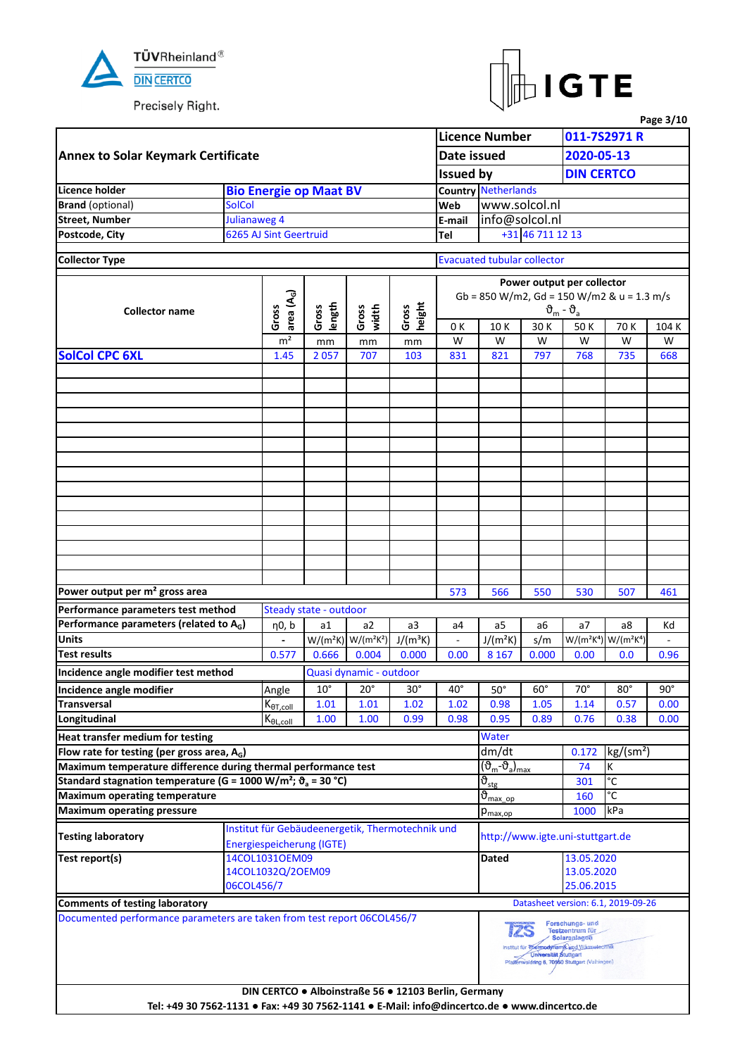



|                                                                                                |               |                                                         |                               |                           |                                                  |                                                      |                                                  |                              |                                                                                                                                        |                                                                                                                                                                                                                                                                                                                                                                                                                                              | Page 3/10  |  |  |  |
|------------------------------------------------------------------------------------------------|---------------|---------------------------------------------------------|-------------------------------|---------------------------|--------------------------------------------------|------------------------------------------------------|--------------------------------------------------|------------------------------|----------------------------------------------------------------------------------------------------------------------------------------|----------------------------------------------------------------------------------------------------------------------------------------------------------------------------------------------------------------------------------------------------------------------------------------------------------------------------------------------------------------------------------------------------------------------------------------------|------------|--|--|--|
|                                                                                                |               |                                                         |                               |                           |                                                  |                                                      | <b>Licence Number</b>                            |                              |                                                                                                                                        | 011-7S2971 R                                                                                                                                                                                                                                                                                                                                                                                                                                 |            |  |  |  |
| <b>Annex to Solar Keymark Certificate</b>                                                      |               |                                                         |                               |                           |                                                  | Date issued                                          |                                                  |                              |                                                                                                                                        |                                                                                                                                                                                                                                                                                                                                                                                                                                              |            |  |  |  |
|                                                                                                |               |                                                         |                               |                           |                                                  | <b>Issued by</b>                                     |                                                  |                              |                                                                                                                                        |                                                                                                                                                                                                                                                                                                                                                                                                                                              |            |  |  |  |
| Licence holder                                                                                 |               |                                                         | <b>Bio Energie op Maat BV</b> |                           |                                                  |                                                      | <b>Country Netherlands</b>                       |                              |                                                                                                                                        |                                                                                                                                                                                                                                                                                                                                                                                                                                              |            |  |  |  |
| <b>Brand</b> (optional)                                                                        | <b>SolCol</b> |                                                         |                               |                           |                                                  | Web                                                  | www.solcol.nl                                    |                              |                                                                                                                                        |                                                                                                                                                                                                                                                                                                                                                                                                                                              |            |  |  |  |
| <b>Street, Number</b>                                                                          | Julianaweg 4  |                                                         |                               |                           |                                                  | E-mail                                               | info@solcol.nl                                   |                              |                                                                                                                                        |                                                                                                                                                                                                                                                                                                                                                                                                                                              |            |  |  |  |
| Postcode, City                                                                                 |               | 6265 AJ Sint Geertruid                                  |                               |                           |                                                  | Tel                                                  |                                                  | +31 46 711 12 13             |                                                                                                                                        |                                                                                                                                                                                                                                                                                                                                                                                                                                              |            |  |  |  |
|                                                                                                |               |                                                         |                               |                           |                                                  |                                                      |                                                  |                              |                                                                                                                                        |                                                                                                                                                                                                                                                                                                                                                                                                                                              |            |  |  |  |
| <b>Collector Type</b>                                                                          |               |                                                         |                               |                           |                                                  |                                                      | <b>Evacuated tubular collector</b>               |                              |                                                                                                                                        |                                                                                                                                                                                                                                                                                                                                                                                                                                              |            |  |  |  |
|                                                                                                |               |                                                         |                               |                           |                                                  |                                                      |                                                  |                              |                                                                                                                                        |                                                                                                                                                                                                                                                                                                                                                                                                                                              |            |  |  |  |
|                                                                                                |               | area $(A_G)$                                            |                               |                           |                                                  |                                                      |                                                  |                              |                                                                                                                                        |                                                                                                                                                                                                                                                                                                                                                                                                                                              |            |  |  |  |
| <b>Collector name</b>                                                                          |               | Gross                                                   | length<br>Gross               | Gross<br>width            | height<br>Gross                                  |                                                      |                                                  |                              | $\vartheta_{\rm m}$ - $\vartheta_{\rm a}$                                                                                              |                                                                                                                                                                                                                                                                                                                                                                                                                                              |            |  |  |  |
|                                                                                                |               |                                                         |                               |                           |                                                  | 0 K                                                  | 10K                                              | 30 K                         | 50K                                                                                                                                    | 70 K                                                                                                                                                                                                                                                                                                                                                                                                                                         | 104 K      |  |  |  |
|                                                                                                |               | m <sup>2</sup>                                          | mm                            | mm                        | mm                                               | W                                                    | W                                                | W                            | W                                                                                                                                      | W                                                                                                                                                                                                                                                                                                                                                                                                                                            | W          |  |  |  |
| <b>SolCol CPC 6XL</b>                                                                          |               | 1.45                                                    | 2057                          | 707                       | 103                                              | 831                                                  | 821                                              | 797                          | 768                                                                                                                                    | 735                                                                                                                                                                                                                                                                                                                                                                                                                                          | 668        |  |  |  |
|                                                                                                |               |                                                         |                               |                           |                                                  |                                                      |                                                  |                              |                                                                                                                                        |                                                                                                                                                                                                                                                                                                                                                                                                                                              |            |  |  |  |
|                                                                                                |               |                                                         |                               |                           |                                                  |                                                      |                                                  |                              |                                                                                                                                        |                                                                                                                                                                                                                                                                                                                                                                                                                                              |            |  |  |  |
|                                                                                                |               |                                                         |                               |                           |                                                  |                                                      |                                                  |                              |                                                                                                                                        |                                                                                                                                                                                                                                                                                                                                                                                                                                              |            |  |  |  |
|                                                                                                |               |                                                         |                               |                           |                                                  |                                                      |                                                  |                              |                                                                                                                                        |                                                                                                                                                                                                                                                                                                                                                                                                                                              |            |  |  |  |
|                                                                                                |               |                                                         |                               |                           |                                                  |                                                      |                                                  |                              |                                                                                                                                        |                                                                                                                                                                                                                                                                                                                                                                                                                                              |            |  |  |  |
|                                                                                                |               |                                                         |                               |                           |                                                  |                                                      |                                                  |                              |                                                                                                                                        |                                                                                                                                                                                                                                                                                                                                                                                                                                              |            |  |  |  |
|                                                                                                |               |                                                         |                               |                           |                                                  |                                                      |                                                  |                              |                                                                                                                                        |                                                                                                                                                                                                                                                                                                                                                                                                                                              |            |  |  |  |
|                                                                                                |               |                                                         |                               |                           |                                                  |                                                      |                                                  |                              |                                                                                                                                        |                                                                                                                                                                                                                                                                                                                                                                                                                                              |            |  |  |  |
|                                                                                                |               |                                                         |                               |                           |                                                  |                                                      |                                                  |                              |                                                                                                                                        |                                                                                                                                                                                                                                                                                                                                                                                                                                              |            |  |  |  |
|                                                                                                |               |                                                         |                               |                           |                                                  |                                                      |                                                  |                              |                                                                                                                                        |                                                                                                                                                                                                                                                                                                                                                                                                                                              |            |  |  |  |
|                                                                                                |               |                                                         |                               |                           |                                                  |                                                      |                                                  |                              |                                                                                                                                        |                                                                                                                                                                                                                                                                                                                                                                                                                                              |            |  |  |  |
|                                                                                                |               |                                                         |                               |                           |                                                  |                                                      |                                                  |                              |                                                                                                                                        |                                                                                                                                                                                                                                                                                                                                                                                                                                              |            |  |  |  |
|                                                                                                |               |                                                         |                               |                           |                                                  |                                                      |                                                  |                              |                                                                                                                                        |                                                                                                                                                                                                                                                                                                                                                                                                                                              |            |  |  |  |
|                                                                                                |               |                                                         |                               |                           |                                                  |                                                      |                                                  |                              |                                                                                                                                        |                                                                                                                                                                                                                                                                                                                                                                                                                                              |            |  |  |  |
|                                                                                                |               |                                                         |                               |                           |                                                  |                                                      |                                                  |                              |                                                                                                                                        |                                                                                                                                                                                                                                                                                                                                                                                                                                              |            |  |  |  |
| Power output per m <sup>2</sup> gross area                                                     |               |                                                         |                               |                           |                                                  | 573                                                  | 566                                              | 550                          |                                                                                                                                        |                                                                                                                                                                                                                                                                                                                                                                                                                                              | 461        |  |  |  |
| Performance parameters test method                                                             |               |                                                         | Steady state - outdoor        |                           |                                                  |                                                      |                                                  |                              |                                                                                                                                        |                                                                                                                                                                                                                                                                                                                                                                                                                                              |            |  |  |  |
| Performance parameters (related to A <sub>G</sub> )                                            |               | η0, b                                                   | a1                            | a2                        | a3                                               | a4                                                   | a5                                               | a6                           | a <sub>7</sub>                                                                                                                         | a8                                                                                                                                                                                                                                                                                                                                                                                                                                           | Κd         |  |  |  |
| <b>Units</b>                                                                                   |               |                                                         |                               | $W/(m^2K)$ W/( $m^2K^2$ ) | $J/(m^3K)$                                       | $\blacksquare$                                       | $J/(m^2K)$                                       | s/m                          |                                                                                                                                        | 2020-05-13<br><b>DIN CERTCO</b><br>Power output per collector<br>Gb = 850 W/m2, Gd = 150 W/m2 & u = 1.3 m/s<br>530<br>507<br>W/(m <sup>2</sup> K <sup>4</sup> ) W/(m <sup>2</sup> K <sup>4</sup> )<br>0.0<br>$80^\circ$<br>0.57<br>0.38<br>kg/(sm <sup>2</sup> )<br>К<br>74<br>$\overline{c}$<br>301<br>°C<br>160<br>kPa<br>http://www.igte.uni-stuttgart.de<br>13.05.2020<br>13.05.2020<br>25.06.2015<br>Datasheet version: 6.1, 2019-09-26 |            |  |  |  |
| <b>Test results</b>                                                                            |               | 0.577                                                   | 0.666                         | 0.004                     | 0.000                                            | 0.00                                                 | 8 1 6 7                                          | 0.000                        | 0.00                                                                                                                                   |                                                                                                                                                                                                                                                                                                                                                                                                                                              | 0.96       |  |  |  |
| Incidence angle modifier test method                                                           |               |                                                         |                               | Quasi dynamic - outdoor   |                                                  |                                                      |                                                  |                              |                                                                                                                                        |                                                                                                                                                                                                                                                                                                                                                                                                                                              |            |  |  |  |
| Incidence angle modifier                                                                       |               | Angle                                                   | $10^{\circ}$                  | $20^{\circ}$              | $30^\circ$                                       | $40^{\circ}$                                         | $50^\circ$                                       | $60^\circ$                   | $70^\circ$                                                                                                                             |                                                                                                                                                                                                                                                                                                                                                                                                                                              | $90^\circ$ |  |  |  |
| <b>Transversal</b>                                                                             |               | $K_{\theta T, coll}$                                    | 1.01                          | 1.01                      | 1.02                                             | 1.02                                                 | 0.98                                             | 1.05                         | 1.14                                                                                                                                   |                                                                                                                                                                                                                                                                                                                                                                                                                                              | 0.00       |  |  |  |
| Longitudinal                                                                                   |               | $\mathsf{K}_{\underline{\theta\mathsf{L},\text{coll}}}$ | 1.00                          | 1.00                      | 0.99                                             | 0.98                                                 | 0.95                                             | 0.89                         | 0.76                                                                                                                                   |                                                                                                                                                                                                                                                                                                                                                                                                                                              | 0.00       |  |  |  |
| Heat transfer medium for testing                                                               |               |                                                         |                               |                           |                                                  |                                                      | Water                                            |                              |                                                                                                                                        |                                                                                                                                                                                                                                                                                                                                                                                                                                              |            |  |  |  |
| Flow rate for testing (per gross area, $A_G$ )                                                 |               |                                                         |                               |                           |                                                  |                                                      | dm/dt                                            |                              | 0.172                                                                                                                                  |                                                                                                                                                                                                                                                                                                                                                                                                                                              |            |  |  |  |
| Maximum temperature difference during thermal performance test                                 |               |                                                         |                               |                           |                                                  |                                                      | (ზ <sub>m</sub> -ზ <sub>a</sub> ) <sub>max</sub> |                              |                                                                                                                                        |                                                                                                                                                                                                                                                                                                                                                                                                                                              |            |  |  |  |
| Standard stagnation temperature (G = 1000 W/m <sup>2</sup> ; $\vartheta$ <sub>a</sub> = 30 °C) |               |                                                         |                               |                           |                                                  |                                                      | $\vartheta_{\text{stg}}$                         |                              |                                                                                                                                        |                                                                                                                                                                                                                                                                                                                                                                                                                                              |            |  |  |  |
| <b>Maximum operating temperature</b>                                                           |               |                                                         |                               |                           |                                                  |                                                      | $\vartheta_{\text{max op}}$                      |                              |                                                                                                                                        |                                                                                                                                                                                                                                                                                                                                                                                                                                              |            |  |  |  |
| <b>Maximum operating pressure</b>                                                              |               |                                                         |                               |                           |                                                  |                                                      | $p_{\text{max,op}}$                              |                              | 1000                                                                                                                                   |                                                                                                                                                                                                                                                                                                                                                                                                                                              |            |  |  |  |
|                                                                                                |               |                                                         |                               |                           | Institut für Gebäudeenergetik, Thermotechnik und |                                                      |                                                  |                              |                                                                                                                                        |                                                                                                                                                                                                                                                                                                                                                                                                                                              |            |  |  |  |
| <b>Testing laboratory</b>                                                                      |               |                                                         | Energiespeicherung (IGTE)     |                           |                                                  |                                                      |                                                  |                              |                                                                                                                                        |                                                                                                                                                                                                                                                                                                                                                                                                                                              |            |  |  |  |
| Test report(s)                                                                                 |               | 14COL1031OEM09                                          |                               |                           |                                                  |                                                      | Dated                                            |                              |                                                                                                                                        |                                                                                                                                                                                                                                                                                                                                                                                                                                              |            |  |  |  |
|                                                                                                |               | 14COL1032Q/2OEM09                                       |                               |                           |                                                  |                                                      |                                                  |                              |                                                                                                                                        |                                                                                                                                                                                                                                                                                                                                                                                                                                              |            |  |  |  |
|                                                                                                | 06COL456/7    |                                                         |                               |                           |                                                  |                                                      |                                                  |                              |                                                                                                                                        |                                                                                                                                                                                                                                                                                                                                                                                                                                              |            |  |  |  |
| <b>Comments of testing laboratory</b>                                                          |               |                                                         |                               |                           |                                                  |                                                      |                                                  |                              |                                                                                                                                        |                                                                                                                                                                                                                                                                                                                                                                                                                                              |            |  |  |  |
| Documented performance parameters are taken from test report 06COL456/7                        |               |                                                         |                               |                           |                                                  |                                                      |                                                  |                              | Forschungs- und                                                                                                                        |                                                                                                                                                                                                                                                                                                                                                                                                                                              |            |  |  |  |
|                                                                                                |               |                                                         |                               |                           |                                                  |                                                      | 12S                                              | <b>Universität Stuttgart</b> | Testzentrum für<br><b>Solaranlagen</b><br>Institut für Thermodynamik und Wärmetechnik<br>Pfa#enwaldring 6, 70550 Stuttgart (Vaihingen) |                                                                                                                                                                                                                                                                                                                                                                                                                                              |            |  |  |  |
|                                                                                                |               |                                                         |                               |                           |                                                  |                                                      |                                                  |                              |                                                                                                                                        |                                                                                                                                                                                                                                                                                                                                                                                                                                              |            |  |  |  |
|                                                                                                |               |                                                         |                               |                           |                                                  | DIN CERTCO . Alboinstraße 56 . 12103 Berlin, Germany |                                                  |                              |                                                                                                                                        |                                                                                                                                                                                                                                                                                                                                                                                                                                              |            |  |  |  |
| Tel: +49 30 7562-1131 · Fax: +49 30 7562-1141 · E-Mail: info@dincertco.de · www.dincertco.de   |               |                                                         |                               |                           |                                                  |                                                      |                                                  |                              |                                                                                                                                        |                                                                                                                                                                                                                                                                                                                                                                                                                                              |            |  |  |  |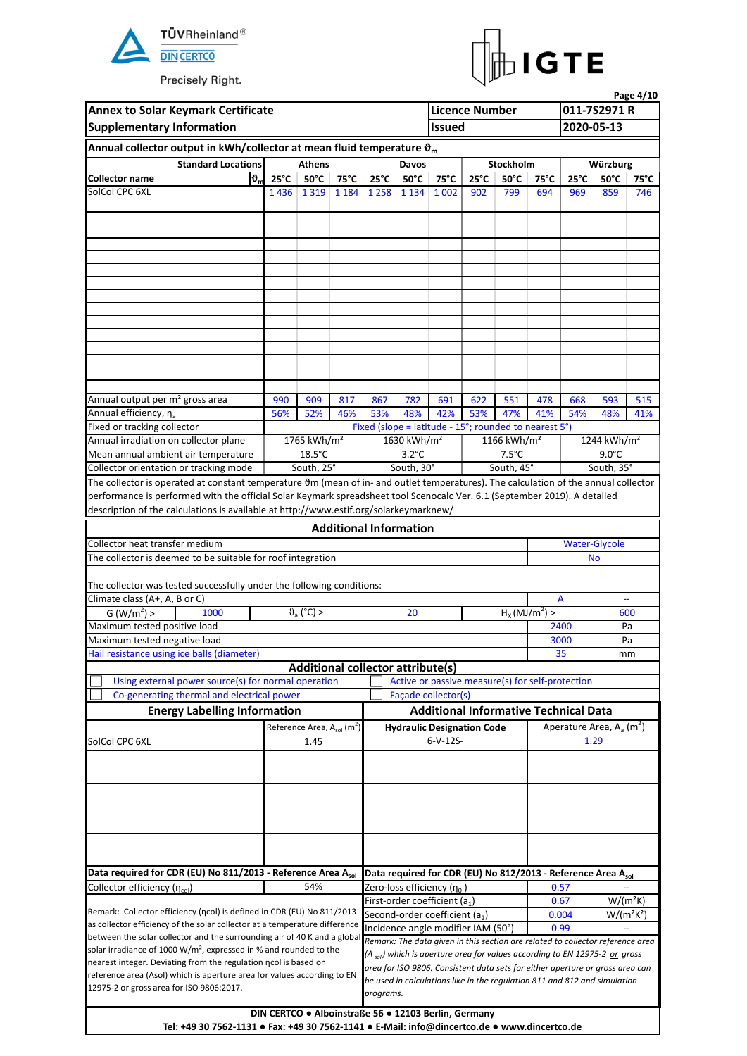



|                                                                               |                                                                                                                                                                                                                                                                                                                                                                                                                                                                                                                                                                                                                                                                                                                                                                                                                                                                                                                                                                                                                                                                                                                                                                                                                                                                                                                                                                                                                                             |      |            |                               |                                            |                                                       | <b>Licence Number</b> |                            |                |                | 011-7S2971 R                                                                                                                                                             | Page 4/10 |
|-------------------------------------------------------------------------------|---------------------------------------------------------------------------------------------------------------------------------------------------------------------------------------------------------------------------------------------------------------------------------------------------------------------------------------------------------------------------------------------------------------------------------------------------------------------------------------------------------------------------------------------------------------------------------------------------------------------------------------------------------------------------------------------------------------------------------------------------------------------------------------------------------------------------------------------------------------------------------------------------------------------------------------------------------------------------------------------------------------------------------------------------------------------------------------------------------------------------------------------------------------------------------------------------------------------------------------------------------------------------------------------------------------------------------------------------------------------------------------------------------------------------------------------|------|------------|-------------------------------|--------------------------------------------|-------------------------------------------------------|-----------------------|----------------------------|----------------|----------------|--------------------------------------------------------------------------------------------------------------------------------------------------------------------------|-----------|
| <b>Supplementary Information</b>                                              |                                                                                                                                                                                                                                                                                                                                                                                                                                                                                                                                                                                                                                                                                                                                                                                                                                                                                                                                                                                                                                                                                                                                                                                                                                                                                                                                                                                                                                             |      |            |                               |                                            | <b>Issued</b>                                         |                       |                            |                | 2020-05-13     |                                                                                                                                                                          |           |
|                                                                               |                                                                                                                                                                                                                                                                                                                                                                                                                                                                                                                                                                                                                                                                                                                                                                                                                                                                                                                                                                                                                                                                                                                                                                                                                                                                                                                                                                                                                                             |      |            |                               |                                            |                                                       |                       |                            |                |                |                                                                                                                                                                          |           |
|                                                                               |                                                                                                                                                                                                                                                                                                                                                                                                                                                                                                                                                                                                                                                                                                                                                                                                                                                                                                                                                                                                                                                                                                                                                                                                                                                                                                                                                                                                                                             |      |            |                               |                                            |                                                       |                       |                            |                |                |                                                                                                                                                                          |           |
|                                                                               |                                                                                                                                                                                                                                                                                                                                                                                                                                                                                                                                                                                                                                                                                                                                                                                                                                                                                                                                                                                                                                                                                                                                                                                                                                                                                                                                                                                                                                             |      |            |                               | Davos                                      |                                                       |                       | Stockholm                  |                |                | Würzburg                                                                                                                                                                 |           |
|                                                                               |                                                                                                                                                                                                                                                                                                                                                                                                                                                                                                                                                                                                                                                                                                                                                                                                                                                                                                                                                                                                                                                                                                                                                                                                                                                                                                                                                                                                                                             |      | 75°C       | $25^{\circ}$ C                | $50^{\circ}$ C                             | 75°C                                                  | $25^{\circ}$ C        | $50^{\circ}$ C             | $75^{\circ}$ C | $25^{\circ}$ C | $50^{\circ}$ C                                                                                                                                                           | 75°C      |
|                                                                               | Annual collector output in kWh/collector at mean fluid temperature $\mathfrak{d}_{m}$<br><b>Standard Locations</b><br><b>Athens</b><br>$\mathfrak{b}_{\mathfrak{m}}$<br>$25^{\circ}$ C<br>$50^{\circ}$ C<br>1 3 1 9 1 1 8 4<br>1436<br>990<br>56%<br>52%<br>1765 kWh/m <sup>2</sup><br>$18.5^{\circ}$ C<br>South, 25°<br>The collector is operated at constant temperature 0m (mean of in- and outlet temperatures). The calculation of the annual collector<br>performance is performed with the official Solar Keymark spreadsheet tool Scenocalc Ver. 6.1 (September 2019). A detailed<br>description of the calculations is available at http://www.estif.org/solarkeymarknew/<br>The collector is deemed to be suitable for roof integration<br>The collector was tested successfully under the following conditions:<br>$\vartheta$ <sub>a</sub> (°C) ><br>G (W/m <sup>2</sup> ) ><br>1000<br><b>Additional collector attribute(s)</b><br>Using external power source(s) for normal operation<br>Co-generating thermal and electrical power<br><b>Energy Labelling Information</b><br>Reference Area, $A_{sol}$ (m <sup>2</sup> )<br>Data required for CDR (EU) No 811/2013 - Reference Area Asol<br>Remark: Collector efficiency (ncol) is defined in CDR (EU) No 811/2013<br>as collector efficiency of the solar collector at a temperature difference<br>between the solar collector and the surrounding air of 40 K and a global |      |            | 1 2 5 8                       | 1 1 3 4                                    | 1 0 0 2                                               | 902                   | 799                        | 694            | 969            | 859                                                                                                                                                                      | 746       |
|                                                                               |                                                                                                                                                                                                                                                                                                                                                                                                                                                                                                                                                                                                                                                                                                                                                                                                                                                                                                                                                                                                                                                                                                                                                                                                                                                                                                                                                                                                                                             |      |            |                               |                                            |                                                       |                       |                            |                |                |                                                                                                                                                                          |           |
|                                                                               |                                                                                                                                                                                                                                                                                                                                                                                                                                                                                                                                                                                                                                                                                                                                                                                                                                                                                                                                                                                                                                                                                                                                                                                                                                                                                                                                                                                                                                             |      |            |                               |                                            |                                                       |                       |                            |                |                |                                                                                                                                                                          |           |
|                                                                               |                                                                                                                                                                                                                                                                                                                                                                                                                                                                                                                                                                                                                                                                                                                                                                                                                                                                                                                                                                                                                                                                                                                                                                                                                                                                                                                                                                                                                                             |      |            |                               |                                            |                                                       |                       |                            |                |                |                                                                                                                                                                          |           |
|                                                                               |                                                                                                                                                                                                                                                                                                                                                                                                                                                                                                                                                                                                                                                                                                                                                                                                                                                                                                                                                                                                                                                                                                                                                                                                                                                                                                                                                                                                                                             |      |            |                               |                                            |                                                       |                       |                            |                |                |                                                                                                                                                                          |           |
|                                                                               |                                                                                                                                                                                                                                                                                                                                                                                                                                                                                                                                                                                                                                                                                                                                                                                                                                                                                                                                                                                                                                                                                                                                                                                                                                                                                                                                                                                                                                             |      |            |                               |                                            |                                                       |                       |                            |                |                |                                                                                                                                                                          |           |
|                                                                               |                                                                                                                                                                                                                                                                                                                                                                                                                                                                                                                                                                                                                                                                                                                                                                                                                                                                                                                                                                                                                                                                                                                                                                                                                                                                                                                                                                                                                                             |      |            |                               |                                            |                                                       |                       |                            |                |                |                                                                                                                                                                          |           |
|                                                                               |                                                                                                                                                                                                                                                                                                                                                                                                                                                                                                                                                                                                                                                                                                                                                                                                                                                                                                                                                                                                                                                                                                                                                                                                                                                                                                                                                                                                                                             |      |            |                               |                                            |                                                       |                       |                            |                |                |                                                                                                                                                                          |           |
|                                                                               |                                                                                                                                                                                                                                                                                                                                                                                                                                                                                                                                                                                                                                                                                                                                                                                                                                                                                                                                                                                                                                                                                                                                                                                                                                                                                                                                                                                                                                             |      |            |                               |                                            |                                                       |                       |                            |                |                |                                                                                                                                                                          |           |
|                                                                               |                                                                                                                                                                                                                                                                                                                                                                                                                                                                                                                                                                                                                                                                                                                                                                                                                                                                                                                                                                                                                                                                                                                                                                                                                                                                                                                                                                                                                                             |      |            |                               |                                            |                                                       |                       |                            |                |                |                                                                                                                                                                          |           |
|                                                                               |                                                                                                                                                                                                                                                                                                                                                                                                                                                                                                                                                                                                                                                                                                                                                                                                                                                                                                                                                                                                                                                                                                                                                                                                                                                                                                                                                                                                                                             |      |            |                               |                                            |                                                       |                       |                            |                |                |                                                                                                                                                                          |           |
|                                                                               |                                                                                                                                                                                                                                                                                                                                                                                                                                                                                                                                                                                                                                                                                                                                                                                                                                                                                                                                                                                                                                                                                                                                                                                                                                                                                                                                                                                                                                             |      |            |                               |                                            |                                                       |                       |                            |                |                |                                                                                                                                                                          |           |
|                                                                               |                                                                                                                                                                                                                                                                                                                                                                                                                                                                                                                                                                                                                                                                                                                                                                                                                                                                                                                                                                                                                                                                                                                                                                                                                                                                                                                                                                                                                                             |      |            |                               |                                            |                                                       |                       |                            |                |                |                                                                                                                                                                          |           |
|                                                                               |                                                                                                                                                                                                                                                                                                                                                                                                                                                                                                                                                                                                                                                                                                                                                                                                                                                                                                                                                                                                                                                                                                                                                                                                                                                                                                                                                                                                                                             |      |            |                               |                                            |                                                       |                       |                            |                |                |                                                                                                                                                                          |           |
| Annual output per m <sup>2</sup> gross area                                   |                                                                                                                                                                                                                                                                                                                                                                                                                                                                                                                                                                                                                                                                                                                                                                                                                                                                                                                                                                                                                                                                                                                                                                                                                                                                                                                                                                                                                                             | 909  | 817<br>46% | 867<br>53%                    | 782<br>48%                                 | 691<br>42%                                            | 622<br>53%            | 551                        | 478            | 668            | 593                                                                                                                                                                      | 515       |
|                                                                               | <b>Annex to Solar Keymark Certificate</b><br><b>Collector name</b><br>SolCol CPC 6XL<br>Annual efficiency, η <sub>a</sub><br>Fixed or tracking collector<br>Annual irradiation on collector plane<br>Mean annual ambient air temperature<br>Collector orientation or tracking mode<br>Collector heat transfer medium                                                                                                                                                                                                                                                                                                                                                                                                                                                                                                                                                                                                                                                                                                                                                                                                                                                                                                                                                                                                                                                                                                                        |      |            |                               |                                            |                                                       |                       | 47%                        | 41%            | 54%            | 48%                                                                                                                                                                      | 41%       |
|                                                                               |                                                                                                                                                                                                                                                                                                                                                                                                                                                                                                                                                                                                                                                                                                                                                                                                                                                                                                                                                                                                                                                                                                                                                                                                                                                                                                                                                                                                                                             |      |            |                               |                                            | Fixed (slope = latitude - 15°; rounded to nearest 5°) |                       | 1166 kWh/m <sup>2</sup>    |                |                | 1244 kWh/m <sup>2</sup>                                                                                                                                                  |           |
|                                                                               |                                                                                                                                                                                                                                                                                                                                                                                                                                                                                                                                                                                                                                                                                                                                                                                                                                                                                                                                                                                                                                                                                                                                                                                                                                                                                                                                                                                                                                             |      |            |                               | 1630 kWh/m <sup>2</sup><br>$3.2^{\circ}$ C |                                                       |                       | $7.5^{\circ}$ C            |                |                | $9.0^{\circ}$ C                                                                                                                                                          |           |
|                                                                               |                                                                                                                                                                                                                                                                                                                                                                                                                                                                                                                                                                                                                                                                                                                                                                                                                                                                                                                                                                                                                                                                                                                                                                                                                                                                                                                                                                                                                                             |      |            |                               | South, 30°                                 |                                                       |                       | South, 45°                 |                |                | South, 35°                                                                                                                                                               |           |
|                                                                               |                                                                                                                                                                                                                                                                                                                                                                                                                                                                                                                                                                                                                                                                                                                                                                                                                                                                                                                                                                                                                                                                                                                                                                                                                                                                                                                                                                                                                                             |      |            |                               |                                            |                                                       |                       |                            |                |                |                                                                                                                                                                          |           |
|                                                                               |                                                                                                                                                                                                                                                                                                                                                                                                                                                                                                                                                                                                                                                                                                                                                                                                                                                                                                                                                                                                                                                                                                                                                                                                                                                                                                                                                                                                                                             |      |            |                               |                                            |                                                       |                       |                            |                |                |                                                                                                                                                                          |           |
|                                                                               |                                                                                                                                                                                                                                                                                                                                                                                                                                                                                                                                                                                                                                                                                                                                                                                                                                                                                                                                                                                                                                                                                                                                                                                                                                                                                                                                                                                                                                             |      |            |                               |                                            |                                                       |                       |                            |                |                |                                                                                                                                                                          |           |
|                                                                               |                                                                                                                                                                                                                                                                                                                                                                                                                                                                                                                                                                                                                                                                                                                                                                                                                                                                                                                                                                                                                                                                                                                                                                                                                                                                                                                                                                                                                                             |      |            | <b>Additional Information</b> |                                            |                                                       |                       |                            |                |                |                                                                                                                                                                          |           |
|                                                                               |                                                                                                                                                                                                                                                                                                                                                                                                                                                                                                                                                                                                                                                                                                                                                                                                                                                                                                                                                                                                                                                                                                                                                                                                                                                                                                                                                                                                                                             |      |            |                               |                                            |                                                       |                       |                            |                |                |                                                                                                                                                                          |           |
|                                                                               |                                                                                                                                                                                                                                                                                                                                                                                                                                                                                                                                                                                                                                                                                                                                                                                                                                                                                                                                                                                                                                                                                                                                                                                                                                                                                                                                                                                                                                             |      |            |                               |                                            |                                                       |                       |                            |                |                | <b>Water-Glycole</b><br><b>No</b>                                                                                                                                        |           |
|                                                                               |                                                                                                                                                                                                                                                                                                                                                                                                                                                                                                                                                                                                                                                                                                                                                                                                                                                                                                                                                                                                                                                                                                                                                                                                                                                                                                                                                                                                                                             |      |            |                               |                                            |                                                       |                       |                            |                |                |                                                                                                                                                                          |           |
|                                                                               |                                                                                                                                                                                                                                                                                                                                                                                                                                                                                                                                                                                                                                                                                                                                                                                                                                                                                                                                                                                                                                                                                                                                                                                                                                                                                                                                                                                                                                             |      |            |                               |                                            |                                                       |                       |                            |                |                |                                                                                                                                                                          |           |
| Climate class (A+, A, B or C)                                                 |                                                                                                                                                                                                                                                                                                                                                                                                                                                                                                                                                                                                                                                                                                                                                                                                                                                                                                                                                                                                                                                                                                                                                                                                                                                                                                                                                                                                                                             |      |            |                               |                                            |                                                       |                       |                            |                | A              |                                                                                                                                                                          |           |
|                                                                               |                                                                                                                                                                                                                                                                                                                                                                                                                                                                                                                                                                                                                                                                                                                                                                                                                                                                                                                                                                                                                                                                                                                                                                                                                                                                                                                                                                                                                                             |      |            |                               | 20                                         |                                                       |                       | $H_X(\overline{MJ/m^2}) >$ |                |                |                                                                                                                                                                          |           |
| Maximum tested positive load                                                  |                                                                                                                                                                                                                                                                                                                                                                                                                                                                                                                                                                                                                                                                                                                                                                                                                                                                                                                                                                                                                                                                                                                                                                                                                                                                                                                                                                                                                                             |      |            |                               |                                            |                                                       |                       |                            |                |                | 600                                                                                                                                                                      |           |
| Maximum tested negative load                                                  |                                                                                                                                                                                                                                                                                                                                                                                                                                                                                                                                                                                                                                                                                                                                                                                                                                                                                                                                                                                                                                                                                                                                                                                                                                                                                                                                                                                                                                             |      |            |                               |                                            |                                                       |                       |                            |                | 2400           |                                                                                                                                                                          | Pa        |
| Hail resistance using ice balls (diameter)                                    |                                                                                                                                                                                                                                                                                                                                                                                                                                                                                                                                                                                                                                                                                                                                                                                                                                                                                                                                                                                                                                                                                                                                                                                                                                                                                                                                                                                                                                             |      |            |                               |                                            |                                                       |                       |                            |                | 3000           |                                                                                                                                                                          | Pa        |
|                                                                               |                                                                                                                                                                                                                                                                                                                                                                                                                                                                                                                                                                                                                                                                                                                                                                                                                                                                                                                                                                                                                                                                                                                                                                                                                                                                                                                                                                                                                                             |      |            |                               |                                            |                                                       |                       |                            |                | 35             |                                                                                                                                                                          | mm        |
|                                                                               |                                                                                                                                                                                                                                                                                                                                                                                                                                                                                                                                                                                                                                                                                                                                                                                                                                                                                                                                                                                                                                                                                                                                                                                                                                                                                                                                                                                                                                             |      |            |                               |                                            |                                                       |                       |                            |                |                |                                                                                                                                                                          |           |
|                                                                               |                                                                                                                                                                                                                                                                                                                                                                                                                                                                                                                                                                                                                                                                                                                                                                                                                                                                                                                                                                                                                                                                                                                                                                                                                                                                                                                                                                                                                                             |      |            |                               |                                            | Active or passive measure(s) for self-protection      |                       |                            |                |                |                                                                                                                                                                          |           |
|                                                                               |                                                                                                                                                                                                                                                                                                                                                                                                                                                                                                                                                                                                                                                                                                                                                                                                                                                                                                                                                                                                                                                                                                                                                                                                                                                                                                                                                                                                                                             |      |            |                               |                                            | Façade collector(s)                                   |                       |                            |                |                |                                                                                                                                                                          |           |
|                                                                               |                                                                                                                                                                                                                                                                                                                                                                                                                                                                                                                                                                                                                                                                                                                                                                                                                                                                                                                                                                                                                                                                                                                                                                                                                                                                                                                                                                                                                                             |      |            |                               |                                            | <b>Additional Informative Technical Data</b>          |                       |                            |                |                |                                                                                                                                                                          |           |
|                                                                               |                                                                                                                                                                                                                                                                                                                                                                                                                                                                                                                                                                                                                                                                                                                                                                                                                                                                                                                                                                                                                                                                                                                                                                                                                                                                                                                                                                                                                                             |      |            |                               |                                            | <b>Hydraulic Designation Code</b>                     |                       |                            |                |                | Aperature Area, $A_a$ (m <sup>2</sup> )                                                                                                                                  |           |
| SolCol CPC 6XL                                                                |                                                                                                                                                                                                                                                                                                                                                                                                                                                                                                                                                                                                                                                                                                                                                                                                                                                                                                                                                                                                                                                                                                                                                                                                                                                                                                                                                                                                                                             | 1.45 |            |                               |                                            | $6-V-12S-$                                            |                       |                            |                |                | 1.29                                                                                                                                                                     |           |
|                                                                               |                                                                                                                                                                                                                                                                                                                                                                                                                                                                                                                                                                                                                                                                                                                                                                                                                                                                                                                                                                                                                                                                                                                                                                                                                                                                                                                                                                                                                                             |      |            |                               |                                            |                                                       |                       |                            |                |                |                                                                                                                                                                          |           |
|                                                                               |                                                                                                                                                                                                                                                                                                                                                                                                                                                                                                                                                                                                                                                                                                                                                                                                                                                                                                                                                                                                                                                                                                                                                                                                                                                                                                                                                                                                                                             |      |            |                               |                                            |                                                       |                       |                            |                |                |                                                                                                                                                                          |           |
|                                                                               |                                                                                                                                                                                                                                                                                                                                                                                                                                                                                                                                                                                                                                                                                                                                                                                                                                                                                                                                                                                                                                                                                                                                                                                                                                                                                                                                                                                                                                             |      |            |                               |                                            |                                                       |                       |                            |                |                |                                                                                                                                                                          |           |
|                                                                               |                                                                                                                                                                                                                                                                                                                                                                                                                                                                                                                                                                                                                                                                                                                                                                                                                                                                                                                                                                                                                                                                                                                                                                                                                                                                                                                                                                                                                                             |      |            |                               |                                            |                                                       |                       |                            |                |                |                                                                                                                                                                          |           |
|                                                                               |                                                                                                                                                                                                                                                                                                                                                                                                                                                                                                                                                                                                                                                                                                                                                                                                                                                                                                                                                                                                                                                                                                                                                                                                                                                                                                                                                                                                                                             |      |            |                               |                                            |                                                       |                       |                            |                |                |                                                                                                                                                                          |           |
|                                                                               |                                                                                                                                                                                                                                                                                                                                                                                                                                                                                                                                                                                                                                                                                                                                                                                                                                                                                                                                                                                                                                                                                                                                                                                                                                                                                                                                                                                                                                             |      |            |                               |                                            |                                                       |                       |                            |                |                |                                                                                                                                                                          |           |
|                                                                               |                                                                                                                                                                                                                                                                                                                                                                                                                                                                                                                                                                                                                                                                                                                                                                                                                                                                                                                                                                                                                                                                                                                                                                                                                                                                                                                                                                                                                                             |      |            |                               |                                            |                                                       |                       |                            |                |                |                                                                                                                                                                          |           |
|                                                                               |                                                                                                                                                                                                                                                                                                                                                                                                                                                                                                                                                                                                                                                                                                                                                                                                                                                                                                                                                                                                                                                                                                                                                                                                                                                                                                                                                                                                                                             |      |            |                               |                                            |                                                       |                       |                            |                |                |                                                                                                                                                                          |           |
|                                                                               |                                                                                                                                                                                                                                                                                                                                                                                                                                                                                                                                                                                                                                                                                                                                                                                                                                                                                                                                                                                                                                                                                                                                                                                                                                                                                                                                                                                                                                             |      |            |                               |                                            |                                                       |                       |                            |                |                | Data required for CDR (EU) No 812/2013 - Reference Area Asol                                                                                                             |           |
| Collector efficiency (n <sub>col</sub> )                                      |                                                                                                                                                                                                                                                                                                                                                                                                                                                                                                                                                                                                                                                                                                                                                                                                                                                                                                                                                                                                                                                                                                                                                                                                                                                                                                                                                                                                                                             | 54%  |            |                               |                                            | Zero-loss efficiency (n <sub>0</sub> )                |                       |                            |                | 0.57           |                                                                                                                                                                          |           |
|                                                                               |                                                                                                                                                                                                                                                                                                                                                                                                                                                                                                                                                                                                                                                                                                                                                                                                                                                                                                                                                                                                                                                                                                                                                                                                                                                                                                                                                                                                                                             |      |            |                               |                                            | First-order coefficient (a1)                          |                       |                            |                | 0.67           | $W/(m^2K)$                                                                                                                                                               |           |
|                                                                               |                                                                                                                                                                                                                                                                                                                                                                                                                                                                                                                                                                                                                                                                                                                                                                                                                                                                                                                                                                                                                                                                                                                                                                                                                                                                                                                                                                                                                                             |      |            |                               |                                            | Second-order coefficient $(a_2)$                      |                       |                            |                | 0.004          | $W/(m^2K^2)$                                                                                                                                                             |           |
|                                                                               |                                                                                                                                                                                                                                                                                                                                                                                                                                                                                                                                                                                                                                                                                                                                                                                                                                                                                                                                                                                                                                                                                                                                                                                                                                                                                                                                                                                                                                             |      |            |                               |                                            | Incidence angle modifier IAM (50°)                    |                       |                            |                | 0.99           |                                                                                                                                                                          |           |
| solar irradiance of 1000 W/m <sup>2</sup> , expressed in % and rounded to the |                                                                                                                                                                                                                                                                                                                                                                                                                                                                                                                                                                                                                                                                                                                                                                                                                                                                                                                                                                                                                                                                                                                                                                                                                                                                                                                                                                                                                                             |      |            |                               |                                            |                                                       |                       |                            |                |                | Remark: The data given in this section are related to collector reference area<br>(A <sub>sol</sub> ) which is aperture area for values according to EN 12975-2 or gross |           |
| nearest integer. Deviating from the regulation ncol is based on               |                                                                                                                                                                                                                                                                                                                                                                                                                                                                                                                                                                                                                                                                                                                                                                                                                                                                                                                                                                                                                                                                                                                                                                                                                                                                                                                                                                                                                                             |      |            |                               |                                            |                                                       |                       |                            |                |                | area for ISO 9806. Consistent data sets for either aperture or gross area can                                                                                            |           |
| reference area (Asol) which is aperture area for values according to EN       |                                                                                                                                                                                                                                                                                                                                                                                                                                                                                                                                                                                                                                                                                                                                                                                                                                                                                                                                                                                                                                                                                                                                                                                                                                                                                                                                                                                                                                             |      |            |                               |                                            |                                                       |                       |                            |                |                | be used in calculations like in the regulation 811 and 812 and simulation                                                                                                |           |
| 12975-2 or gross area for ISO 9806:2017.                                      |                                                                                                                                                                                                                                                                                                                                                                                                                                                                                                                                                                                                                                                                                                                                                                                                                                                                                                                                                                                                                                                                                                                                                                                                                                                                                                                                                                                                                                             |      |            | programs.                     |                                            |                                                       |                       |                            |                |                |                                                                                                                                                                          |           |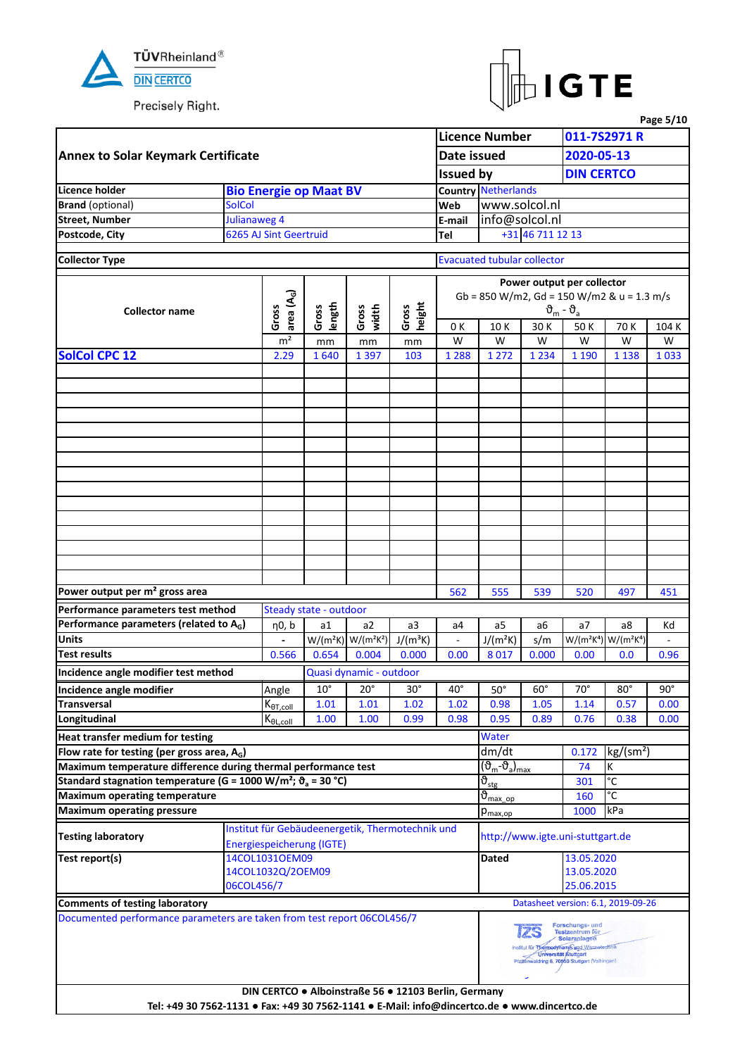



|                                                                                              |               |                             |                                  |                                                      |                 |                          |                                                                                    |                            |                                                                                                                                                            |                                                                                                                                                                                                                                                                                                                                                                                                                                                                 | Page 5/10  |  |  |
|----------------------------------------------------------------------------------------------|---------------|-----------------------------|----------------------------------|------------------------------------------------------|-----------------|--------------------------|------------------------------------------------------------------------------------|----------------------------|------------------------------------------------------------------------------------------------------------------------------------------------------------|-----------------------------------------------------------------------------------------------------------------------------------------------------------------------------------------------------------------------------------------------------------------------------------------------------------------------------------------------------------------------------------------------------------------------------------------------------------------|------------|--|--|
|                                                                                              |               |                             |                                  |                                                      |                 |                          | <b>Licence Number</b>                                                              |                            |                                                                                                                                                            | 011-7S2971 R                                                                                                                                                                                                                                                                                                                                                                                                                                                    |            |  |  |
| <b>Annex to Solar Keymark Certificate</b>                                                    |               |                             |                                  |                                                      |                 | Date issued              |                                                                                    |                            | 2020-05-13                                                                                                                                                 |                                                                                                                                                                                                                                                                                                                                                                                                                                                                 |            |  |  |
|                                                                                              |               |                             |                                  |                                                      |                 | <b>Issued by</b>         |                                                                                    |                            |                                                                                                                                                            |                                                                                                                                                                                                                                                                                                                                                                                                                                                                 |            |  |  |
| <b>Licence holder</b>                                                                        |               |                             | <b>Bio Energie op Maat BV</b>    |                                                      |                 |                          | <b>Country Netherlands</b>                                                         |                            |                                                                                                                                                            |                                                                                                                                                                                                                                                                                                                                                                                                                                                                 |            |  |  |
| <b>Brand</b> (optional)                                                                      | <b>SolCol</b> |                             |                                  |                                                      |                 | Web                      | www.solcol.nl                                                                      |                            |                                                                                                                                                            |                                                                                                                                                                                                                                                                                                                                                                                                                                                                 |            |  |  |
| <b>Street, Number</b>                                                                        | Julianaweg 4  |                             |                                  |                                                      |                 | E-mail                   | info@solcol.nl                                                                     |                            |                                                                                                                                                            |                                                                                                                                                                                                                                                                                                                                                                                                                                                                 |            |  |  |
| Postcode, City                                                                               |               | 6265 AJ Sint Geertruid      |                                  |                                                      |                 | Tel                      |                                                                                    | +31 46 711 12 13           |                                                                                                                                                            |                                                                                                                                                                                                                                                                                                                                                                                                                                                                 |            |  |  |
| <b>Collector Type</b>                                                                        |               |                             |                                  |                                                      |                 |                          | <b>Evacuated tubular collector</b>                                                 |                            |                                                                                                                                                            |                                                                                                                                                                                                                                                                                                                                                                                                                                                                 |            |  |  |
|                                                                                              |               |                             |                                  |                                                      |                 |                          |                                                                                    |                            |                                                                                                                                                            |                                                                                                                                                                                                                                                                                                                                                                                                                                                                 |            |  |  |
|                                                                                              |               |                             |                                  |                                                      |                 |                          |                                                                                    |                            |                                                                                                                                                            |                                                                                                                                                                                                                                                                                                                                                                                                                                                                 |            |  |  |
|                                                                                              |               | area (A <sub>G</sub> )      |                                  |                                                      |                 |                          |                                                                                    |                            |                                                                                                                                                            |                                                                                                                                                                                                                                                                                                                                                                                                                                                                 |            |  |  |
| <b>Collector name</b>                                                                        |               | Gross                       | length<br>Gross                  | Gross<br>width                                       | height<br>Gross |                          |                                                                                    |                            | $\vartheta_m$ - $\vartheta_a$                                                                                                                              |                                                                                                                                                                                                                                                                                                                                                                                                                                                                 |            |  |  |
|                                                                                              |               | m <sup>2</sup>              |                                  |                                                      |                 | 0 K                      | 10K                                                                                | 30 K                       |                                                                                                                                                            |                                                                                                                                                                                                                                                                                                                                                                                                                                                                 | 104 K      |  |  |
| <b>SolCol CPC 12</b>                                                                         |               |                             | mm                               | mm                                                   | $\mathsf{mm}$   | W                        | W                                                                                  | W                          |                                                                                                                                                            |                                                                                                                                                                                                                                                                                                                                                                                                                                                                 | W          |  |  |
|                                                                                              |               | 2.29                        | 1640                             | 1 3 9 7                                              | 103             | 1 2 8 8                  | 1 2 7 2                                                                            | 1 2 3 4                    |                                                                                                                                                            |                                                                                                                                                                                                                                                                                                                                                                                                                                                                 | 1033       |  |  |
|                                                                                              |               |                             |                                  |                                                      |                 |                          |                                                                                    |                            |                                                                                                                                                            |                                                                                                                                                                                                                                                                                                                                                                                                                                                                 |            |  |  |
|                                                                                              |               |                             |                                  |                                                      |                 |                          |                                                                                    |                            |                                                                                                                                                            |                                                                                                                                                                                                                                                                                                                                                                                                                                                                 |            |  |  |
|                                                                                              |               |                             |                                  |                                                      |                 |                          |                                                                                    |                            |                                                                                                                                                            |                                                                                                                                                                                                                                                                                                                                                                                                                                                                 |            |  |  |
|                                                                                              |               |                             |                                  |                                                      |                 |                          |                                                                                    |                            |                                                                                                                                                            |                                                                                                                                                                                                                                                                                                                                                                                                                                                                 |            |  |  |
|                                                                                              |               |                             |                                  |                                                      |                 |                          |                                                                                    |                            |                                                                                                                                                            |                                                                                                                                                                                                                                                                                                                                                                                                                                                                 |            |  |  |
|                                                                                              |               |                             |                                  |                                                      |                 |                          |                                                                                    |                            |                                                                                                                                                            |                                                                                                                                                                                                                                                                                                                                                                                                                                                                 |            |  |  |
|                                                                                              |               |                             |                                  |                                                      |                 |                          |                                                                                    |                            |                                                                                                                                                            |                                                                                                                                                                                                                                                                                                                                                                                                                                                                 |            |  |  |
|                                                                                              |               |                             |                                  |                                                      |                 |                          |                                                                                    |                            |                                                                                                                                                            |                                                                                                                                                                                                                                                                                                                                                                                                                                                                 |            |  |  |
|                                                                                              |               |                             |                                  |                                                      |                 |                          |                                                                                    |                            |                                                                                                                                                            |                                                                                                                                                                                                                                                                                                                                                                                                                                                                 |            |  |  |
|                                                                                              |               |                             |                                  |                                                      |                 |                          |                                                                                    |                            |                                                                                                                                                            |                                                                                                                                                                                                                                                                                                                                                                                                                                                                 |            |  |  |
|                                                                                              |               |                             |                                  |                                                      |                 |                          |                                                                                    |                            |                                                                                                                                                            |                                                                                                                                                                                                                                                                                                                                                                                                                                                                 |            |  |  |
|                                                                                              |               |                             |                                  |                                                      |                 |                          |                                                                                    |                            |                                                                                                                                                            |                                                                                                                                                                                                                                                                                                                                                                                                                                                                 |            |  |  |
|                                                                                              |               |                             |                                  |                                                      |                 |                          |                                                                                    |                            |                                                                                                                                                            |                                                                                                                                                                                                                                                                                                                                                                                                                                                                 |            |  |  |
|                                                                                              |               |                             |                                  |                                                      |                 |                          |                                                                                    |                            |                                                                                                                                                            |                                                                                                                                                                                                                                                                                                                                                                                                                                                                 |            |  |  |
| Power output per m <sup>2</sup> gross area                                                   |               |                             |                                  |                                                      |                 | 562                      | 555                                                                                | 539                        | 520                                                                                                                                                        | 497                                                                                                                                                                                                                                                                                                                                                                                                                                                             | 451        |  |  |
| Performance parameters test method                                                           |               |                             | Steady state - outdoor           |                                                      |                 |                          |                                                                                    |                            |                                                                                                                                                            |                                                                                                                                                                                                                                                                                                                                                                                                                                                                 |            |  |  |
| Performance parameters (related to $A_G$ )                                                   |               | η0, b                       | a1                               | a2                                                   | a3              | a4                       | a5                                                                                 | a6                         | a7                                                                                                                                                         | a8                                                                                                                                                                                                                                                                                                                                                                                                                                                              | Kd         |  |  |
| <b>Units</b>                                                                                 |               |                             |                                  | $W/(m^2K)$ $W/(m^2K^2)$                              | $J/(m^3K)$      | $\overline{\phantom{a}}$ | $J/(m^2K)$                                                                         | s/m                        |                                                                                                                                                            | <b>DIN CERTCO</b><br>Power output per collector<br>Gb = 850 W/m2, Gd = 150 W/m2 & u = 1.3 m/s<br>50K<br>70 K<br>W<br>W<br>1 1 9 0<br>1 1 3 8<br>W/(m <sup>2</sup> K <sup>4</sup> ) W/(m <sup>2</sup> K <sup>4</sup> )<br>0.0<br>$80^\circ$<br>0.57<br>0.38<br>kg/(sm <sup>2</sup> )<br>К<br>74<br>$\overline{\text{C}}$<br>301<br>°C<br>kPa<br>http://www.igte.uni-stuttgart.de<br>13.05.2020<br>13.05.2020<br>25.06.2015<br>Datasheet version: 6.1, 2019-09-26 |            |  |  |
| <b>Test results</b>                                                                          |               | 0.566                       | 0.654                            | 0.004                                                | 0.000           | 0.00                     | 8017                                                                               | 0.000                      | 0.00                                                                                                                                                       |                                                                                                                                                                                                                                                                                                                                                                                                                                                                 | 0.96       |  |  |
| Incidence angle modifier test method                                                         |               |                             |                                  | Quasi dynamic - outdoor                              |                 |                          |                                                                                    |                            |                                                                                                                                                            |                                                                                                                                                                                                                                                                                                                                                                                                                                                                 |            |  |  |
| Incidence angle modifier                                                                     |               | Angle                       | $10^{\circ}$                     | $20^{\circ}$                                         | $30^\circ$      | $40^{\circ}$             | $50^\circ$                                                                         | $60^\circ$                 | $70^\circ$                                                                                                                                                 |                                                                                                                                                                                                                                                                                                                                                                                                                                                                 | $90^\circ$ |  |  |
| <b>Transversal</b>                                                                           |               | $K_{\theta T, \text{coll}}$ | 1.01                             | 1.01                                                 | 1.02            | 1.02                     | 0.98                                                                               | 1.05                       | 1.14                                                                                                                                                       |                                                                                                                                                                                                                                                                                                                                                                                                                                                                 | 0.00       |  |  |
| Longitudinal                                                                                 |               | $K_{\theta L, \text{coll}}$ | 1.00                             | 1.00                                                 | 0.99            | 0.98                     | 0.95                                                                               | 0.89                       | 0.76                                                                                                                                                       |                                                                                                                                                                                                                                                                                                                                                                                                                                                                 | 0.00       |  |  |
| Heat transfer medium for testing                                                             |               |                             |                                  |                                                      |                 |                          | Water                                                                              |                            |                                                                                                                                                            |                                                                                                                                                                                                                                                                                                                                                                                                                                                                 |            |  |  |
| Flow rate for testing (per gross area, $A_G$ )                                               |               |                             |                                  |                                                      |                 |                          | dm/dt                                                                              |                            | 0.172                                                                                                                                                      |                                                                                                                                                                                                                                                                                                                                                                                                                                                                 |            |  |  |
| Maximum temperature difference during thermal performance test                               |               |                             |                                  |                                                      |                 |                          | $(\overline{\vartheta}_{\mathsf{m}}\text{-}\vartheta_{\mathsf{a}})_{\mathsf{max}}$ |                            |                                                                                                                                                            |                                                                                                                                                                                                                                                                                                                                                                                                                                                                 |            |  |  |
| Standard stagnation temperature (G = 1000 W/m <sup>2</sup> ; $\vartheta_a$ = 30 °C)          |               |                             |                                  |                                                      |                 |                          | $\overline{\vartheta}_{\text{stg}}$                                                |                            |                                                                                                                                                            |                                                                                                                                                                                                                                                                                                                                                                                                                                                                 |            |  |  |
| <b>Maximum operating temperature</b>                                                         |               |                             |                                  |                                                      |                 |                          | $\vartheta_{\text{max} \text{ op}}$                                                |                            | 160                                                                                                                                                        |                                                                                                                                                                                                                                                                                                                                                                                                                                                                 |            |  |  |
| <b>Maximum operating pressure</b>                                                            |               |                             |                                  |                                                      |                 |                          | $p_{\text{max,op}}$                                                                |                            | 1000                                                                                                                                                       |                                                                                                                                                                                                                                                                                                                                                                                                                                                                 |            |  |  |
| <b>Testing laboratory</b>                                                                    |               |                             | <b>Energiespeicherung (IGTE)</b> | Institut für Gebäudeenergetik, Thermotechnik und     |                 |                          |                                                                                    |                            |                                                                                                                                                            |                                                                                                                                                                                                                                                                                                                                                                                                                                                                 |            |  |  |
| Test report(s)                                                                               |               | 14COL1031OEM09              |                                  |                                                      |                 |                          | <b>Dated</b>                                                                       |                            |                                                                                                                                                            |                                                                                                                                                                                                                                                                                                                                                                                                                                                                 |            |  |  |
|                                                                                              |               | 14COL1032Q/2OEM09           |                                  |                                                      |                 |                          |                                                                                    |                            |                                                                                                                                                            |                                                                                                                                                                                                                                                                                                                                                                                                                                                                 |            |  |  |
|                                                                                              | 06COL456/7    |                             |                                  |                                                      |                 |                          |                                                                                    |                            |                                                                                                                                                            |                                                                                                                                                                                                                                                                                                                                                                                                                                                                 |            |  |  |
| <b>Comments of testing laboratory</b>                                                        |               |                             |                                  |                                                      |                 |                          |                                                                                    |                            |                                                                                                                                                            |                                                                                                                                                                                                                                                                                                                                                                                                                                                                 |            |  |  |
| Documented performance parameters are taken from test report 06COL456/7                      |               |                             |                                  |                                                      |                 |                          |                                                                                    | Universität Stuttgart<br>ے | Forschungs- und<br>Testzentrum für<br><b>Solaranlagen</b><br>Institut für Thermodynamik und Wärmstechnik<br>Pfaffenwaldring 6, 70550 Stuttgart (Vaihingen) |                                                                                                                                                                                                                                                                                                                                                                                                                                                                 |            |  |  |
| Tel: +49 30 7562-1131 · Fax: +49 30 7562-1141 · E-Mail: info@dincertco.de · www.dincertco.de |               |                             |                                  | DIN CERTCO · Alboinstraße 56 · 12103 Berlin, Germany |                 |                          |                                                                                    |                            |                                                                                                                                                            |                                                                                                                                                                                                                                                                                                                                                                                                                                                                 |            |  |  |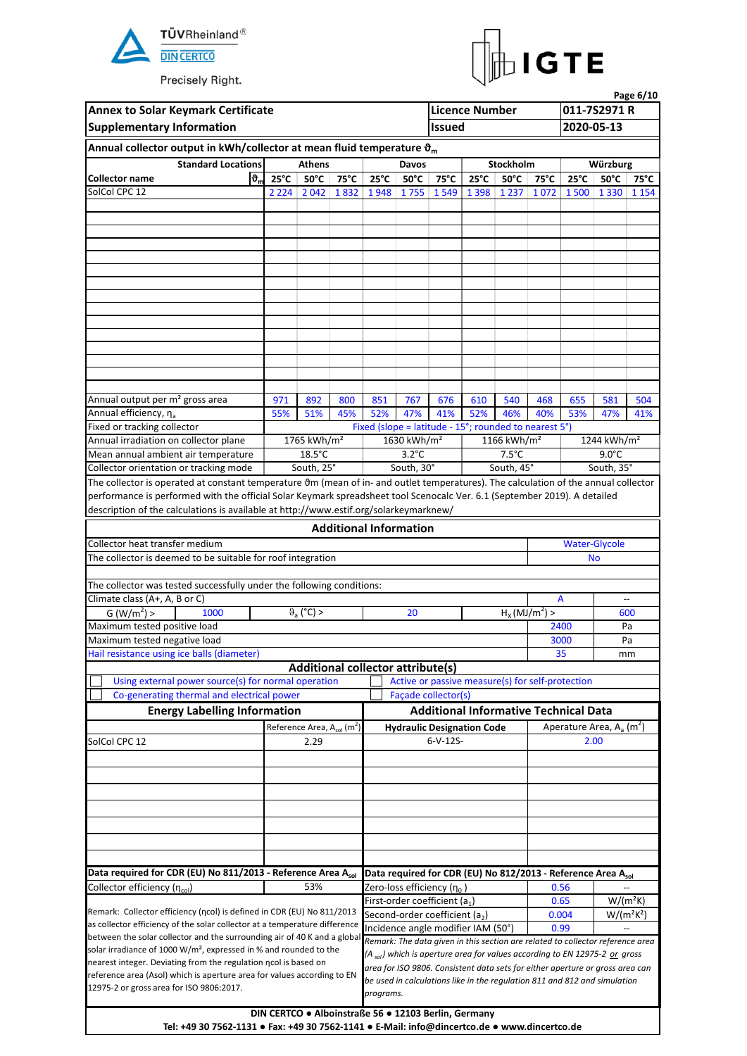



| <b>Annex to Solar Keymark Certificate</b>                                                                                                  |                |                                             |      |                               |                                            |                                                                                        | <b>Licence Number</b> |                                            |                 |                                         | 011-7S2971 R                               | Page 6/10 |
|--------------------------------------------------------------------------------------------------------------------------------------------|----------------|---------------------------------------------|------|-------------------------------|--------------------------------------------|----------------------------------------------------------------------------------------|-----------------------|--------------------------------------------|-----------------|-----------------------------------------|--------------------------------------------|-----------|
| <b>Supplementary Information</b>                                                                                                           |                |                                             |      |                               |                                            | <b>Issued</b>                                                                          |                       |                                            |                 | 2020-05-13                              |                                            |           |
| Annual collector output in kWh/collector at mean fluid temperature $\vartheta_m$                                                           |                |                                             |      |                               |                                            |                                                                                        |                       |                                            |                 |                                         |                                            |           |
| <b>Standard Locations</b>                                                                                                                  |                | <b>Athens</b>                               |      |                               | Davos                                      |                                                                                        |                       | Stockholm                                  |                 |                                         | Würzburg                                   |           |
| ზ,<br><b>Collector name</b>                                                                                                                | $25^{\circ}$ C | $50^{\circ}$ C                              | 75°C | $25^{\circ}$ C                | $50^{\circ}$ C                             | 75°C                                                                                   | $25^{\circ}$ C        | $50^{\circ}$ C                             | $75^{\circ}$ C  | $25^{\circ}$ C                          | $50^{\circ}$ C                             | 75°C      |
| SolCol CPC 12                                                                                                                              |                | 2 2 2 4 2 0 4 2                             | 1832 |                               | 1948 1755                                  | 1549                                                                                   | 1 3 9 8               | 1 2 3 7                                    | 1072            |                                         | 1 500 1 330 1 154                          |           |
|                                                                                                                                            |                |                                             |      |                               |                                            |                                                                                        |                       |                                            |                 |                                         |                                            |           |
|                                                                                                                                            |                |                                             |      |                               |                                            |                                                                                        |                       |                                            |                 |                                         |                                            |           |
|                                                                                                                                            |                |                                             |      |                               |                                            |                                                                                        |                       |                                            |                 |                                         |                                            |           |
|                                                                                                                                            |                |                                             |      |                               |                                            |                                                                                        |                       |                                            |                 |                                         |                                            |           |
|                                                                                                                                            |                |                                             |      |                               |                                            |                                                                                        |                       |                                            |                 |                                         |                                            |           |
|                                                                                                                                            |                |                                             |      |                               |                                            |                                                                                        |                       |                                            |                 |                                         |                                            |           |
|                                                                                                                                            |                |                                             |      |                               |                                            |                                                                                        |                       |                                            |                 |                                         |                                            |           |
|                                                                                                                                            |                |                                             |      |                               |                                            |                                                                                        |                       |                                            |                 |                                         |                                            |           |
|                                                                                                                                            |                |                                             |      |                               |                                            |                                                                                        |                       |                                            |                 |                                         |                                            |           |
|                                                                                                                                            |                |                                             |      |                               |                                            |                                                                                        |                       |                                            |                 |                                         |                                            |           |
|                                                                                                                                            |                |                                             |      |                               |                                            |                                                                                        |                       |                                            |                 |                                         |                                            |           |
|                                                                                                                                            |                |                                             |      |                               |                                            |                                                                                        |                       |                                            |                 |                                         |                                            |           |
| Annual output per m <sup>2</sup> gross area                                                                                                | 971            | 892                                         | 800  | 851                           | 767                                        | 676                                                                                    | 610                   | 540                                        | 468             | 655                                     | 581                                        | 504       |
| Annual efficiency, η <sub>a</sub>                                                                                                          | 55%            | 51%                                         | 45%  | 52%                           | 47%                                        | 41%                                                                                    | 52%                   | 46%                                        | 40%             | 53%                                     | 47%                                        | 41%       |
| Fixed or tracking collector                                                                                                                |                |                                             |      |                               |                                            | Fixed (slope = latitude - 15°; rounded to nearest 5°)                                  |                       |                                            |                 |                                         |                                            |           |
| Annual irradiation on collector plane                                                                                                      |                | 1765 kWh/m <sup>2</sup><br>$18.5^{\circ}$ C |      |                               | 1630 kWh/m <sup>2</sup><br>$3.2^{\circ}$ C |                                                                                        |                       | 1166 kWh/m <sup>2</sup><br>$7.5^{\circ}$ C |                 |                                         | 1244 kWh/m <sup>2</sup><br>$9.0^{\circ}$ C |           |
| Mean annual ambient air temperature<br>Collector orientation or tracking mode                                                              |                | South, 25°                                  |      |                               | South, 30°                                 |                                                                                        |                       | South, 45°                                 |                 |                                         | South, 35°                                 |           |
| The collector is operated at constant temperature om (mean of in- and outlet temperatures). The calculation of the annual collector        |                |                                             |      |                               |                                            |                                                                                        |                       |                                            |                 |                                         |                                            |           |
| performance is performed with the official Solar Keymark spreadsheet tool Scenocalc Ver. 6.1 (September 2019). A detailed                  |                |                                             |      |                               |                                            |                                                                                        |                       |                                            |                 |                                         |                                            |           |
| description of the calculations is available at http://www.estif.org/solarkeymarknew/                                                      |                |                                             |      |                               |                                            |                                                                                        |                       |                                            |                 |                                         |                                            |           |
|                                                                                                                                            |                |                                             |      | <b>Additional Information</b> |                                            |                                                                                        |                       |                                            |                 |                                         |                                            |           |
| Collector heat transfer medium                                                                                                             |                |                                             |      |                               |                                            |                                                                                        |                       |                                            |                 |                                         | <b>Water-Glycole</b>                       |           |
| The collector is deemed to be suitable for roof integration                                                                                |                |                                             |      |                               |                                            |                                                                                        |                       |                                            |                 | <b>No</b>                               |                                            |           |
|                                                                                                                                            |                |                                             |      |                               |                                            |                                                                                        |                       |                                            |                 |                                         |                                            |           |
| The collector was tested successfully under the following conditions:                                                                      |                |                                             |      |                               |                                            |                                                                                        |                       |                                            |                 |                                         |                                            |           |
| Climate class (A+, A, B or C)<br>1000                                                                                                      |                |                                             |      |                               | 20                                         |                                                                                        |                       |                                            |                 | A                                       | $\overline{\phantom{a}}$                   | 600       |
| G (W/m <sup>2</sup> ) ><br>Maximum tested positive load                                                                                    |                | $\vartheta$ <sub>a</sub> (°C) >             |      |                               |                                            |                                                                                        |                       |                                            | $H_X(MJ/m^2) >$ | 2400                                    | Pa                                         |           |
| Maximum tested negative load                                                                                                               |                |                                             |      |                               |                                            |                                                                                        |                       |                                            |                 | 3000                                    | Pa                                         |           |
| Hail resistance using ice balls (diameter)                                                                                                 |                |                                             |      |                               |                                            |                                                                                        |                       |                                            |                 | 35                                      | mm                                         |           |
|                                                                                                                                            |                | <b>Additional collector attribute(s)</b>    |      |                               |                                            |                                                                                        |                       |                                            |                 |                                         |                                            |           |
| Using external power source(s) for normal operation                                                                                        |                |                                             |      |                               |                                            | Active or passive measure(s) for self-protection                                       |                       |                                            |                 |                                         |                                            |           |
| Co-generating thermal and electrical power                                                                                                 |                |                                             |      |                               |                                            | Façade collector(s)                                                                    |                       |                                            |                 |                                         |                                            |           |
| <b>Energy Labelling Information</b>                                                                                                        |                |                                             |      |                               |                                            | <b>Additional Informative Technical Data</b>                                           |                       |                                            |                 |                                         |                                            |           |
|                                                                                                                                            |                | Reference Area, $A_{sol}(m^2)$              |      |                               |                                            | <b>Hydraulic Designation Code</b>                                                      |                       |                                            |                 | Aperature Area, $A_a$ (m <sup>2</sup> ) |                                            |           |
| SolCol CPC 12                                                                                                                              |                | 2.29                                        |      |                               |                                            | $6-V-12S-$                                                                             |                       |                                            |                 |                                         | 2.00                                       |           |
|                                                                                                                                            |                |                                             |      |                               |                                            |                                                                                        |                       |                                            |                 |                                         |                                            |           |
|                                                                                                                                            |                |                                             |      |                               |                                            |                                                                                        |                       |                                            |                 |                                         |                                            |           |
|                                                                                                                                            |                |                                             |      |                               |                                            |                                                                                        |                       |                                            |                 |                                         |                                            |           |
|                                                                                                                                            |                |                                             |      |                               |                                            |                                                                                        |                       |                                            |                 |                                         |                                            |           |
|                                                                                                                                            |                |                                             |      |                               |                                            |                                                                                        |                       |                                            |                 |                                         |                                            |           |
|                                                                                                                                            |                |                                             |      |                               |                                            |                                                                                        |                       |                                            |                 |                                         |                                            |           |
|                                                                                                                                            |                |                                             |      |                               |                                            |                                                                                        |                       |                                            |                 |                                         |                                            |           |
| Data required for CDR (EU) No 811/2013 - Reference Area Asol                                                                               |                |                                             |      |                               |                                            | Data required for CDR (EU) No 812/2013 - Reference Area Asol                           |                       |                                            |                 |                                         |                                            |           |
| Collector efficiency (n <sub>col</sub> )                                                                                                   |                | 53%                                         |      |                               |                                            | Zero-loss efficiency ( $\eta_0$ )                                                      |                       |                                            |                 | 0.56                                    |                                            |           |
| Remark: Collector efficiency (ncol) is defined in CDR (EU) No 811/2013                                                                     |                |                                             |      |                               |                                            | First-order coefficient (a1)<br>Second-order coefficient (a <sub>2</sub> )             |                       |                                            |                 | 0.65<br>0.004                           | $W/(m^2K)$<br>$W/(m^2K^2)$                 |           |
| as collector efficiency of the solar collector at a temperature difference                                                                 |                |                                             |      |                               |                                            | Incidence angle modifier IAM (50°)                                                     |                       |                                            |                 | 0.99                                    |                                            |           |
| between the solar collector and the surrounding air of 40 K and a global                                                                   |                |                                             |      |                               |                                            | Remark: The data given in this section are related to collector reference area         |                       |                                            |                 |                                         |                                            |           |
| solar irradiance of 1000 $W/m^2$ , expressed in % and rounded to the                                                                       |                |                                             |      |                               |                                            | (A <sub>sol</sub> ) which is aperture area for values according to EN 12975-2 or gross |                       |                                            |                 |                                         |                                            |           |
| nearest integer. Deviating from the regulation ncol is based on<br>reference area (Asol) which is aperture area for values according to EN |                |                                             |      |                               |                                            | area for ISO 9806. Consistent data sets for either aperture or gross area can          |                       |                                            |                 |                                         |                                            |           |
| 12975-2 or gross area for ISO 9806:2017.                                                                                                   |                |                                             |      |                               |                                            | be used in calculations like in the regulation 811 and 812 and simulation              |                       |                                            |                 |                                         |                                            |           |
|                                                                                                                                            |                |                                             |      | programs.                     |                                            |                                                                                        |                       |                                            |                 |                                         |                                            |           |
|                                                                                                                                            |                |                                             |      |                               |                                            | DIN CERTCO . Alboinstraße 56 . 12103 Berlin, Germany                                   |                       |                                            |                 |                                         |                                            |           |
| Tel: +49 30 7562-1131 • Fax: +49 30 7562-1141 • E-Mail: info@dincertco.de • www.dincertco.de                                               |                |                                             |      |                               |                                            |                                                                                        |                       |                                            |                 |                                         |                                            |           |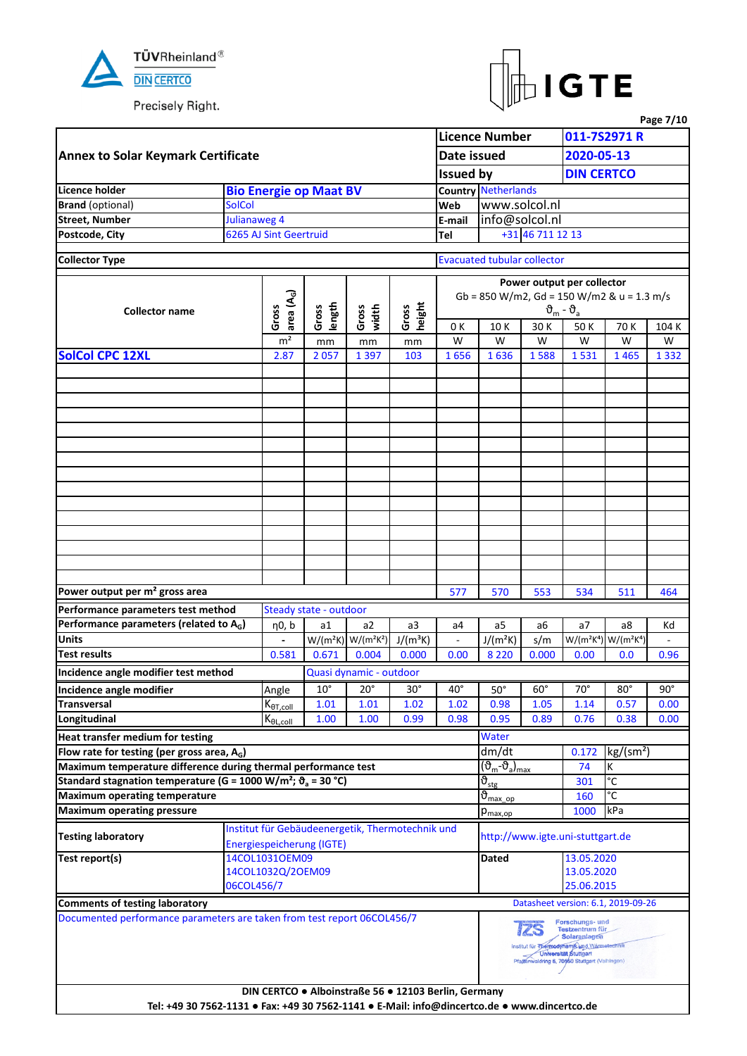



|                                                                                              |               |                        |                                  |                                                      |                 |                          |                                            |                  |                                                                                                                                                                  |                                                                       | Page 7/10  |  |  |
|----------------------------------------------------------------------------------------------|---------------|------------------------|----------------------------------|------------------------------------------------------|-----------------|--------------------------|--------------------------------------------|------------------|------------------------------------------------------------------------------------------------------------------------------------------------------------------|-----------------------------------------------------------------------|------------|--|--|
|                                                                                              |               |                        |                                  |                                                      |                 |                          | <b>Licence Number</b>                      |                  |                                                                                                                                                                  | 011-7S2971 R                                                          |            |  |  |
| <b>Annex to Solar Keymark Certificate</b>                                                    |               |                        |                                  |                                                      |                 | Date issued              |                                            |                  | 2020-05-13                                                                                                                                                       |                                                                       |            |  |  |
|                                                                                              |               |                        |                                  |                                                      |                 | <b>Issued by</b>         |                                            |                  | <b>DIN CERTCO</b>                                                                                                                                                |                                                                       |            |  |  |
| Licence holder                                                                               |               |                        | <b>Bio Energie op Maat BV</b>    |                                                      |                 |                          | <b>Country Netherlands</b>                 |                  |                                                                                                                                                                  |                                                                       |            |  |  |
| <b>Brand</b> (optional)                                                                      | <b>SolCol</b> |                        |                                  |                                                      |                 | Web                      | www.solcol.nl                              |                  |                                                                                                                                                                  |                                                                       |            |  |  |
| <b>Street, Number</b>                                                                        | Julianaweg 4  |                        |                                  |                                                      |                 | E-mail                   | info@solcol.nl                             |                  |                                                                                                                                                                  |                                                                       |            |  |  |
| Postcode, City                                                                               |               | 6265 AJ Sint Geertruid |                                  |                                                      |                 | Tel                      |                                            | +31 46 711 12 13 |                                                                                                                                                                  |                                                                       |            |  |  |
|                                                                                              |               |                        |                                  |                                                      |                 |                          |                                            |                  |                                                                                                                                                                  |                                                                       |            |  |  |
| <b>Collector Type</b>                                                                        |               |                        |                                  |                                                      |                 |                          | <b>Evacuated tubular collector</b>         |                  |                                                                                                                                                                  |                                                                       |            |  |  |
|                                                                                              |               |                        |                                  |                                                      |                 |                          |                                            |                  |                                                                                                                                                                  |                                                                       |            |  |  |
|                                                                                              |               |                        |                                  |                                                      |                 |                          |                                            |                  | Power output per collector                                                                                                                                       |                                                                       |            |  |  |
|                                                                                              |               | area (A <sub>G</sub> ) |                                  |                                                      |                 |                          | Gb = 850 W/m2, Gd = 150 W/m2 & u = 1.3 m/s |                  |                                                                                                                                                                  |                                                                       |            |  |  |
| <b>Collector name</b>                                                                        |               | Gross                  | length<br>Gross                  | Gross<br>width                                       | height<br>Gross |                          |                                            |                  | $\vartheta_{\rm m}$ - $\vartheta_{\rm a}$                                                                                                                        |                                                                       |            |  |  |
|                                                                                              |               |                        |                                  |                                                      |                 | 0 K                      | 10K                                        | 30 K             | 50 K                                                                                                                                                             | 70 K                                                                  | 104 K      |  |  |
|                                                                                              |               | m <sup>2</sup>         | mm                               | mm                                                   | mm              | W                        | W                                          | W                | W                                                                                                                                                                | W                                                                     | W          |  |  |
| <b>SolCol CPC 12XL</b>                                                                       |               | 2.87                   | 2057                             | 1397                                                 | 103             | 1656                     | 1636                                       | 1588             | 1531                                                                                                                                                             | 1465                                                                  | 1332       |  |  |
|                                                                                              |               |                        |                                  |                                                      |                 |                          |                                            |                  |                                                                                                                                                                  |                                                                       |            |  |  |
|                                                                                              |               |                        |                                  |                                                      |                 |                          |                                            |                  |                                                                                                                                                                  |                                                                       |            |  |  |
|                                                                                              |               |                        |                                  |                                                      |                 |                          |                                            |                  |                                                                                                                                                                  |                                                                       |            |  |  |
|                                                                                              |               |                        |                                  |                                                      |                 |                          |                                            |                  |                                                                                                                                                                  |                                                                       |            |  |  |
|                                                                                              |               |                        |                                  |                                                      |                 |                          |                                            |                  |                                                                                                                                                                  |                                                                       |            |  |  |
|                                                                                              |               |                        |                                  |                                                      |                 |                          |                                            |                  |                                                                                                                                                                  |                                                                       |            |  |  |
|                                                                                              |               |                        |                                  |                                                      |                 |                          |                                            |                  |                                                                                                                                                                  |                                                                       |            |  |  |
|                                                                                              |               |                        |                                  |                                                      |                 |                          |                                            |                  |                                                                                                                                                                  |                                                                       |            |  |  |
|                                                                                              |               |                        |                                  |                                                      |                 |                          |                                            |                  |                                                                                                                                                                  |                                                                       |            |  |  |
|                                                                                              |               |                        |                                  |                                                      |                 |                          |                                            |                  |                                                                                                                                                                  |                                                                       |            |  |  |
|                                                                                              |               |                        |                                  |                                                      |                 |                          |                                            |                  |                                                                                                                                                                  |                                                                       |            |  |  |
|                                                                                              |               |                        |                                  |                                                      |                 |                          |                                            |                  |                                                                                                                                                                  |                                                                       |            |  |  |
|                                                                                              |               |                        |                                  |                                                      |                 |                          |                                            |                  |                                                                                                                                                                  |                                                                       |            |  |  |
|                                                                                              |               |                        |                                  |                                                      |                 |                          |                                            |                  |                                                                                                                                                                  |                                                                       |            |  |  |
|                                                                                              |               |                        |                                  |                                                      |                 |                          |                                            |                  |                                                                                                                                                                  |                                                                       |            |  |  |
| Power output per m <sup>2</sup> gross area                                                   |               |                        |                                  |                                                      |                 |                          |                                            |                  |                                                                                                                                                                  |                                                                       |            |  |  |
|                                                                                              |               |                        |                                  |                                                      |                 | 577                      | 570                                        | 553              | 534                                                                                                                                                              | 511                                                                   | 464        |  |  |
| Performance parameters test method                                                           |               |                        | Steady state - outdoor           |                                                      |                 |                          |                                            |                  |                                                                                                                                                                  |                                                                       |            |  |  |
| Performance parameters (related to A <sub>G</sub> )                                          |               | η0, b                  | a1                               | a2                                                   | a3              | a4                       | a5                                         | а6               | а7                                                                                                                                                               | а8                                                                    | Κd         |  |  |
| <b>Units</b>                                                                                 |               |                        |                                  | $W/(m^2K)$ W/(m <sup>2</sup> K <sup>2</sup> )        | $J/(m^3K)$      | $\overline{\phantom{a}}$ | $J/(m^2K)$                                 | s/m              |                                                                                                                                                                  | W/(m <sup>2</sup> K <sup>4</sup> ) W/(m <sup>2</sup> K <sup>4</sup> ) | ä,         |  |  |
| <b>Test results</b>                                                                          |               | 0.581                  | 0.671                            | 0.004                                                | 0.000           | 0.00                     | 8 2 2 0                                    | 0.000            | 0.00                                                                                                                                                             | 0.0                                                                   | 0.96       |  |  |
| Incidence angle modifier test method                                                         |               |                        |                                  | Quasi dynamic - outdoor                              |                 |                          |                                            |                  |                                                                                                                                                                  |                                                                       |            |  |  |
| Incidence angle modifier                                                                     |               | Angle                  | $10^{\circ}$                     | $20^{\circ}$                                         | $30^\circ$      | $40^{\circ}$             | $50^\circ$                                 | $60^\circ$       | $70^\circ$                                                                                                                                                       | $80^\circ$                                                            | $90^\circ$ |  |  |
| <b>Transversal</b>                                                                           |               | $K_{\theta T, coll}$   | 1.01                             | 1.01                                                 | 1.02            | 1.02                     | 0.98                                       | 1.05             | 1.14                                                                                                                                                             | 0.57                                                                  | 0.00       |  |  |
| Longitudinal                                                                                 |               |                        | 1.00                             | 1.00                                                 | 0.99            | 0.98                     | 0.95                                       | 0.89             | 0.76                                                                                                                                                             | 0.38                                                                  | 0.00       |  |  |
|                                                                                              |               | $K_{\theta L, coll}$   |                                  |                                                      |                 |                          |                                            |                  |                                                                                                                                                                  |                                                                       |            |  |  |
| Heat transfer medium for testing                                                             |               |                        |                                  |                                                      |                 |                          | Water                                      |                  |                                                                                                                                                                  |                                                                       |            |  |  |
| Flow rate for testing (per gross area, $A_G$ )                                               |               |                        |                                  |                                                      |                 |                          | dm/dt                                      |                  | 0.172                                                                                                                                                            | $kg/(sm^2)$                                                           |            |  |  |
| Maximum temperature difference during thermal performance test                               |               |                        |                                  |                                                      |                 |                          | $(\vartheta_m - \vartheta_a)_{\text{max}}$ |                  | 74                                                                                                                                                               | К                                                                     |            |  |  |
| Standard stagnation temperature (G = 1000 W/m <sup>2</sup> ; $\vartheta_a$ = 30 °C)          |               |                        |                                  |                                                      |                 |                          | $\vartheta_{\text{stg}}$                   |                  | 301                                                                                                                                                              | $\overline{C}$                                                        |            |  |  |
| <b>Maximum operating temperature</b>                                                         |               |                        |                                  |                                                      |                 |                          | $\vartheta_{\text{max op}}$                |                  | 160                                                                                                                                                              | °C                                                                    |            |  |  |
| <b>Maximum operating pressure</b>                                                            |               |                        |                                  |                                                      |                 |                          | $p_{\text{max,op}}$                        |                  | 1000                                                                                                                                                             | kPa                                                                   |            |  |  |
|                                                                                              |               |                        |                                  | Institut für Gebäudeenergetik, Thermotechnik und     |                 |                          |                                            |                  |                                                                                                                                                                  |                                                                       |            |  |  |
| <b>Testing laboratory</b>                                                                    |               |                        | <b>Energiespeicherung (IGTE)</b> |                                                      |                 |                          | http://www.igte.uni-stuttgart.de           |                  |                                                                                                                                                                  |                                                                       |            |  |  |
| Test report(s)                                                                               |               | 14COL1031OEM09         |                                  |                                                      |                 |                          | Dated                                      |                  | 13.05.2020                                                                                                                                                       |                                                                       |            |  |  |
|                                                                                              |               | 14COL1032Q/2OEM09      |                                  |                                                      |                 |                          |                                            |                  | 13.05.2020                                                                                                                                                       |                                                                       |            |  |  |
|                                                                                              | 06COL456/7    |                        |                                  |                                                      |                 |                          |                                            |                  | 25.06.2015                                                                                                                                                       |                                                                       |            |  |  |
| <b>Comments of testing laboratory</b>                                                        |               |                        |                                  |                                                      |                 |                          |                                            |                  |                                                                                                                                                                  | Datasheet version: 6.1, 2019-09-26                                    |            |  |  |
| Documented performance parameters are taken from test report 06COL456/7                      |               |                        |                                  |                                                      |                 |                          |                                            |                  | Forschungs- und                                                                                                                                                  |                                                                       |            |  |  |
|                                                                                              |               |                        |                                  |                                                      |                 |                          |                                            | <b>IZS</b>       | Testzentrum für<br><b>Solaranlagen</b><br>Institut für Thermodynamik und Wärmetechnik<br>Universität Stuttgart<br>Pfaffenwaldring 6, 70550 Stuttgart (Vaihingen) |                                                                       |            |  |  |
| Tel: +49 30 7562-1131 · Fax: +49 30 7562-1141 · E-Mail: info@dincertco.de · www.dincertco.de |               |                        |                                  | DIN CERTCO · Alboinstraße 56 · 12103 Berlin, Germany |                 |                          |                                            |                  |                                                                                                                                                                  |                                                                       |            |  |  |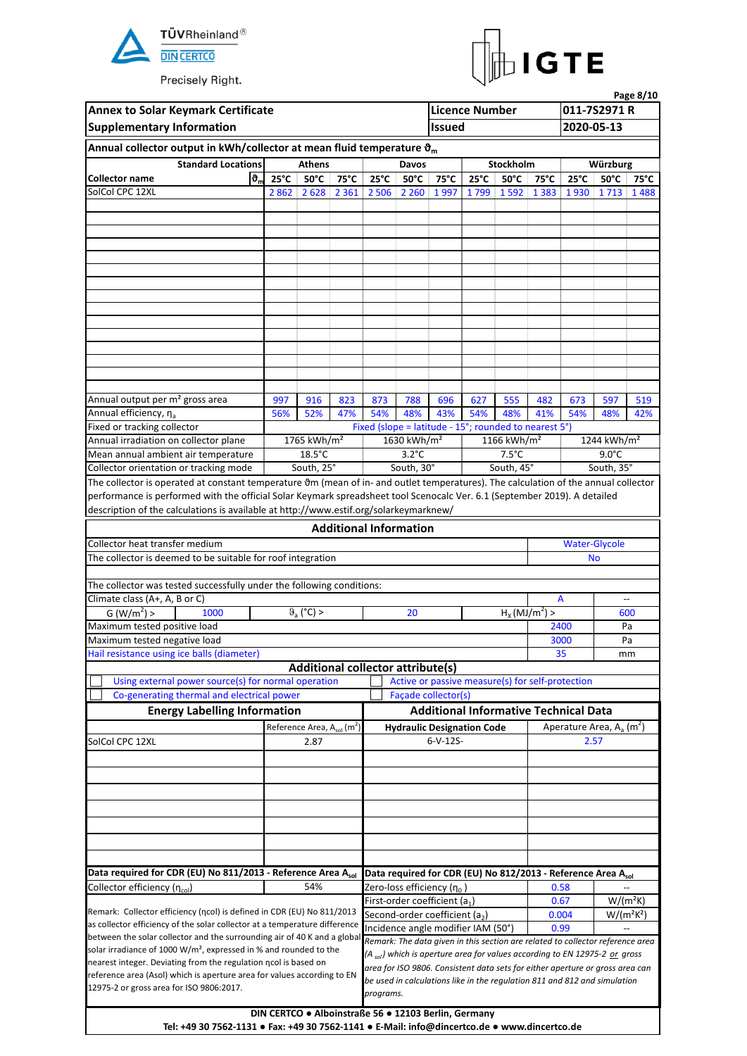



|                                                                                                                                                                                                                                                                                                                                                                                                                                                                                                                                                                                                                                                                                                                                                                                                                                                                                                                                                                                                                                                                                                                                                                                                                                                                                                                                                                                                                                                                                                                                                                                                                                                                                                                                                                                                                                                                                                                                                                                                                                                                                                                                                                                                                                                                                                                                                                                                                                                                                                                                                         |                                                                                                                                                                                                                                                                                                                                                                                                                                                                                                                                                                                                                                                                             |                |      |                                                               | Davos          |                                                      |                |                |      |                                                                               |                |      |
|---------------------------------------------------------------------------------------------------------------------------------------------------------------------------------------------------------------------------------------------------------------------------------------------------------------------------------------------------------------------------------------------------------------------------------------------------------------------------------------------------------------------------------------------------------------------------------------------------------------------------------------------------------------------------------------------------------------------------------------------------------------------------------------------------------------------------------------------------------------------------------------------------------------------------------------------------------------------------------------------------------------------------------------------------------------------------------------------------------------------------------------------------------------------------------------------------------------------------------------------------------------------------------------------------------------------------------------------------------------------------------------------------------------------------------------------------------------------------------------------------------------------------------------------------------------------------------------------------------------------------------------------------------------------------------------------------------------------------------------------------------------------------------------------------------------------------------------------------------------------------------------------------------------------------------------------------------------------------------------------------------------------------------------------------------------------------------------------------------------------------------------------------------------------------------------------------------------------------------------------------------------------------------------------------------------------------------------------------------------------------------------------------------------------------------------------------------------------------------------------------------------------------------------------------------|-----------------------------------------------------------------------------------------------------------------------------------------------------------------------------------------------------------------------------------------------------------------------------------------------------------------------------------------------------------------------------------------------------------------------------------------------------------------------------------------------------------------------------------------------------------------------------------------------------------------------------------------------------------------------------|----------------|------|---------------------------------------------------------------|----------------|------------------------------------------------------|----------------|----------------|------|-------------------------------------------------------------------------------|----------------|------|
| ზ.<br><b>Collector name</b>                                                                                                                                                                                                                                                                                                                                                                                                                                                                                                                                                                                                                                                                                                                                                                                                                                                                                                                                                                                                                                                                                                                                                                                                                                                                                                                                                                                                                                                                                                                                                                                                                                                                                                                                                                                                                                                                                                                                                                                                                                                                                                                                                                                                                                                                                                                                                                                                                                                                                                                             | $25^{\circ}$ C                                                                                                                                                                                                                                                                                                                                                                                                                                                                                                                                                                                                                                                              | $50^{\circ}$ C | 75°C | $25^{\circ}$ C                                                | $50^{\circ}$ C | 75°C                                                 | $25^{\circ}$ C | $50^{\circ}$ C | 75°C | $25^{\circ}C$                                                                 | $50^{\circ}$ C | 75°C |
| <b>Annex to Solar Keymark Certificate</b><br><b>Licence Number</b><br><b>Supplementary Information</b><br><b>Issued</b><br>Annual collector output in kWh/collector at mean fluid temperature $\vartheta_m$<br><b>Standard Locations</b><br>Stockholm<br><b>Athens</b><br>SolCol CPC 12XL<br>2 862 2 628 2 361 2 506 2 260 1 997<br>Annual output per m <sup>2</sup> gross area<br>997<br>916<br>823<br>873<br>788<br>696<br>555<br>627<br>482<br>Annual efficiency, na<br>54%<br>54%<br>41%<br>56%<br>52%<br>47%<br>48%<br>43%<br>48%<br>Fixed or tracking collector<br>1765 kWh/m <sup>2</sup><br>1630 kWh/m <sup>2</sup><br>Annual irradiation on collector plane<br>1166 kWh/ $m2$<br>$18.5^{\circ}$ C<br>$3.2^{\circ}$ C<br>$7.5^{\circ}$ C<br>Mean annual ambient air temperature<br>South, 25°<br>South, 30°<br>South, 45°<br>Collector orientation or tracking mode<br>The collector is operated at constant temperature 0m (mean of in- and outlet temperatures). The calculation of the annual collector<br>performance is performed with the official Solar Keymark spreadsheet tool Scenocalc Ver. 6.1 (September 2019). A detailed<br>description of the calculations is available at http://www.estif.org/solarkeymarknew/<br><b>Additional Information</b><br>Collector heat transfer medium<br>The collector is deemed to be suitable for roof integration<br>The collector was tested successfully under the following conditions:<br>Climate class (A+, A, B or C)<br>A<br>$\theta_a$ (°C) ><br>$H_X(MJ/m^2)$<br>G (W/m <sup>2</sup> ) ><br>1000<br>20<br>Maximum tested positive load<br>Maximum tested negative load<br>Hail resistance using ice balls (diameter)<br>35<br><b>Additional collector attribute(s)</b><br>Using external power source(s) for normal operation<br>Co-generating thermal and electrical power<br>Façade collector(s)<br><b>Energy Labelling Information</b><br>Reference Area, A <sub>sol</sub> (m <sup>2</sup> )<br><b>Hydraulic Designation Code</b><br>$6-V-12S-$<br>SolCol CPC 12XL<br>2.87<br>Data required for CDR (EU) No 811/2013 - Reference Area Asol<br>Collector efficiency (ncol)<br>54%<br>Zero-loss efficiency (n <sub>0</sub> )<br>First-order coefficient (a1)<br>Remark: Collector efficiency (ncol) is defined in CDR (EU) No 811/2013<br>Second-order coefficient (a <sub>2</sub> )<br>as collector efficiency of the solar collector at a temperature difference<br>Incidence angle modifier IAM (50°)<br>between the solar collector and the surrounding air of 40 K and a global |                                                                                                                                                                                                                                                                                                                                                                                                                                                                                                                                                                                                                                                                             |                |      |                                                               |                |                                                      |                |                |      |                                                                               |                |      |
|                                                                                                                                                                                                                                                                                                                                                                                                                                                                                                                                                                                                                                                                                                                                                                                                                                                                                                                                                                                                                                                                                                                                                                                                                                                                                                                                                                                                                                                                                                                                                                                                                                                                                                                                                                                                                                                                                                                                                                                                                                                                                                                                                                                                                                                                                                                                                                                                                                                                                                                                                         | Page 8/10<br>011-7S2971 R<br>2020-05-13<br>Würzburg<br>1799 1592 1383 1930 1713 1488<br>673<br>597<br>54%<br>48%<br>Fixed (slope = latitude - 15°; rounded to nearest 5°)<br>$9.0^{\circ}$ C<br><b>No</b><br>2400<br>3000<br>Active or passive measure(s) for self-protection<br><b>Additional Informative Technical Data</b><br>Aperature Area, $A_a$ (m <sup>2</sup> )<br>2.57<br>Data required for CDR (EU) No 812/2013 - Reference Area Asol<br>0.58<br>$W/(m^2K)$<br>0.67<br>0.004<br>0.99<br>Remark: The data given in this section are related to collector reference area<br>(A <sub>sol</sub> ) which is aperture area for values according to EN 12975-2 or gross |                |      |                                                               |                |                                                      |                |                |      |                                                                               |                |      |
|                                                                                                                                                                                                                                                                                                                                                                                                                                                                                                                                                                                                                                                                                                                                                                                                                                                                                                                                                                                                                                                                                                                                                                                                                                                                                                                                                                                                                                                                                                                                                                                                                                                                                                                                                                                                                                                                                                                                                                                                                                                                                                                                                                                                                                                                                                                                                                                                                                                                                                                                                         |                                                                                                                                                                                                                                                                                                                                                                                                                                                                                                                                                                                                                                                                             |                |      |                                                               |                |                                                      |                |                |      |                                                                               |                |      |
|                                                                                                                                                                                                                                                                                                                                                                                                                                                                                                                                                                                                                                                                                                                                                                                                                                                                                                                                                                                                                                                                                                                                                                                                                                                                                                                                                                                                                                                                                                                                                                                                                                                                                                                                                                                                                                                                                                                                                                                                                                                                                                                                                                                                                                                                                                                                                                                                                                                                                                                                                         |                                                                                                                                                                                                                                                                                                                                                                                                                                                                                                                                                                                                                                                                             |                |      |                                                               |                |                                                      |                |                |      |                                                                               |                |      |
|                                                                                                                                                                                                                                                                                                                                                                                                                                                                                                                                                                                                                                                                                                                                                                                                                                                                                                                                                                                                                                                                                                                                                                                                                                                                                                                                                                                                                                                                                                                                                                                                                                                                                                                                                                                                                                                                                                                                                                                                                                                                                                                                                                                                                                                                                                                                                                                                                                                                                                                                                         |                                                                                                                                                                                                                                                                                                                                                                                                                                                                                                                                                                                                                                                                             |                |      |                                                               |                |                                                      |                |                |      |                                                                               |                |      |
|                                                                                                                                                                                                                                                                                                                                                                                                                                                                                                                                                                                                                                                                                                                                                                                                                                                                                                                                                                                                                                                                                                                                                                                                                                                                                                                                                                                                                                                                                                                                                                                                                                                                                                                                                                                                                                                                                                                                                                                                                                                                                                                                                                                                                                                                                                                                                                                                                                                                                                                                                         |                                                                                                                                                                                                                                                                                                                                                                                                                                                                                                                                                                                                                                                                             |                |      |                                                               |                |                                                      |                |                |      |                                                                               |                |      |
|                                                                                                                                                                                                                                                                                                                                                                                                                                                                                                                                                                                                                                                                                                                                                                                                                                                                                                                                                                                                                                                                                                                                                                                                                                                                                                                                                                                                                                                                                                                                                                                                                                                                                                                                                                                                                                                                                                                                                                                                                                                                                                                                                                                                                                                                                                                                                                                                                                                                                                                                                         |                                                                                                                                                                                                                                                                                                                                                                                                                                                                                                                                                                                                                                                                             |                |      |                                                               |                |                                                      |                |                |      |                                                                               |                |      |
|                                                                                                                                                                                                                                                                                                                                                                                                                                                                                                                                                                                                                                                                                                                                                                                                                                                                                                                                                                                                                                                                                                                                                                                                                                                                                                                                                                                                                                                                                                                                                                                                                                                                                                                                                                                                                                                                                                                                                                                                                                                                                                                                                                                                                                                                                                                                                                                                                                                                                                                                                         |                                                                                                                                                                                                                                                                                                                                                                                                                                                                                                                                                                                                                                                                             |                |      |                                                               |                |                                                      |                |                |      |                                                                               |                |      |
|                                                                                                                                                                                                                                                                                                                                                                                                                                                                                                                                                                                                                                                                                                                                                                                                                                                                                                                                                                                                                                                                                                                                                                                                                                                                                                                                                                                                                                                                                                                                                                                                                                                                                                                                                                                                                                                                                                                                                                                                                                                                                                                                                                                                                                                                                                                                                                                                                                                                                                                                                         |                                                                                                                                                                                                                                                                                                                                                                                                                                                                                                                                                                                                                                                                             |                |      |                                                               |                |                                                      |                |                |      |                                                                               |                |      |
|                                                                                                                                                                                                                                                                                                                                                                                                                                                                                                                                                                                                                                                                                                                                                                                                                                                                                                                                                                                                                                                                                                                                                                                                                                                                                                                                                                                                                                                                                                                                                                                                                                                                                                                                                                                                                                                                                                                                                                                                                                                                                                                                                                                                                                                                                                                                                                                                                                                                                                                                                         |                                                                                                                                                                                                                                                                                                                                                                                                                                                                                                                                                                                                                                                                             |                |      |                                                               |                |                                                      |                |                |      |                                                                               |                |      |
|                                                                                                                                                                                                                                                                                                                                                                                                                                                                                                                                                                                                                                                                                                                                                                                                                                                                                                                                                                                                                                                                                                                                                                                                                                                                                                                                                                                                                                                                                                                                                                                                                                                                                                                                                                                                                                                                                                                                                                                                                                                                                                                                                                                                                                                                                                                                                                                                                                                                                                                                                         |                                                                                                                                                                                                                                                                                                                                                                                                                                                                                                                                                                                                                                                                             |                |      |                                                               |                |                                                      |                |                |      |                                                                               |                |      |
|                                                                                                                                                                                                                                                                                                                                                                                                                                                                                                                                                                                                                                                                                                                                                                                                                                                                                                                                                                                                                                                                                                                                                                                                                                                                                                                                                                                                                                                                                                                                                                                                                                                                                                                                                                                                                                                                                                                                                                                                                                                                                                                                                                                                                                                                                                                                                                                                                                                                                                                                                         |                                                                                                                                                                                                                                                                                                                                                                                                                                                                                                                                                                                                                                                                             |                |      |                                                               |                |                                                      |                |                |      |                                                                               |                |      |
|                                                                                                                                                                                                                                                                                                                                                                                                                                                                                                                                                                                                                                                                                                                                                                                                                                                                                                                                                                                                                                                                                                                                                                                                                                                                                                                                                                                                                                                                                                                                                                                                                                                                                                                                                                                                                                                                                                                                                                                                                                                                                                                                                                                                                                                                                                                                                                                                                                                                                                                                                         |                                                                                                                                                                                                                                                                                                                                                                                                                                                                                                                                                                                                                                                                             |                |      |                                                               |                |                                                      |                |                |      |                                                                               |                |      |
|                                                                                                                                                                                                                                                                                                                                                                                                                                                                                                                                                                                                                                                                                                                                                                                                                                                                                                                                                                                                                                                                                                                                                                                                                                                                                                                                                                                                                                                                                                                                                                                                                                                                                                                                                                                                                                                                                                                                                                                                                                                                                                                                                                                                                                                                                                                                                                                                                                                                                                                                                         |                                                                                                                                                                                                                                                                                                                                                                                                                                                                                                                                                                                                                                                                             |                |      |                                                               |                |                                                      |                |                |      |                                                                               |                |      |
|                                                                                                                                                                                                                                                                                                                                                                                                                                                                                                                                                                                                                                                                                                                                                                                                                                                                                                                                                                                                                                                                                                                                                                                                                                                                                                                                                                                                                                                                                                                                                                                                                                                                                                                                                                                                                                                                                                                                                                                                                                                                                                                                                                                                                                                                                                                                                                                                                                                                                                                                                         |                                                                                                                                                                                                                                                                                                                                                                                                                                                                                                                                                                                                                                                                             |                |      | 1244 kWh/m <sup>2</sup><br>South, 35°<br><b>Water-Glycole</b> |                |                                                      |                |                |      |                                                                               |                | 519  |
|                                                                                                                                                                                                                                                                                                                                                                                                                                                                                                                                                                                                                                                                                                                                                                                                                                                                                                                                                                                                                                                                                                                                                                                                                                                                                                                                                                                                                                                                                                                                                                                                                                                                                                                                                                                                                                                                                                                                                                                                                                                                                                                                                                                                                                                                                                                                                                                                                                                                                                                                                         |                                                                                                                                                                                                                                                                                                                                                                                                                                                                                                                                                                                                                                                                             |                |      |                                                               |                |                                                      |                |                |      |                                                                               |                | 42%  |
|                                                                                                                                                                                                                                                                                                                                                                                                                                                                                                                                                                                                                                                                                                                                                                                                                                                                                                                                                                                                                                                                                                                                                                                                                                                                                                                                                                                                                                                                                                                                                                                                                                                                                                                                                                                                                                                                                                                                                                                                                                                                                                                                                                                                                                                                                                                                                                                                                                                                                                                                                         |                                                                                                                                                                                                                                                                                                                                                                                                                                                                                                                                                                                                                                                                             |                |      |                                                               |                |                                                      |                |                |      |                                                                               |                |      |
|                                                                                                                                                                                                                                                                                                                                                                                                                                                                                                                                                                                                                                                                                                                                                                                                                                                                                                                                                                                                                                                                                                                                                                                                                                                                                                                                                                                                                                                                                                                                                                                                                                                                                                                                                                                                                                                                                                                                                                                                                                                                                                                                                                                                                                                                                                                                                                                                                                                                                                                                                         | solar irradiance of 1000 W/m <sup>2</sup> , expressed in % and rounded to the<br>nearest integer. Deviating from the regulation ncol is based on<br>reference area (Asol) which is aperture area for values according to EN                                                                                                                                                                                                                                                                                                                                                                                                                                                 |                |      |                                                               |                |                                                      |                |                |      |                                                                               |                |      |
|                                                                                                                                                                                                                                                                                                                                                                                                                                                                                                                                                                                                                                                                                                                                                                                                                                                                                                                                                                                                                                                                                                                                                                                                                                                                                                                                                                                                                                                                                                                                                                                                                                                                                                                                                                                                                                                                                                                                                                                                                                                                                                                                                                                                                                                                                                                                                                                                                                                                                                                                                         |                                                                                                                                                                                                                                                                                                                                                                                                                                                                                                                                                                                                                                                                             |                |      |                                                               |                |                                                      |                |                |      |                                                                               |                |      |
|                                                                                                                                                                                                                                                                                                                                                                                                                                                                                                                                                                                                                                                                                                                                                                                                                                                                                                                                                                                                                                                                                                                                                                                                                                                                                                                                                                                                                                                                                                                                                                                                                                                                                                                                                                                                                                                                                                                                                                                                                                                                                                                                                                                                                                                                                                                                                                                                                                                                                                                                                         |                                                                                                                                                                                                                                                                                                                                                                                                                                                                                                                                                                                                                                                                             |                |      |                                                               |                |                                                      |                |                |      |                                                                               |                |      |
|                                                                                                                                                                                                                                                                                                                                                                                                                                                                                                                                                                                                                                                                                                                                                                                                                                                                                                                                                                                                                                                                                                                                                                                                                                                                                                                                                                                                                                                                                                                                                                                                                                                                                                                                                                                                                                                                                                                                                                                                                                                                                                                                                                                                                                                                                                                                                                                                                                                                                                                                                         |                                                                                                                                                                                                                                                                                                                                                                                                                                                                                                                                                                                                                                                                             |                |      |                                                               |                |                                                      |                |                |      |                                                                               |                |      |
|                                                                                                                                                                                                                                                                                                                                                                                                                                                                                                                                                                                                                                                                                                                                                                                                                                                                                                                                                                                                                                                                                                                                                                                                                                                                                                                                                                                                                                                                                                                                                                                                                                                                                                                                                                                                                                                                                                                                                                                                                                                                                                                                                                                                                                                                                                                                                                                                                                                                                                                                                         |                                                                                                                                                                                                                                                                                                                                                                                                                                                                                                                                                                                                                                                                             |                |      |                                                               |                |                                                      |                |                |      |                                                                               |                |      |
|                                                                                                                                                                                                                                                                                                                                                                                                                                                                                                                                                                                                                                                                                                                                                                                                                                                                                                                                                                                                                                                                                                                                                                                                                                                                                                                                                                                                                                                                                                                                                                                                                                                                                                                                                                                                                                                                                                                                                                                                                                                                                                                                                                                                                                                                                                                                                                                                                                                                                                                                                         |                                                                                                                                                                                                                                                                                                                                                                                                                                                                                                                                                                                                                                                                             |                |      |                                                               |                |                                                      |                |                |      |                                                                               |                |      |
|                                                                                                                                                                                                                                                                                                                                                                                                                                                                                                                                                                                                                                                                                                                                                                                                                                                                                                                                                                                                                                                                                                                                                                                                                                                                                                                                                                                                                                                                                                                                                                                                                                                                                                                                                                                                                                                                                                                                                                                                                                                                                                                                                                                                                                                                                                                                                                                                                                                                                                                                                         |                                                                                                                                                                                                                                                                                                                                                                                                                                                                                                                                                                                                                                                                             |                |      |                                                               |                |                                                      |                |                |      |                                                                               |                |      |
|                                                                                                                                                                                                                                                                                                                                                                                                                                                                                                                                                                                                                                                                                                                                                                                                                                                                                                                                                                                                                                                                                                                                                                                                                                                                                                                                                                                                                                                                                                                                                                                                                                                                                                                                                                                                                                                                                                                                                                                                                                                                                                                                                                                                                                                                                                                                                                                                                                                                                                                                                         |                                                                                                                                                                                                                                                                                                                                                                                                                                                                                                                                                                                                                                                                             |                |      |                                                               |                |                                                      |                |                |      |                                                                               |                |      |
|                                                                                                                                                                                                                                                                                                                                                                                                                                                                                                                                                                                                                                                                                                                                                                                                                                                                                                                                                                                                                                                                                                                                                                                                                                                                                                                                                                                                                                                                                                                                                                                                                                                                                                                                                                                                                                                                                                                                                                                                                                                                                                                                                                                                                                                                                                                                                                                                                                                                                                                                                         |                                                                                                                                                                                                                                                                                                                                                                                                                                                                                                                                                                                                                                                                             |                |      |                                                               |                |                                                      |                |                |      |                                                                               |                |      |
|                                                                                                                                                                                                                                                                                                                                                                                                                                                                                                                                                                                                                                                                                                                                                                                                                                                                                                                                                                                                                                                                                                                                                                                                                                                                                                                                                                                                                                                                                                                                                                                                                                                                                                                                                                                                                                                                                                                                                                                                                                                                                                                                                                                                                                                                                                                                                                                                                                                                                                                                                         |                                                                                                                                                                                                                                                                                                                                                                                                                                                                                                                                                                                                                                                                             |                |      |                                                               |                |                                                      |                |                |      |                                                                               |                |      |
|                                                                                                                                                                                                                                                                                                                                                                                                                                                                                                                                                                                                                                                                                                                                                                                                                                                                                                                                                                                                                                                                                                                                                                                                                                                                                                                                                                                                                                                                                                                                                                                                                                                                                                                                                                                                                                                                                                                                                                                                                                                                                                                                                                                                                                                                                                                                                                                                                                                                                                                                                         |                                                                                                                                                                                                                                                                                                                                                                                                                                                                                                                                                                                                                                                                             |                |      |                                                               |                |                                                      |                |                |      |                                                                               |                |      |
|                                                                                                                                                                                                                                                                                                                                                                                                                                                                                                                                                                                                                                                                                                                                                                                                                                                                                                                                                                                                                                                                                                                                                                                                                                                                                                                                                                                                                                                                                                                                                                                                                                                                                                                                                                                                                                                                                                                                                                                                                                                                                                                                                                                                                                                                                                                                                                                                                                                                                                                                                         |                                                                                                                                                                                                                                                                                                                                                                                                                                                                                                                                                                                                                                                                             |                |      |                                                               |                |                                                      |                |                |      |                                                                               |                |      |
|                                                                                                                                                                                                                                                                                                                                                                                                                                                                                                                                                                                                                                                                                                                                                                                                                                                                                                                                                                                                                                                                                                                                                                                                                                                                                                                                                                                                                                                                                                                                                                                                                                                                                                                                                                                                                                                                                                                                                                                                                                                                                                                                                                                                                                                                                                                                                                                                                                                                                                                                                         |                                                                                                                                                                                                                                                                                                                                                                                                                                                                                                                                                                                                                                                                             |                |      |                                                               |                |                                                      |                |                |      |                                                                               |                | 600  |
|                                                                                                                                                                                                                                                                                                                                                                                                                                                                                                                                                                                                                                                                                                                                                                                                                                                                                                                                                                                                                                                                                                                                                                                                                                                                                                                                                                                                                                                                                                                                                                                                                                                                                                                                                                                                                                                                                                                                                                                                                                                                                                                                                                                                                                                                                                                                                                                                                                                                                                                                                         |                                                                                                                                                                                                                                                                                                                                                                                                                                                                                                                                                                                                                                                                             |                |      |                                                               |                |                                                      |                |                |      |                                                                               |                | Pa   |
|                                                                                                                                                                                                                                                                                                                                                                                                                                                                                                                                                                                                                                                                                                                                                                                                                                                                                                                                                                                                                                                                                                                                                                                                                                                                                                                                                                                                                                                                                                                                                                                                                                                                                                                                                                                                                                                                                                                                                                                                                                                                                                                                                                                                                                                                                                                                                                                                                                                                                                                                                         |                                                                                                                                                                                                                                                                                                                                                                                                                                                                                                                                                                                                                                                                             |                |      |                                                               |                |                                                      |                |                |      |                                                                               |                | Pa   |
|                                                                                                                                                                                                                                                                                                                                                                                                                                                                                                                                                                                                                                                                                                                                                                                                                                                                                                                                                                                                                                                                                                                                                                                                                                                                                                                                                                                                                                                                                                                                                                                                                                                                                                                                                                                                                                                                                                                                                                                                                                                                                                                                                                                                                                                                                                                                                                                                                                                                                                                                                         |                                                                                                                                                                                                                                                                                                                                                                                                                                                                                                                                                                                                                                                                             |                |      |                                                               |                |                                                      |                |                |      |                                                                               |                | mm   |
|                                                                                                                                                                                                                                                                                                                                                                                                                                                                                                                                                                                                                                                                                                                                                                                                                                                                                                                                                                                                                                                                                                                                                                                                                                                                                                                                                                                                                                                                                                                                                                                                                                                                                                                                                                                                                                                                                                                                                                                                                                                                                                                                                                                                                                                                                                                                                                                                                                                                                                                                                         |                                                                                                                                                                                                                                                                                                                                                                                                                                                                                                                                                                                                                                                                             |                |      |                                                               |                |                                                      |                |                |      |                                                                               |                |      |
|                                                                                                                                                                                                                                                                                                                                                                                                                                                                                                                                                                                                                                                                                                                                                                                                                                                                                                                                                                                                                                                                                                                                                                                                                                                                                                                                                                                                                                                                                                                                                                                                                                                                                                                                                                                                                                                                                                                                                                                                                                                                                                                                                                                                                                                                                                                                                                                                                                                                                                                                                         |                                                                                                                                                                                                                                                                                                                                                                                                                                                                                                                                                                                                                                                                             |                |      |                                                               |                |                                                      |                |                |      |                                                                               |                |      |
|                                                                                                                                                                                                                                                                                                                                                                                                                                                                                                                                                                                                                                                                                                                                                                                                                                                                                                                                                                                                                                                                                                                                                                                                                                                                                                                                                                                                                                                                                                                                                                                                                                                                                                                                                                                                                                                                                                                                                                                                                                                                                                                                                                                                                                                                                                                                                                                                                                                                                                                                                         |                                                                                                                                                                                                                                                                                                                                                                                                                                                                                                                                                                                                                                                                             |                |      |                                                               |                |                                                      |                |                |      |                                                                               |                |      |
|                                                                                                                                                                                                                                                                                                                                                                                                                                                                                                                                                                                                                                                                                                                                                                                                                                                                                                                                                                                                                                                                                                                                                                                                                                                                                                                                                                                                                                                                                                                                                                                                                                                                                                                                                                                                                                                                                                                                                                                                                                                                                                                                                                                                                                                                                                                                                                                                                                                                                                                                                         |                                                                                                                                                                                                                                                                                                                                                                                                                                                                                                                                                                                                                                                                             |                |      |                                                               |                |                                                      |                |                |      |                                                                               |                |      |
|                                                                                                                                                                                                                                                                                                                                                                                                                                                                                                                                                                                                                                                                                                                                                                                                                                                                                                                                                                                                                                                                                                                                                                                                                                                                                                                                                                                                                                                                                                                                                                                                                                                                                                                                                                                                                                                                                                                                                                                                                                                                                                                                                                                                                                                                                                                                                                                                                                                                                                                                                         |                                                                                                                                                                                                                                                                                                                                                                                                                                                                                                                                                                                                                                                                             |                |      |                                                               |                |                                                      |                |                |      |                                                                               |                |      |
|                                                                                                                                                                                                                                                                                                                                                                                                                                                                                                                                                                                                                                                                                                                                                                                                                                                                                                                                                                                                                                                                                                                                                                                                                                                                                                                                                                                                                                                                                                                                                                                                                                                                                                                                                                                                                                                                                                                                                                                                                                                                                                                                                                                                                                                                                                                                                                                                                                                                                                                                                         |                                                                                                                                                                                                                                                                                                                                                                                                                                                                                                                                                                                                                                                                             |                |      |                                                               |                |                                                      |                |                |      |                                                                               |                |      |
|                                                                                                                                                                                                                                                                                                                                                                                                                                                                                                                                                                                                                                                                                                                                                                                                                                                                                                                                                                                                                                                                                                                                                                                                                                                                                                                                                                                                                                                                                                                                                                                                                                                                                                                                                                                                                                                                                                                                                                                                                                                                                                                                                                                                                                                                                                                                                                                                                                                                                                                                                         |                                                                                                                                                                                                                                                                                                                                                                                                                                                                                                                                                                                                                                                                             |                |      |                                                               |                |                                                      |                |                |      |                                                                               |                |      |
|                                                                                                                                                                                                                                                                                                                                                                                                                                                                                                                                                                                                                                                                                                                                                                                                                                                                                                                                                                                                                                                                                                                                                                                                                                                                                                                                                                                                                                                                                                                                                                                                                                                                                                                                                                                                                                                                                                                                                                                                                                                                                                                                                                                                                                                                                                                                                                                                                                                                                                                                                         |                                                                                                                                                                                                                                                                                                                                                                                                                                                                                                                                                                                                                                                                             |                |      |                                                               |                |                                                      |                |                |      |                                                                               |                |      |
|                                                                                                                                                                                                                                                                                                                                                                                                                                                                                                                                                                                                                                                                                                                                                                                                                                                                                                                                                                                                                                                                                                                                                                                                                                                                                                                                                                                                                                                                                                                                                                                                                                                                                                                                                                                                                                                                                                                                                                                                                                                                                                                                                                                                                                                                                                                                                                                                                                                                                                                                                         |                                                                                                                                                                                                                                                                                                                                                                                                                                                                                                                                                                                                                                                                             |                |      |                                                               |                |                                                      |                |                |      |                                                                               |                |      |
|                                                                                                                                                                                                                                                                                                                                                                                                                                                                                                                                                                                                                                                                                                                                                                                                                                                                                                                                                                                                                                                                                                                                                                                                                                                                                                                                                                                                                                                                                                                                                                                                                                                                                                                                                                                                                                                                                                                                                                                                                                                                                                                                                                                                                                                                                                                                                                                                                                                                                                                                                         |                                                                                                                                                                                                                                                                                                                                                                                                                                                                                                                                                                                                                                                                             |                |      |                                                               |                |                                                      |                |                |      |                                                                               |                |      |
|                                                                                                                                                                                                                                                                                                                                                                                                                                                                                                                                                                                                                                                                                                                                                                                                                                                                                                                                                                                                                                                                                                                                                                                                                                                                                                                                                                                                                                                                                                                                                                                                                                                                                                                                                                                                                                                                                                                                                                                                                                                                                                                                                                                                                                                                                                                                                                                                                                                                                                                                                         |                                                                                                                                                                                                                                                                                                                                                                                                                                                                                                                                                                                                                                                                             |                |      |                                                               |                |                                                      |                |                |      |                                                                               |                |      |
|                                                                                                                                                                                                                                                                                                                                                                                                                                                                                                                                                                                                                                                                                                                                                                                                                                                                                                                                                                                                                                                                                                                                                                                                                                                                                                                                                                                                                                                                                                                                                                                                                                                                                                                                                                                                                                                                                                                                                                                                                                                                                                                                                                                                                                                                                                                                                                                                                                                                                                                                                         |                                                                                                                                                                                                                                                                                                                                                                                                                                                                                                                                                                                                                                                                             |                |      |                                                               |                |                                                      |                |                |      |                                                                               |                |      |
|                                                                                                                                                                                                                                                                                                                                                                                                                                                                                                                                                                                                                                                                                                                                                                                                                                                                                                                                                                                                                                                                                                                                                                                                                                                                                                                                                                                                                                                                                                                                                                                                                                                                                                                                                                                                                                                                                                                                                                                                                                                                                                                                                                                                                                                                                                                                                                                                                                                                                                                                                         |                                                                                                                                                                                                                                                                                                                                                                                                                                                                                                                                                                                                                                                                             |                |      |                                                               |                |                                                      |                |                |      |                                                                               |                |      |
|                                                                                                                                                                                                                                                                                                                                                                                                                                                                                                                                                                                                                                                                                                                                                                                                                                                                                                                                                                                                                                                                                                                                                                                                                                                                                                                                                                                                                                                                                                                                                                                                                                                                                                                                                                                                                                                                                                                                                                                                                                                                                                                                                                                                                                                                                                                                                                                                                                                                                                                                                         |                                                                                                                                                                                                                                                                                                                                                                                                                                                                                                                                                                                                                                                                             |                |      |                                                               |                |                                                      |                |                |      |                                                                               |                |      |
|                                                                                                                                                                                                                                                                                                                                                                                                                                                                                                                                                                                                                                                                                                                                                                                                                                                                                                                                                                                                                                                                                                                                                                                                                                                                                                                                                                                                                                                                                                                                                                                                                                                                                                                                                                                                                                                                                                                                                                                                                                                                                                                                                                                                                                                                                                                                                                                                                                                                                                                                                         |                                                                                                                                                                                                                                                                                                                                                                                                                                                                                                                                                                                                                                                                             |                |      |                                                               |                |                                                      |                |                |      |                                                                               |                |      |
|                                                                                                                                                                                                                                                                                                                                                                                                                                                                                                                                                                                                                                                                                                                                                                                                                                                                                                                                                                                                                                                                                                                                                                                                                                                                                                                                                                                                                                                                                                                                                                                                                                                                                                                                                                                                                                                                                                                                                                                                                                                                                                                                                                                                                                                                                                                                                                                                                                                                                                                                                         |                                                                                                                                                                                                                                                                                                                                                                                                                                                                                                                                                                                                                                                                             |                |      |                                                               |                |                                                      |                |                |      |                                                                               |                |      |
|                                                                                                                                                                                                                                                                                                                                                                                                                                                                                                                                                                                                                                                                                                                                                                                                                                                                                                                                                                                                                                                                                                                                                                                                                                                                                                                                                                                                                                                                                                                                                                                                                                                                                                                                                                                                                                                                                                                                                                                                                                                                                                                                                                                                                                                                                                                                                                                                                                                                                                                                                         |                                                                                                                                                                                                                                                                                                                                                                                                                                                                                                                                                                                                                                                                             |                |      |                                                               |                |                                                      |                |                |      |                                                                               |                |      |
|                                                                                                                                                                                                                                                                                                                                                                                                                                                                                                                                                                                                                                                                                                                                                                                                                                                                                                                                                                                                                                                                                                                                                                                                                                                                                                                                                                                                                                                                                                                                                                                                                                                                                                                                                                                                                                                                                                                                                                                                                                                                                                                                                                                                                                                                                                                                                                                                                                                                                                                                                         |                                                                                                                                                                                                                                                                                                                                                                                                                                                                                                                                                                                                                                                                             |                |      |                                                               |                |                                                      |                |                |      |                                                                               | $W/(m^2K^2)$   |      |
|                                                                                                                                                                                                                                                                                                                                                                                                                                                                                                                                                                                                                                                                                                                                                                                                                                                                                                                                                                                                                                                                                                                                                                                                                                                                                                                                                                                                                                                                                                                                                                                                                                                                                                                                                                                                                                                                                                                                                                                                                                                                                                                                                                                                                                                                                                                                                                                                                                                                                                                                                         |                                                                                                                                                                                                                                                                                                                                                                                                                                                                                                                                                                                                                                                                             |                |      |                                                               |                |                                                      |                |                |      |                                                                               |                |      |
|                                                                                                                                                                                                                                                                                                                                                                                                                                                                                                                                                                                                                                                                                                                                                                                                                                                                                                                                                                                                                                                                                                                                                                                                                                                                                                                                                                                                                                                                                                                                                                                                                                                                                                                                                                                                                                                                                                                                                                                                                                                                                                                                                                                                                                                                                                                                                                                                                                                                                                                                                         |                                                                                                                                                                                                                                                                                                                                                                                                                                                                                                                                                                                                                                                                             |                |      |                                                               |                |                                                      |                |                |      |                                                                               |                |      |
|                                                                                                                                                                                                                                                                                                                                                                                                                                                                                                                                                                                                                                                                                                                                                                                                                                                                                                                                                                                                                                                                                                                                                                                                                                                                                                                                                                                                                                                                                                                                                                                                                                                                                                                                                                                                                                                                                                                                                                                                                                                                                                                                                                                                                                                                                                                                                                                                                                                                                                                                                         |                                                                                                                                                                                                                                                                                                                                                                                                                                                                                                                                                                                                                                                                             |                |      |                                                               |                |                                                      |                |                |      |                                                                               |                |      |
|                                                                                                                                                                                                                                                                                                                                                                                                                                                                                                                                                                                                                                                                                                                                                                                                                                                                                                                                                                                                                                                                                                                                                                                                                                                                                                                                                                                                                                                                                                                                                                                                                                                                                                                                                                                                                                                                                                                                                                                                                                                                                                                                                                                                                                                                                                                                                                                                                                                                                                                                                         |                                                                                                                                                                                                                                                                                                                                                                                                                                                                                                                                                                                                                                                                             |                |      |                                                               |                |                                                      |                |                |      | area for ISO 9806. Consistent data sets for either aperture or gross area can |                |      |
|                                                                                                                                                                                                                                                                                                                                                                                                                                                                                                                                                                                                                                                                                                                                                                                                                                                                                                                                                                                                                                                                                                                                                                                                                                                                                                                                                                                                                                                                                                                                                                                                                                                                                                                                                                                                                                                                                                                                                                                                                                                                                                                                                                                                                                                                                                                                                                                                                                                                                                                                                         |                                                                                                                                                                                                                                                                                                                                                                                                                                                                                                                                                                                                                                                                             |                |      |                                                               |                |                                                      |                |                |      | be used in calculations like in the regulation 811 and 812 and simulation     |                |      |
| 12975-2 or gross area for ISO 9806:2017.                                                                                                                                                                                                                                                                                                                                                                                                                                                                                                                                                                                                                                                                                                                                                                                                                                                                                                                                                                                                                                                                                                                                                                                                                                                                                                                                                                                                                                                                                                                                                                                                                                                                                                                                                                                                                                                                                                                                                                                                                                                                                                                                                                                                                                                                                                                                                                                                                                                                                                                |                                                                                                                                                                                                                                                                                                                                                                                                                                                                                                                                                                                                                                                                             |                |      | programs.                                                     |                |                                                      |                |                |      |                                                                               |                |      |
|                                                                                                                                                                                                                                                                                                                                                                                                                                                                                                                                                                                                                                                                                                                                                                                                                                                                                                                                                                                                                                                                                                                                                                                                                                                                                                                                                                                                                                                                                                                                                                                                                                                                                                                                                                                                                                                                                                                                                                                                                                                                                                                                                                                                                                                                                                                                                                                                                                                                                                                                                         |                                                                                                                                                                                                                                                                                                                                                                                                                                                                                                                                                                                                                                                                             |                |      |                                                               |                | DIN CERTCO . Alboinstraße 56 . 12103 Berlin, Germany |                |                |      |                                                                               |                |      |
|                                                                                                                                                                                                                                                                                                                                                                                                                                                                                                                                                                                                                                                                                                                                                                                                                                                                                                                                                                                                                                                                                                                                                                                                                                                                                                                                                                                                                                                                                                                                                                                                                                                                                                                                                                                                                                                                                                                                                                                                                                                                                                                                                                                                                                                                                                                                                                                                                                                                                                                                                         |                                                                                                                                                                                                                                                                                                                                                                                                                                                                                                                                                                                                                                                                             |                |      |                                                               |                |                                                      |                |                |      |                                                                               |                |      |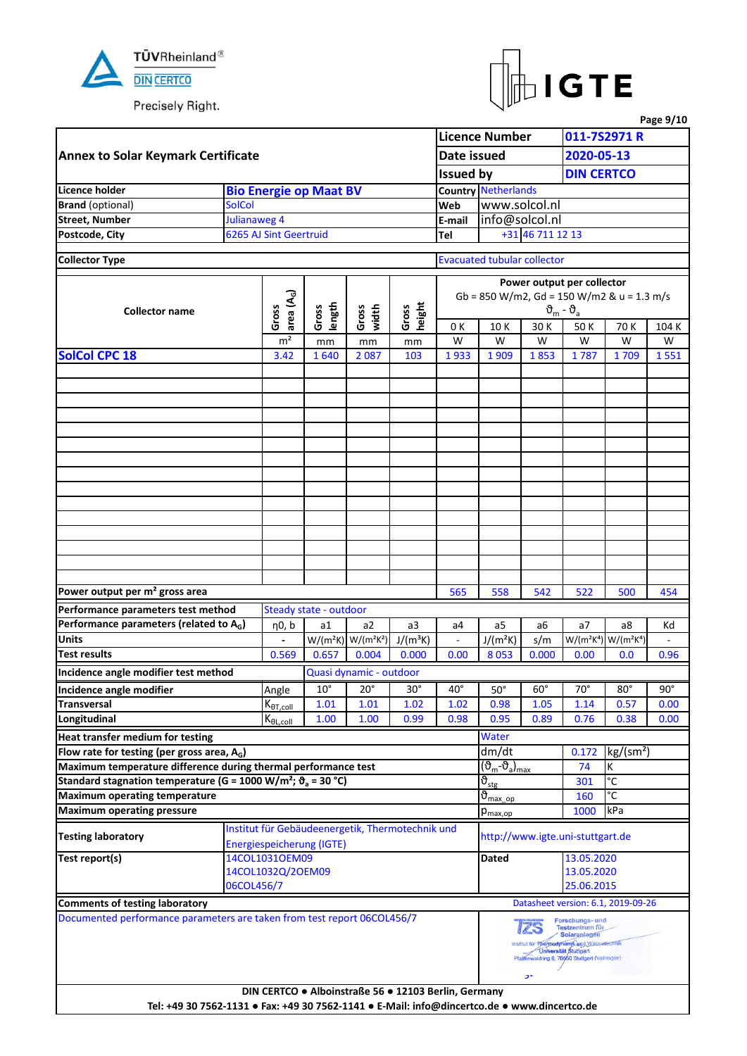



|                                                                                                |               |                                                         |                        |                                                  |                 |                                                      |                                                  |                   |                                                                                                                                                                         |                                                                                                                                                                                                                                                                                                                                                                                                                                                                                                                          | Page 9/10  |  |  |  |
|------------------------------------------------------------------------------------------------|---------------|---------------------------------------------------------|------------------------|--------------------------------------------------|-----------------|------------------------------------------------------|--------------------------------------------------|-------------------|-------------------------------------------------------------------------------------------------------------------------------------------------------------------------|--------------------------------------------------------------------------------------------------------------------------------------------------------------------------------------------------------------------------------------------------------------------------------------------------------------------------------------------------------------------------------------------------------------------------------------------------------------------------------------------------------------------------|------------|--|--|--|
|                                                                                                |               |                                                         |                        |                                                  |                 |                                                      | <b>Licence Number</b>                            |                   |                                                                                                                                                                         | 011-7S2971 R                                                                                                                                                                                                                                                                                                                                                                                                                                                                                                             |            |  |  |  |
| <b>Annex to Solar Keymark Certificate</b>                                                      |               |                                                         |                        |                                                  |                 | Date issued                                          |                                                  |                   |                                                                                                                                                                         |                                                                                                                                                                                                                                                                                                                                                                                                                                                                                                                          |            |  |  |  |
|                                                                                                |               |                                                         |                        |                                                  |                 | <b>Issued by</b>                                     |                                                  |                   |                                                                                                                                                                         |                                                                                                                                                                                                                                                                                                                                                                                                                                                                                                                          |            |  |  |  |
| Licence holder                                                                                 |               | <b>Bio Energie op Maat BV</b>                           |                        |                                                  |                 |                                                      | <b>Country Netherlands</b>                       |                   |                                                                                                                                                                         |                                                                                                                                                                                                                                                                                                                                                                                                                                                                                                                          |            |  |  |  |
| <b>Brand</b> (optional)                                                                        | <b>SolCol</b> |                                                         |                        |                                                  |                 | Web                                                  | www.solcol.nl                                    |                   |                                                                                                                                                                         |                                                                                                                                                                                                                                                                                                                                                                                                                                                                                                                          |            |  |  |  |
| <b>Street, Number</b>                                                                          | Julianaweg 4  |                                                         |                        |                                                  |                 | E-mail                                               | info@solcol.nl                                   |                   |                                                                                                                                                                         |                                                                                                                                                                                                                                                                                                                                                                                                                                                                                                                          |            |  |  |  |
| Postcode, City                                                                                 |               | 6265 AJ Sint Geertruid                                  |                        |                                                  |                 | Tel                                                  |                                                  | +31 46 711 12 13  |                                                                                                                                                                         |                                                                                                                                                                                                                                                                                                                                                                                                                                                                                                                          |            |  |  |  |
|                                                                                                |               |                                                         |                        |                                                  |                 |                                                      |                                                  |                   |                                                                                                                                                                         |                                                                                                                                                                                                                                                                                                                                                                                                                                                                                                                          |            |  |  |  |
| <b>Collector Type</b>                                                                          |               |                                                         |                        |                                                  |                 |                                                      | <b>Evacuated tubular collector</b>               |                   |                                                                                                                                                                         |                                                                                                                                                                                                                                                                                                                                                                                                                                                                                                                          |            |  |  |  |
|                                                                                                |               |                                                         |                        |                                                  |                 |                                                      |                                                  |                   |                                                                                                                                                                         |                                                                                                                                                                                                                                                                                                                                                                                                                                                                                                                          |            |  |  |  |
|                                                                                                |               | area $(A_G)$                                            |                        |                                                  |                 |                                                      |                                                  |                   |                                                                                                                                                                         |                                                                                                                                                                                                                                                                                                                                                                                                                                                                                                                          |            |  |  |  |
| <b>Collector name</b>                                                                          |               | Gross                                                   | length<br>Gross        | Gross<br>width                                   | height<br>Gross |                                                      |                                                  |                   | $\vartheta_{\rm m}$ - $\vartheta_{\rm a}$                                                                                                                               |                                                                                                                                                                                                                                                                                                                                                                                                                                                                                                                          |            |  |  |  |
|                                                                                                |               |                                                         |                        |                                                  |                 | 0 K                                                  | 30 K<br>10K                                      |                   | 50K                                                                                                                                                                     | 70 K                                                                                                                                                                                                                                                                                                                                                                                                                                                                                                                     | 104 K      |  |  |  |
|                                                                                                |               | m <sup>2</sup>                                          | mm                     | mm                                               | mm              | W                                                    | W                                                | W                 | W                                                                                                                                                                       | W                                                                                                                                                                                                                                                                                                                                                                                                                                                                                                                        | W          |  |  |  |
| <b>SolCol CPC 18</b>                                                                           |               | 3.42                                                    | 1640                   | 2087                                             | 103             | 1933                                                 | 1909                                             | 1853              | 1787                                                                                                                                                                    | 1709                                                                                                                                                                                                                                                                                                                                                                                                                                                                                                                     | 1551       |  |  |  |
|                                                                                                |               |                                                         |                        |                                                  |                 |                                                      |                                                  |                   |                                                                                                                                                                         |                                                                                                                                                                                                                                                                                                                                                                                                                                                                                                                          |            |  |  |  |
|                                                                                                |               |                                                         |                        |                                                  |                 |                                                      |                                                  |                   |                                                                                                                                                                         |                                                                                                                                                                                                                                                                                                                                                                                                                                                                                                                          |            |  |  |  |
|                                                                                                |               |                                                         |                        |                                                  |                 |                                                      |                                                  |                   |                                                                                                                                                                         |                                                                                                                                                                                                                                                                                                                                                                                                                                                                                                                          |            |  |  |  |
|                                                                                                |               |                                                         |                        |                                                  |                 |                                                      |                                                  |                   |                                                                                                                                                                         |                                                                                                                                                                                                                                                                                                                                                                                                                                                                                                                          |            |  |  |  |
|                                                                                                |               |                                                         |                        |                                                  |                 |                                                      |                                                  |                   |                                                                                                                                                                         |                                                                                                                                                                                                                                                                                                                                                                                                                                                                                                                          |            |  |  |  |
|                                                                                                |               |                                                         |                        |                                                  |                 |                                                      |                                                  |                   |                                                                                                                                                                         |                                                                                                                                                                                                                                                                                                                                                                                                                                                                                                                          |            |  |  |  |
|                                                                                                |               |                                                         |                        |                                                  |                 |                                                      |                                                  |                   |                                                                                                                                                                         |                                                                                                                                                                                                                                                                                                                                                                                                                                                                                                                          |            |  |  |  |
|                                                                                                |               |                                                         |                        |                                                  |                 |                                                      |                                                  |                   |                                                                                                                                                                         |                                                                                                                                                                                                                                                                                                                                                                                                                                                                                                                          |            |  |  |  |
|                                                                                                |               |                                                         |                        |                                                  |                 |                                                      |                                                  |                   |                                                                                                                                                                         |                                                                                                                                                                                                                                                                                                                                                                                                                                                                                                                          |            |  |  |  |
|                                                                                                |               |                                                         |                        |                                                  |                 |                                                      |                                                  |                   |                                                                                                                                                                         |                                                                                                                                                                                                                                                                                                                                                                                                                                                                                                                          |            |  |  |  |
|                                                                                                |               |                                                         |                        |                                                  |                 |                                                      |                                                  |                   |                                                                                                                                                                         |                                                                                                                                                                                                                                                                                                                                                                                                                                                                                                                          |            |  |  |  |
|                                                                                                |               |                                                         |                        |                                                  |                 |                                                      |                                                  |                   |                                                                                                                                                                         |                                                                                                                                                                                                                                                                                                                                                                                                                                                                                                                          |            |  |  |  |
|                                                                                                |               |                                                         |                        |                                                  |                 |                                                      |                                                  |                   |                                                                                                                                                                         |                                                                                                                                                                                                                                                                                                                                                                                                                                                                                                                          |            |  |  |  |
|                                                                                                |               |                                                         |                        |                                                  |                 |                                                      |                                                  |                   |                                                                                                                                                                         |                                                                                                                                                                                                                                                                                                                                                                                                                                                                                                                          |            |  |  |  |
|                                                                                                |               |                                                         |                        |                                                  |                 |                                                      |                                                  |                   |                                                                                                                                                                         |                                                                                                                                                                                                                                                                                                                                                                                                                                                                                                                          |            |  |  |  |
| Power output per m <sup>2</sup> gross area                                                     |               |                                                         |                        |                                                  |                 | 565                                                  | 558                                              | 542               |                                                                                                                                                                         |                                                                                                                                                                                                                                                                                                                                                                                                                                                                                                                          | 454        |  |  |  |
| Performance parameters test method                                                             |               |                                                         | Steady state - outdoor |                                                  |                 |                                                      |                                                  |                   |                                                                                                                                                                         |                                                                                                                                                                                                                                                                                                                                                                                                                                                                                                                          |            |  |  |  |
| Performance parameters (related to $A_G$ )                                                     |               | η0, b                                                   | a1                     | a2                                               | a3              | a4                                                   | a5                                               | a6                | a <sub>7</sub>                                                                                                                                                          | a8                                                                                                                                                                                                                                                                                                                                                                                                                                                                                                                       | Κd         |  |  |  |
| <b>Units</b>                                                                                   |               |                                                         |                        | $W/(m^2K)$ W/(m <sup>2</sup> K <sup>2</sup> )    | $J/(m^3K)$      | $\blacksquare$                                       | $J/(m^2K)$                                       | s/m               |                                                                                                                                                                         | 2020-05-13<br><b>DIN CERTCO</b><br>Power output per collector<br>Gb = 850 W/m2, Gd = 150 W/m2 & u = 1.3 m/s<br>522<br>500<br>W/(m <sup>2</sup> K <sup>4</sup> ) W/(m <sup>2</sup> K <sup>4</sup> )<br>0.00<br>0.0<br>$70^{\circ}$<br>$80^\circ$<br>1.14<br>0.57<br>0.76<br>0.38<br>kg/(sm <sup>2</sup> )<br>0.172<br>К<br>74<br>$\overline{c}$<br>301<br>°C<br>160<br>kPa<br>1000<br>http://www.igte.uni-stuttgart.de<br>13.05.2020<br>13.05.2020<br>25.06.2015<br>Datasheet version: 6.1, 2019-09-26<br>Forschungs- und |            |  |  |  |
| <b>Test results</b>                                                                            |               | 0.569                                                   | 0.657                  | 0.004                                            | 0.000           | 0.00                                                 | 8053                                             | 0.000             |                                                                                                                                                                         |                                                                                                                                                                                                                                                                                                                                                                                                                                                                                                                          | 0.96       |  |  |  |
| Incidence angle modifier test method                                                           |               |                                                         |                        | Quasi dynamic - outdoor                          |                 |                                                      |                                                  |                   |                                                                                                                                                                         |                                                                                                                                                                                                                                                                                                                                                                                                                                                                                                                          |            |  |  |  |
| Incidence angle modifier                                                                       |               | Angle                                                   | $10^{\circ}$           | $20^{\circ}$                                     | $30^\circ$      | $40^{\circ}$                                         | $50^\circ$                                       | $60^\circ$        |                                                                                                                                                                         |                                                                                                                                                                                                                                                                                                                                                                                                                                                                                                                          | $90^\circ$ |  |  |  |
| <b>Transversal</b>                                                                             |               | $K_{\theta T, coll}$                                    | 1.01                   | 1.01                                             | 1.02            | 1.02                                                 | 0.98                                             | 1.05              |                                                                                                                                                                         |                                                                                                                                                                                                                                                                                                                                                                                                                                                                                                                          | 0.00       |  |  |  |
| Longitudinal                                                                                   |               | $\mathsf{K}_{\underline{\theta\mathsf{L},\text{coll}}}$ | 1.00                   | 1.00                                             | 0.99            | 0.98                                                 | 0.95                                             | 0.89              |                                                                                                                                                                         |                                                                                                                                                                                                                                                                                                                                                                                                                                                                                                                          | 0.00       |  |  |  |
| Heat transfer medium for testing                                                               |               |                                                         |                        |                                                  |                 |                                                      | Water                                            |                   |                                                                                                                                                                         |                                                                                                                                                                                                                                                                                                                                                                                                                                                                                                                          |            |  |  |  |
| Flow rate for testing (per gross area, $A_G$ )                                                 |               |                                                         |                        |                                                  |                 |                                                      | dm/dt                                            |                   |                                                                                                                                                                         |                                                                                                                                                                                                                                                                                                                                                                                                                                                                                                                          |            |  |  |  |
| Maximum temperature difference during thermal performance test                                 |               |                                                         |                        |                                                  |                 |                                                      | (ზ <sub>m</sub> -ზ <sub>a</sub> ) <sub>max</sub> |                   |                                                                                                                                                                         |                                                                                                                                                                                                                                                                                                                                                                                                                                                                                                                          |            |  |  |  |
| Standard stagnation temperature (G = 1000 W/m <sup>2</sup> ; $\vartheta$ <sub>a</sub> = 30 °C) |               |                                                         |                        |                                                  |                 |                                                      | $\vartheta_{\text{stg}}$                         |                   |                                                                                                                                                                         |                                                                                                                                                                                                                                                                                                                                                                                                                                                                                                                          |            |  |  |  |
| <b>Maximum operating temperature</b>                                                           |               |                                                         |                        |                                                  |                 |                                                      | $\vartheta_{\text{max op}}$                      |                   |                                                                                                                                                                         |                                                                                                                                                                                                                                                                                                                                                                                                                                                                                                                          |            |  |  |  |
| <b>Maximum operating pressure</b>                                                              |               |                                                         |                        |                                                  |                 |                                                      | $p_{\text{max,op}}$                              |                   |                                                                                                                                                                         |                                                                                                                                                                                                                                                                                                                                                                                                                                                                                                                          |            |  |  |  |
|                                                                                                |               |                                                         |                        | Institut für Gebäudeenergetik, Thermotechnik und |                 |                                                      |                                                  |                   |                                                                                                                                                                         |                                                                                                                                                                                                                                                                                                                                                                                                                                                                                                                          |            |  |  |  |
| <b>Testing laboratory</b>                                                                      |               | Energiespeicherung (IGTE)                               |                        |                                                  |                 |                                                      |                                                  |                   |                                                                                                                                                                         |                                                                                                                                                                                                                                                                                                                                                                                                                                                                                                                          |            |  |  |  |
| Test report(s)                                                                                 |               | 14COL1031OEM09                                          |                        |                                                  |                 |                                                      | Dated                                            |                   |                                                                                                                                                                         |                                                                                                                                                                                                                                                                                                                                                                                                                                                                                                                          |            |  |  |  |
|                                                                                                |               | 14COL1032Q/2OEM09                                       |                        |                                                  |                 |                                                      |                                                  |                   |                                                                                                                                                                         |                                                                                                                                                                                                                                                                                                                                                                                                                                                                                                                          |            |  |  |  |
|                                                                                                | 06COL456/7    |                                                         |                        |                                                  |                 |                                                      |                                                  |                   |                                                                                                                                                                         |                                                                                                                                                                                                                                                                                                                                                                                                                                                                                                                          |            |  |  |  |
| <b>Comments of testing laboratory</b>                                                          |               |                                                         |                        |                                                  |                 |                                                      |                                                  |                   |                                                                                                                                                                         |                                                                                                                                                                                                                                                                                                                                                                                                                                                                                                                          |            |  |  |  |
| Documented performance parameters are taken from test report 06COL456/7                        |               |                                                         |                        |                                                  |                 |                                                      |                                                  |                   |                                                                                                                                                                         |                                                                                                                                                                                                                                                                                                                                                                                                                                                                                                                          |            |  |  |  |
|                                                                                                |               |                                                         |                        |                                                  |                 |                                                      |                                                  | <b>12S</b><br>ייכ | Testzentrum für<br><b>Solaranlagen</b><br>Institut für Thermodynamik und Wärmetechnik<br><b>Universität Stuttgart</b><br>Pfattenwaldring 6, 70550 Stuttgart (Vaihingen) |                                                                                                                                                                                                                                                                                                                                                                                                                                                                                                                          |            |  |  |  |
| Tel: +49 30 7562-1131 · Fax: +49 30 7562-1141 · E-Mail: info@dincertco.de · www.dincertco.de   |               |                                                         |                        |                                                  |                 | DIN CERTCO . Alboinstraße 56 . 12103 Berlin, Germany |                                                  |                   |                                                                                                                                                                         |                                                                                                                                                                                                                                                                                                                                                                                                                                                                                                                          |            |  |  |  |